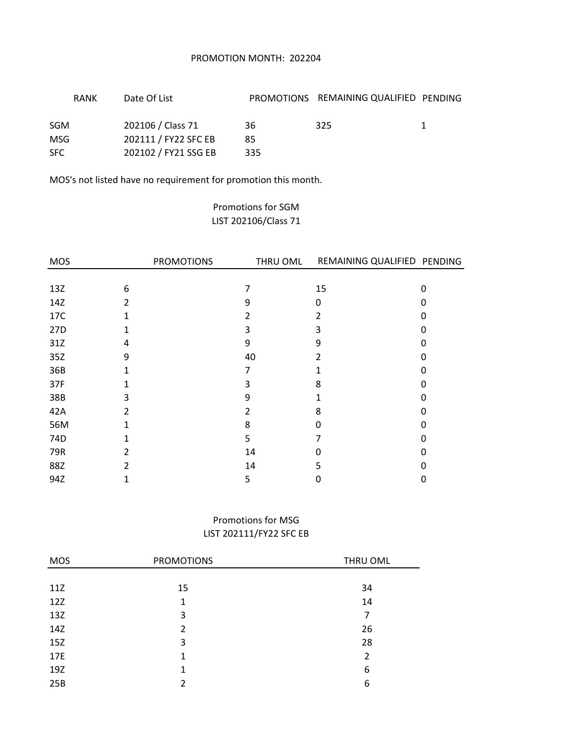## PROMOTION MONTH: 202204

|     | <b>RANK</b> | Date Of List         |     | PROMOTIONS REMAINING QUALIFIED PENDING |  |
|-----|-------------|----------------------|-----|----------------------------------------|--|
| SGM |             | 202106 / Class 71    | 36  | 325                                    |  |
| MSG |             | 202111 / FY22 SFC EB | 85  |                                        |  |
| SFC |             | 202102 / FY21 SSG EB | 335 |                                        |  |

MOS's not listed have no requirement for promotion this month.

# Promotions for SGM LIST 202106/Class 71

| <b>MOS</b> |                | <b>PROMOTIONS</b> | THRU OML |    | REMAINING QUALIFIED PENDING |  |
|------------|----------------|-------------------|----------|----|-----------------------------|--|
|            |                |                   |          |    |                             |  |
| 13Z        | 6              |                   |          | 15 | 0                           |  |
| 14Z        | $\overline{2}$ |                   | 9        | 0  | 0                           |  |
| 17C        | 1              |                   | 2        | 2  | 0                           |  |
| 27D        | 1              |                   | 3        | 3  | 0                           |  |
| 31Z        | 4              |                   | 9        | 9  | O                           |  |
| 35Z        | 9              |                   | 40       | 2  | O                           |  |
| 36B        |                |                   | 7        |    | 0                           |  |
| 37F        |                |                   | 3        | 8  | 0                           |  |
| 38B        | 3              |                   | 9        |    | 0                           |  |
| 42A        | $\mathfrak{p}$ |                   | 2        | 8  |                             |  |
| 56M        |                |                   | 8        | n  | 0                           |  |
| 74D        |                |                   | 5        |    | 0                           |  |
| 79R        | 2              |                   | 14       | o  | 0                           |  |
| 88Z        | 2              |                   | 14       | 5  | O                           |  |
| 94Z        | 1              |                   | 5        | 0  | 0                           |  |

# Promotions for MSG LIST 202111/FY22 SFC EB

| <b>MOS</b> | <b>PROMOTIONS</b> | THRU OML       |
|------------|-------------------|----------------|
|            |                   |                |
| 11Z        | 15                | 34             |
| 12Z        | 1                 | 14             |
| 13Z        | 3                 | 7              |
| 14Z        | $\mathfrak{p}$    | 26             |
| 15Z        | 3                 | 28             |
| 17E        | 1                 | $\overline{2}$ |
| 19Z        | 1                 | 6              |
| 25B        | 2                 | 6              |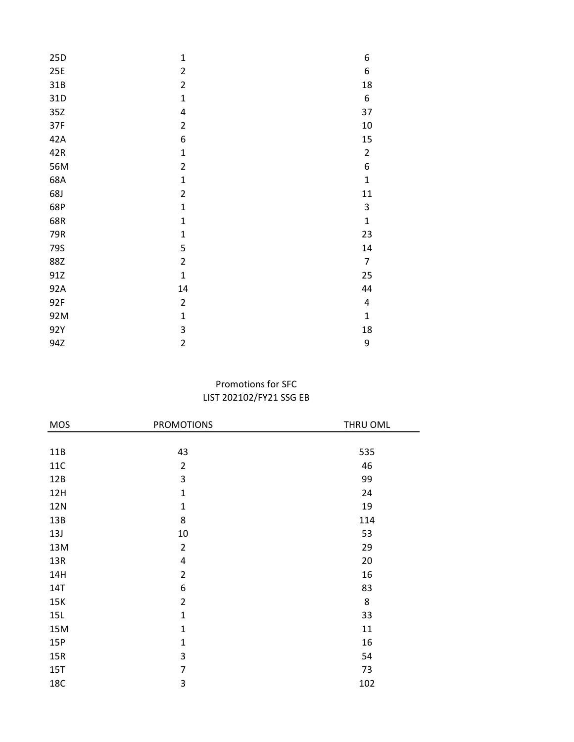| 25D | $\mathbf 1$    | 6                       |
|-----|----------------|-------------------------|
| 25E | $\overline{2}$ | 6                       |
| 31B | $\overline{2}$ | 18                      |
| 31D | $\mathbf{1}$   | 6                       |
| 35Z | 4              | 37                      |
| 37F | $\overline{2}$ | $10\,$                  |
| 42A | 6              | 15                      |
| 42R | $\mathbf{1}$   | $\overline{\mathbf{c}}$ |
| 56M | $\overline{2}$ | 6                       |
| 68A | $\mathbf 1$    | $\mathbf{1}$            |
| 68J | $\overline{2}$ | 11                      |
| 68P | $\mathbf 1$    | 3                       |
| 68R | $\mathbf{1}$   | $\mathbf 1$             |
| 79R | $\mathbf{1}$   | 23                      |
| 79S | 5              | 14                      |
| 88Z | $\overline{2}$ | $\overline{7}$          |
| 91Z | $\mathbf{1}$   | 25                      |
| 92A | 14             | 44                      |
| 92F | $\overline{2}$ | 4                       |
| 92M | $\mathbf{1}$   | $\mathbf 1$             |
| 92Y | 3              | 18                      |
| 94Z | $\overline{2}$ | 9                       |

# LIST 202102/FY21 SSG EB Promotions for SFC

| <b>MOS</b> | <b>PROMOTIONS</b> | THRU OML |
|------------|-------------------|----------|
|            |                   |          |
| 11B        | 43                | 535      |
| <b>11C</b> | $\overline{2}$    | 46       |
| 12B        | 3                 | 99       |
| 12H        | $\mathbf{1}$      | 24       |
| <b>12N</b> | $\mathbf{1}$      | 19       |
| 13B        | 8                 | 114      |
| 13J        | $10\,$            | 53       |
| 13M        | $\overline{2}$    | 29       |
| 13R        | $\pmb{4}$         | 20       |
| 14H        | $\overline{2}$    | 16       |
| <b>14T</b> | 6                 | 83       |
| 15K        | $\overline{2}$    | 8        |
| 15L        | $\mathbf{1}$      | 33       |
| 15M        | $\mathbf 1$       | 11       |
| 15P        | $\mathbf 1$       | 16       |
| 15R        | 3                 | 54       |
| 15T        | $\overline{7}$    | 73       |
| <b>18C</b> | 3                 | 102      |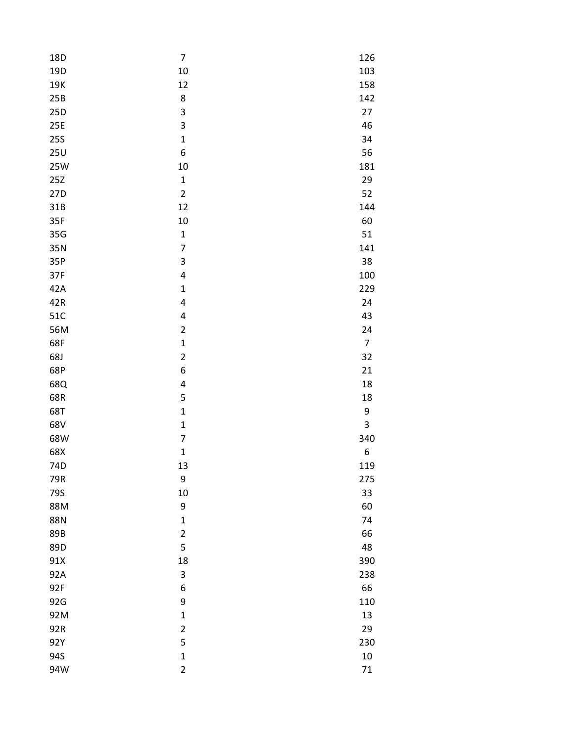| 18D             | $\overline{\mathcal{I}}$ | 126            |
|-----------------|--------------------------|----------------|
| 19 <sub>D</sub> | 10                       | 103            |
| 19K             | 12                       | 158            |
| 25B             | 8                        | 142            |
| 25D             | 3                        | 27             |
| 25E             | 3                        | 46             |
| <b>25S</b>      | $\mathbf{1}$             | 34             |
| 25U             | 6                        | 56             |
| <b>25W</b>      | 10                       | 181            |
| 25Z             | $\mathbf{1}$             | 29             |
| 27D             | $\overline{c}$           | 52             |
| 31B             | 12                       | 144            |
| 35F             | 10                       | 60             |
| 35G             | $\mathbf{1}$             | 51             |
| 35N             | 7                        | 141            |
| 35P             | 3                        | 38             |
| 37F             | 4                        | 100            |
| 42A             | $\mathbf 1$              | 229            |
| 42R             | 4                        | 24             |
| 51C             | 4                        | 43             |
| 56M             | $\overline{\mathbf{c}}$  | 24             |
| 68F             | $\mathbf{1}$             | $\overline{7}$ |
| 68J             | $\overline{\mathbf{c}}$  | 32             |
| 68P             | 6                        | 21             |
| 68Q             | 4                        | 18             |
| 68R             | 5                        | 18             |
| 68T             | $\mathbf{1}$             | 9              |
| 68V             | $\mathbf{1}$             | 3              |
| 68W             | $\overline{7}$           | 340            |
| 68X             | $\mathbf 1$              | 6              |
| 74D             | 13                       | 119            |
| 79R             | 9                        | 275            |
| 79S             | 10                       | 33             |
| 88M             | 9                        | 60             |
| 88N             | $\mathbf 1$              | 74             |
| 89B             | $\overline{\mathbf{c}}$  | 66             |
| 89D             | 5                        | 48             |
| 91X             | 18                       | 390            |
| 92A             | 3                        | 238            |
| 92F             | 6                        | 66             |
| 92G             | 9                        | 110            |
| 92M             | $\mathbf 1$              | 13             |
| 92R             | $\overline{c}$           | 29             |
| 92Y             | 5                        | 230            |
| 94S             | $\mathbf{1}$             | 10             |
| 94W             | $\overline{\mathbf{c}}$  | $71\,$         |
|                 |                          |                |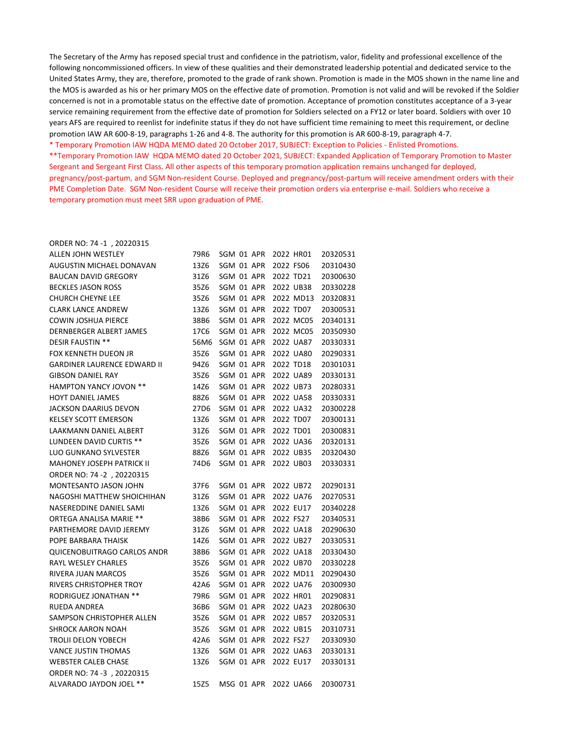The Secretary of the Army has reposed special trust and confidence in the patriotism, valor, fidelity and professional excellence of the following noncommissioned officers. In view of these qualities and their demonstrated leadership potential and dedicated service to the United States Army, they are, therefore, promoted to the grade of rank shown. Promotion is made in the MOS shown in the name line and the MOS is awarded as his or her primary MOS on the effective date of promotion. Promotion is not valid and will be revoked if the Soldier concerned is not in a promotable status on the effective date of promotion. Acceptance of promotion constitutes acceptance of a 3-year service remaining requirement from the effective date of promotion for Soldiers selected on a FY12 or later board. Soldiers with over 10 years AFS are required to reenlist for indefinite status if they do not have sufficient time remaining to meet this requirement, or decline promotion IAW AR 600-8-19, paragraphs 1-26 and 4-8. The authority for this promotion is AR 600-8-19, paragraph 4-7.

\* Temporary Promotion IAW HQDA MEMO dated 20 October 2017, SUBJECT: Exception to Policies - Enlisted Promotions.

\*\*Temporary Promotion IAW HQDA MEMO dated 20 October 2021, SUBJECT: Expanded Application of Temporary Promotion to Master Sergeant and Sergeant First Class. All other aspects of this temporary promotion application remains unchanged for deployed, pregnancy/post-partum, and SGM Non-resident Course. Deployed and pregnancy/post-partum will receive amendment orders with their PME Completion Date. SGM Non-resident Course will receive their promotion orders via enterprise e-mail. Soldiers who receive a temporary promotion must meet SRR upon graduation of PME.

#### ORDER NO: 74 -1 , 20220315

| ALLEN JOHN WESTLEY                 | 79R6 | SGM 01 APR | 2022 HR01 | 20320531 |
|------------------------------------|------|------------|-----------|----------|
| AUGUSTIN MICHAEL DONAVAN           | 13Z6 | SGM 01 APR | 2022 FS06 | 20310430 |
| <b>BAUCAN DAVID GREGORY</b>        | 31Z6 | SGM 01 APR | 2022 TD21 | 20300630 |
| <b>BECKLES JASON ROSS</b>          | 35Z6 | SGM 01 APR | 2022 UB38 | 20330228 |
| <b>CHURCH CHEYNE LEE</b>           | 35Z6 | SGM 01 APR | 2022 MD13 | 20320831 |
| <b>CLARK LANCE ANDREW</b>          | 13Z6 | SGM 01 APR | 2022 TD07 | 20300531 |
| <b>COWIN JOSHUA PIERCE</b>         | 38B6 | SGM 01 APR | 2022 MC05 | 20340131 |
| DERNBERGER ALBERT JAMES            | 17C6 | SGM 01 APR | 2022 MC05 | 20350930 |
| DESIR FAUSTIN **                   | 56M6 | SGM 01 APR | 2022 UA87 | 20330331 |
| FOX KENNETH DUEON JR               | 35Z6 | SGM 01 APR | 2022 UA80 | 20290331 |
| <b>GARDINER LAURENCE EDWARD II</b> | 94Z6 | SGM 01 APR | 2022 TD18 | 20301031 |
| <b>GIBSON DANIEL RAY</b>           | 35Z6 | SGM 01 APR | 2022 UA89 | 20330131 |
| <b>HAMPTON YANCY JOVON **</b>      | 14Z6 | SGM 01 APR | 2022 UB73 | 20280331 |
| HOYT DANIEL JAMES                  | 88Z6 | SGM 01 APR | 2022 UA58 | 20330331 |
| JACKSON DAARIUS DEVON              | 27D6 | SGM 01 APR | 2022 UA32 | 20300228 |
| <b>KELSEY SCOTT EMERSON</b>        | 13Z6 | SGM 01 APR | 2022 TD07 | 20300131 |
| LAAKMANN DANIEL ALBERT             | 31Z6 | SGM 01 APR | 2022 TD01 | 20300831 |
| LUNDEEN DAVID CURTIS **            | 35Z6 | SGM 01 APR | 2022 UA36 | 20320131 |
| <b>LUO GUNKANO SYLVESTER</b>       | 88Z6 | SGM 01 APR | 2022 UB35 | 20320430 |
| <b>MAHONEY JOSEPH PATRICK II</b>   | 74D6 | SGM 01 APR | 2022 UB03 | 20330331 |
| ORDER NO: 74 -2, 20220315          |      |            |           |          |
| MONTESANTO JASON JOHN              | 37F6 | SGM 01 APR | 2022 UB72 | 20290131 |
| NAGOSHI MATTHEW SHOICHIHAN         | 31Z6 | SGM 01 APR | 2022 UA76 | 20270531 |
| NASEREDDINE DANIEL SAMI            | 13Z6 | SGM 01 APR | 2022 EU17 | 20340228 |
| ORTEGA ANALISA MARIE **            | 38B6 | SGM 01 APR | 2022 FS27 | 20340531 |
| PARTHEMORE DAVID JEREMY            | 31Z6 | SGM 01 APR | 2022 UA18 | 20290630 |
| POPE BARBARA THAISK                | 14Z6 | SGM 01 APR | 2022 UB27 | 20330531 |
| QUICENOBUITRAGO CARLOS ANDR        | 38B6 | SGM 01 APR | 2022 UA18 | 20330430 |
| RAYL WESLEY CHARLES                | 35Z6 | SGM 01 APR | 2022 UB70 | 20330228 |
| RIVERA JUAN MARCOS                 | 35Z6 | SGM 01 APR | 2022 MD11 | 20290430 |
| RIVERS CHRISTOPHER TROY            | 42A6 | SGM 01 APR | 2022 UA76 | 20300930 |
| <b>RODRIGUEZ JONATHAN **</b>       | 79R6 | SGM 01 APR | 2022 HR01 | 20290831 |
| RUEDA ANDREA                       | 36B6 | SGM 01 APR | 2022 UA23 | 20280630 |
| SAMPSON CHRISTOPHER ALLEN          | 35Z6 | SGM 01 APR | 2022 UB57 | 20320531 |
| <b>SHROCK AARON NOAH</b>           | 35Z6 | SGM 01 APR | 2022 UB15 | 20310731 |
| TROLII DELON YOBECH                | 42A6 | SGM 01 APR | 2022 FS27 | 20330930 |
| VANCE JUSTIN THOMAS                | 13Z6 | SGM 01 APR | 2022 UA63 | 20330131 |
| <b>WEBSTER CALEB CHASE</b>         | 13Z6 | SGM 01 APR | 2022 EU17 | 20330131 |
| ORDER NO: 74 -3, 20220315          |      |            |           |          |
| ALVARADO JAYDON JOEL **            | 15Z5 | MSG 01 APR | 2022 UA66 | 20300731 |
|                                    |      |            |           |          |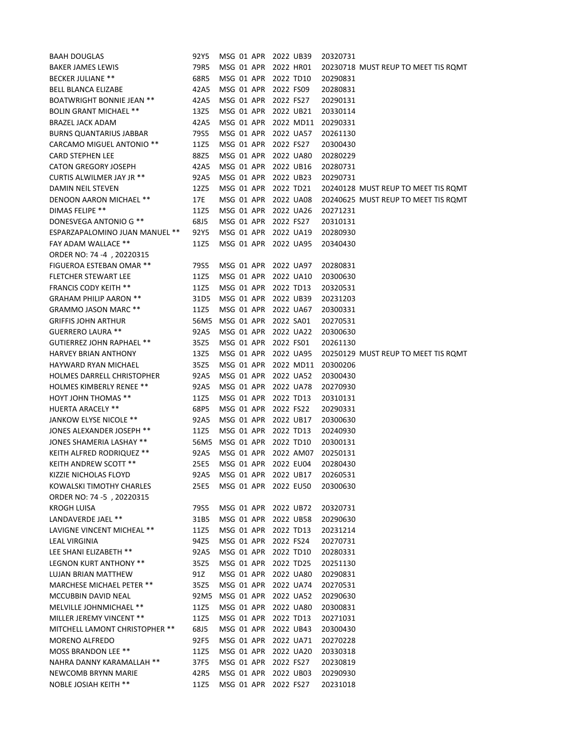| <b>BAAH DOUGLAS</b>              | 92Y5 | MSG 01 APR 2022 UB39 |           | 20320731                            |
|----------------------------------|------|----------------------|-----------|-------------------------------------|
| <b>BAKER JAMES LEWIS</b>         | 79R5 | MSG 01 APR           | 2022 HR01 | 20230718 MUST REUP TO MEET TIS ROMT |
| <b>BECKER JULIANE **</b>         | 68R5 | MSG 01 APR           | 2022 TD10 | 20290831                            |
| <b>BELL BLANCA ELIZABE</b>       | 42A5 | MSG 01 APR           | 2022 FS09 | 20280831                            |
| <b>BOATWRIGHT BONNIE JEAN **</b> | 42A5 | MSG 01 APR           | 2022 FS27 | 20290131                            |
| <b>BOLIN GRANT MICHAEL **</b>    | 13Z5 | MSG 01 APR           | 2022 UB21 | 20330114                            |
| <b>BRAZEL JACK ADAM</b>          | 42A5 | MSG 01 APR           | 2022 MD11 | 20290331                            |
| <b>BURNS QUANTARIUS JABBAR</b>   | 79S5 | MSG 01 APR           | 2022 UA57 | 20261130                            |
| <b>CARCAMO MIGUEL ANTONIO **</b> | 11Z5 | MSG 01 APR           | 2022 FS27 | 20300430                            |
| <b>CARD STEPHEN LEE</b>          | 88Z5 | MSG 01 APR           | 2022 UA80 | 20280229                            |
| <b>CATON GREGORY JOSEPH</b>      | 42A5 | MSG 01 APR           | 2022 UB16 | 20280731                            |
| CURTIS ALWILMER JAY JR **        | 92A5 | MSG 01 APR           | 2022 UB23 | 20290731                            |
| DAMIN NEIL STEVEN                | 12Z5 | MSG 01 APR           | 2022 TD21 | 20240128 MUST REUP TO MEET TIS ROMT |
| DENOON AARON MICHAEL **          | 17E  | MSG 01 APR           | 2022 UA08 | 20240625 MUST REUP TO MEET TIS ROMT |
| DIMAS FELIPE **                  | 11Z5 | MSG 01 APR           | 2022 UA26 | 20271231                            |
| DONESVEGA ANTONIO G **           | 68J5 | MSG 01 APR           | 2022 FS27 | 20310131                            |
| ESPARZAPALOMINO JUAN MANUEL **   | 92Y5 | MSG 01 APR           | 2022 UA19 | 20280930                            |
| FAY ADAM WALLACE **              | 11Z5 | MSG 01 APR           | 2022 UA95 | 20340430                            |
| ORDER NO: 74 -4, 20220315        |      |                      |           |                                     |
| <b>FIGUEROA ESTEBAN OMAR **</b>  | 79S5 | MSG 01 APR           | 2022 UA97 | 20280831                            |
| <b>FLETCHER STEWART LEE</b>      | 11Z5 | MSG 01 APR           | 2022 UA10 | 20300630                            |
| <b>FRANCIS CODY KEITH **</b>     | 11Z5 | MSG 01 APR           | 2022 TD13 | 20320531                            |
| <b>GRAHAM PHILIP AARON **</b>    | 31D5 | MSG 01 APR           | 2022 UB39 | 20231203                            |
| GRAMMO JASON MARC **             | 11Z5 | MSG 01 APR           | 2022 UA67 | 20300331                            |
| <b>GRIFFIS JOHN ARTHUR</b>       | 56M5 | MSG 01 APR           | 2022 SA01 | 20270531                            |
| <b>GUERRERO LAURA **</b>         | 92A5 | MSG 01 APR           | 2022 UA22 | 20300630                            |
| <b>GUTIERREZ JOHN RAPHAEL **</b> | 35Z5 | MSG 01 APR           | 2022 FS01 | 20261130                            |
| <b>HARVEY BRIAN ANTHONY</b>      | 13Z5 | MSG 01 APR           | 2022 UA95 | 20250129 MUST REUP TO MEET TIS ROMT |
| HAYWARD RYAN MICHAEL             | 35Z5 | MSG 01 APR           | 2022 MD11 | 20300206                            |
|                                  |      |                      |           |                                     |
| HOLMES DARRELL CHRISTOPHER       | 92A5 | MSG 01 APR           | 2022 UA52 | 20300430                            |
| <b>HOLMES KIMBERLY RENEE **</b>  | 92A5 | MSG 01 APR           | 2022 UA78 | 20270930                            |
| <b>HOYT JOHN THOMAS **</b>       | 11Z5 | MSG 01 APR           | 2022 TD13 | 20310131                            |
| <b>HUERTA ARACELY **</b>         | 68P5 | MSG 01 APR           | 2022 FS22 | 20290331                            |
| JANKOW ELYSE NICOLE **           | 92A5 | MSG 01 APR           | 2022 UB17 | 20300630                            |
| JONES ALEXANDER JOSEPH **        | 11Z5 | MSG 01 APR           | 2022 TD13 | 20240930                            |
| JONES SHAMERIA LASHAY **         | 56M5 | MSG 01 APR           | 2022 TD10 | 20300131                            |
| KEITH ALFRED RODRIQUEZ **        | 92A5 | MSG 01 APR           | 2022 AM07 | 20250131                            |
| KEITH ANDREW SCOTT **            | 25E5 | MSG 01 APR           | 2022 EU04 | 20280430                            |
| KIZZIE NICHOLAS FLOYD            | 92A5 | MSG 01 APR 2022 UB17 |           | 20260531                            |
| KOWALSKI TIMOTHY CHARLES         | 25E5 | MSG 01 APR 2022 EU50 |           | 20300630                            |
| ORDER NO: 74 -5, 20220315        |      |                      |           |                                     |
| KROGH LUISA                      | 79S5 | MSG 01 APR 2022 UB72 |           | 20320731                            |
| LANDAVERDE JAEL **               | 31B5 | MSG 01 APR 2022 UB58 |           | 20290630                            |
| LAVIGNE VINCENT MICHEAL **       | 11Z5 | MSG 01 APR 2022 TD13 |           | 20231214                            |
| LEAL VIRGINIA                    | 94Z5 | MSG 01 APR 2022 FS24 |           | 20270731                            |
| LEE SHANI ELIZABETH **           | 92A5 | MSG 01 APR 2022 TD10 |           | 20280331                            |
| LEGNON KURT ANTHONY **           | 35Z5 | MSG 01 APR 2022 TD25 |           | 20251130                            |
| LUJAN BRIAN MATTHEW              | 91Z  | MSG 01 APR 2022 UA80 |           | 20290831                            |
| <b>MARCHESE MICHAEL PETER **</b> | 35Z5 | MSG 01 APR 2022 UA74 |           | 20270531                            |
| MCCUBBIN DAVID NEAL              | 92M5 | MSG 01 APR 2022 UA52 |           | 20290630                            |
| MELVILLE JOHNMICHAEL **          | 11Z5 | MSG 01 APR 2022 UA80 |           | 20300831                            |
| MILLER JEREMY VINCENT **         | 11Z5 | MSG 01 APR 2022 TD13 |           | 20271031                            |
| MITCHELL LAMONT CHRISTOPHER **   | 68J5 | MSG 01 APR           | 2022 UB43 | 20300430                            |
| <b>MORENO ALFREDO</b>            | 92F5 | MSG 01 APR           | 2022 UA71 | 20270228                            |
| MOSS BRANDON LEE **              | 11Z5 | MSG 01 APR           | 2022 UA20 | 20330318                            |
| NAHRA DANNY KARAMALLAH **        | 37F5 | MSG 01 APR           | 2022 FS27 | 20230819                            |
| NEWCOMB BRYNN MARIE              | 42R5 | MSG 01 APR           | 2022 UB03 | 20290930                            |
| NOBLE JOSIAH KEITH **            | 11Z5 | MSG 01 APR 2022 FS27 |           | 20231018                            |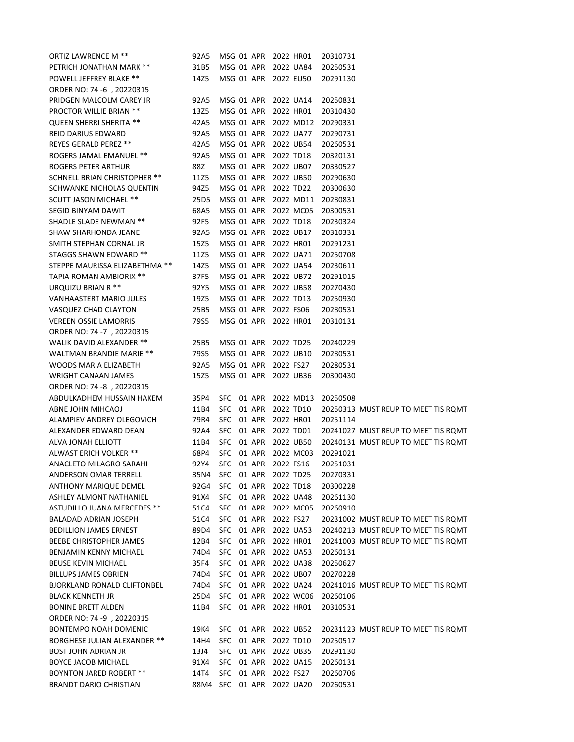| ORTIZ LAWRENCE M **            | 92A5 |      |            | MSG 01 APR 2022 HR01 | 20310731                            |
|--------------------------------|------|------|------------|----------------------|-------------------------------------|
| PETRICH JONATHAN MARK **       | 31B5 |      | MSG 01 APR | 2022 UA84            | 20250531                            |
| POWELL JEFFREY BLAKE **        | 14Z5 |      | MSG 01 APR | 2022 EU50            | 20291130                            |
| ORDER NO: 74 -6, 20220315      |      |      |            |                      |                                     |
| PRIDGEN MALCOLM CAREY JR       | 92A5 |      | MSG 01 APR | 2022 UA14            | 20250831                            |
| PROCTOR WILLIE BRIAN **        | 13Z5 |      | MSG 01 APR | 2022 HR01            | 20310430                            |
| <b>QUEEN SHERRI SHERITA **</b> | 42A5 |      | MSG 01 APR | 2022 MD12            | 20290331                            |
| REID DARIUS EDWARD             | 92A5 |      | MSG 01 APR | 2022 UA77            | 20290731                            |
| REYES GERALD PEREZ **          | 42A5 |      | MSG 01 APR | 2022 UB54            | 20260531                            |
| ROGERS JAMAL EMANUEL **        | 92A5 |      | MSG 01 APR | 2022 TD18            | 20320131                            |
| ROGERS PETER ARTHUR            | 88Z  |      | MSG 01 APR | 2022 UB07            | 20330527                            |
| SCHNELL BRIAN CHRISTOPHER **   | 11Z5 |      | MSG 01 APR | 2022 UB50            | 20290630                            |
| SCHWANKE NICHOLAS QUENTIN      | 94Z5 |      | MSG 01 APR | 2022 TD22            | 20300630                            |
| <b>SCUTT JASON MICHAEL **</b>  | 25D5 |      | MSG 01 APR | 2022 MD11            | 20280831                            |
| SEGID BINYAM DAWIT             | 68A5 |      | MSG 01 APR | 2022 MC05            | 20300531                            |
| SHADLE SLADE NEWMAN **         | 92F5 |      | MSG 01 APR | 2022 TD18            | 20230324                            |
| SHAW SHARHONDA JEANE           | 92A5 |      | MSG 01 APR | 2022 UB17            | 20310331                            |
| SMITH STEPHAN CORNAL JR        | 15Z5 |      | MSG 01 APR | 2022 HR01            | 20291231                            |
| STAGGS SHAWN EDWARD **         | 11Z5 |      | MSG 01 APR | 2022 UA71            | 20250708                            |
| STEPPE MAURISSA ELIZABETHMA ** | 14Z5 |      | MSG 01 APR | 2022 UA54            | 20230611                            |
| TAPIA ROMAN AMBIORIX **        | 37F5 |      | MSG 01 APR | 2022 UB72            | 20291015                            |
| URQUIZU BRIAN R **             | 92Y5 |      |            | MSG 01 APR 2022 UB58 | 20270430                            |
| VANHAASTERT MARIO JULES        | 19Z5 |      |            | MSG 01 APR 2022 TD13 | 20250930                            |
| VASQUEZ CHAD CLAYTON           | 25B5 |      |            | MSG 01 APR 2022 FS06 | 20280531                            |
| <b>VEREEN OSSIE LAMORRIS</b>   | 79S5 |      | MSG 01 APR | 2022 HR01            | 20310131                            |
| ORDER NO: 74 -7, 20220315      |      |      |            |                      |                                     |
| WALIK DAVID ALEXANDER **       | 25B5 |      |            | MSG 01 APR 2022 TD25 | 20240229                            |
| WALTMAN BRANDIE MARIE **       | 79S5 |      |            | MSG 01 APR 2022 UB10 | 20280531                            |
| WOODS MARIA ELIZABETH          | 92A5 |      |            | MSG 01 APR 2022 FS27 | 20280531                            |
| WRIGHT CANAAN JAMES            | 15Z5 |      | MSG 01 APR | 2022 UB36            | 20300430                            |
| ORDER NO: 74 -8, 20220315      |      |      |            |                      |                                     |
| ABDULKADHEM HUSSAIN HAKEM      | 35P4 |      |            | SFC 01 APR 2022 MD13 | 20250508                            |
| ABNE JOHN MIHCAOJ              | 11B4 |      | SFC 01 APR | 2022 TD10            | 20250313 MUST REUP TO MEET TIS ROMT |
| ALAMPIEV ANDREY OLEGOVICH      | 79R4 |      | SFC 01 APR | 2022 HR01            | 20251114                            |
| ALEXANDER EDWARD DEAN          | 92A4 |      | SFC 01 APR | 2022 TD01            | 20241027 MUST REUP TO MEET TIS ROMT |
| ALVA JONAH ELLIOTT             | 11B4 |      | SFC 01 APR | 2022 UB50            | 20240131 MUST REUP TO MEET TIS ROMT |
| ALWAST ERICH VOLKER **         | 68P4 |      | SFC 01 APR | 2022 MC03            | 20291021                            |
| ANACLETO MILAGRO SARAHI        | 92Y4 |      |            | SFC 01 APR 2022 FS16 | 20251031                            |
| ANDERSON OMAR TERRELL          | 35N4 | SFC  |            | 01 APR 2022 TD25     | 20270331                            |
| ANTHONY MARIQUE DEMEL          | 92G4 | SFC. | 01 APR     | 2022 TD18            | 20300228                            |
| ASHLEY ALMONT NATHANIEL        | 91X4 |      | SFC 01 APR | 2022 UA48            | 20261130                            |
| ASTUDILLO JUANA MERCEDES **    | 51C4 |      |            | SFC 01 APR 2022 MC05 | 20260910                            |
| BALADAD ADRIAN JOSEPH          | 51C4 |      |            | SFC 01 APR 2022 FS27 | 20231002 MUST REUP TO MEET TIS ROMT |
| <b>BEDILLION JAMES ERNEST</b>  | 89D4 |      |            | SFC 01 APR 2022 UA53 | 20240213 MUST REUP TO MEET TIS ROMT |
| BEEBE CHRISTOPHER JAMES        |      |      |            | SFC 01 APR 2022 HR01 |                                     |
|                                | 12B4 |      |            | SFC 01 APR 2022 UA53 | 20241003 MUST REUP TO MEET TIS ROMT |
| BENJAMIN KENNY MICHAEL         | 74D4 |      |            | SFC 01 APR 2022 UA38 | 20260131                            |
| <b>BEUSE KEVIN MICHAEL</b>     | 35F4 |      |            |                      | 20250627                            |
| <b>BILLUPS JAMES OBRIEN</b>    | 74D4 |      |            | SFC 01 APR 2022 UB07 | 20270228                            |
| BJORKLAND RONALD CLIFTONBEL    | 74D4 |      |            | SFC 01 APR 2022 UA24 | 20241016 MUST REUP TO MEET TIS ROMT |
| <b>BLACK KENNETH JR</b>        | 25D4 |      |            | SFC 01 APR 2022 WC06 | 20260106                            |
| BONINE BRETT ALDEN             | 11B4 |      |            | SFC 01 APR 2022 HR01 | 20310531                            |
| ORDER NO: 74 -9, 20220315      |      |      |            |                      |                                     |
| BONTEMPO NOAH DOMENIC          | 19K4 |      | SFC 01 APR | 2022 UB52            | 20231123 MUST REUP TO MEET TIS ROMT |
| BORGHESE JULIAN ALEXANDER **   | 14H4 |      | SFC 01 APR | 2022 TD10            | 20250517                            |
| BOST JOHN ADRIAN JR            | 13J4 |      |            | SFC 01 APR 2022 UB35 | 20291130                            |
| BOYCE JACOB MICHAEL            | 91X4 |      |            | SFC 01 APR 2022 UA15 | 20260131                            |
| BOYNTON JARED ROBERT **        | 14T4 |      |            | SFC 01 APR 2022 FS27 | 20260706                            |
| BRANDT DARIO CHRISTIAN         | 88M4 |      |            | SFC 01 APR 2022 UA20 | 20260531                            |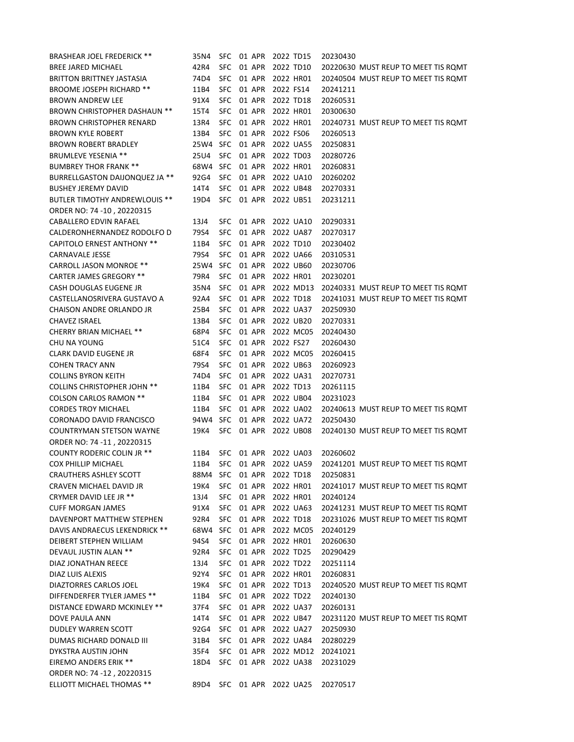| <b>BRASHEAR JOEL FREDERICK **</b>    | 35N4     |            |        | SFC 01 APR 2022 TD15 |                      | 20230430 |                                     |
|--------------------------------------|----------|------------|--------|----------------------|----------------------|----------|-------------------------------------|
| <b>BREE JARED MICHAEL</b>            | 42R4     | <b>SFC</b> | 01 APR | 2022 TD10            |                      |          | 20220630 MUST REUP TO MEET TIS ROMT |
| <b>BRITTON BRITTNEY JASTASIA</b>     | 74D4     | <b>SFC</b> | 01 APR | 2022 HR01            |                      |          | 20240504 MUST REUP TO MEET TIS ROMT |
| BROOME JOSEPH RICHARD **             | 11B4     | <b>SFC</b> | 01 APR | 2022 FS14            |                      | 20241211 |                                     |
| <b>BROWN ANDREW LEE</b>              | 91X4     | <b>SFC</b> | 01 APR | 2022 TD18            |                      | 20260531 |                                     |
| <b>BROWN CHRISTOPHER DASHAUN **</b>  | 15T4     | <b>SFC</b> | 01 APR | 2022 HR01            |                      | 20300630 |                                     |
| <b>BROWN CHRISTOPHER RENARD</b>      | 13R4     | <b>SFC</b> | 01 APR | 2022 HR01            |                      |          | 20240731 MUST REUP TO MEET TIS ROMT |
| <b>BROWN KYLE ROBERT</b>             | 13B4     | SFC.       | 01 APR | 2022 FS06            |                      | 20260513 |                                     |
| <b>BROWN ROBERT BRADLEY</b>          | 25W4 SFC |            | 01 APR | 2022 UA55            |                      | 20250831 |                                     |
| <b>BRUMLEVE YESENIA **</b>           | 25U4     | <b>SFC</b> | 01 APR | 2022 TD03            |                      | 20280726 |                                     |
| <b>BUMBREY THOR FRANK **</b>         | 68W4 SFC |            | 01 APR | 2022 HR01            |                      | 20260831 |                                     |
| BURRELLGASTON DAIJONQUEZ JA **       | 92G4     | <b>SFC</b> | 01 APR |                      | 2022 UA10            | 20260202 |                                     |
| <b>BUSHEY JEREMY DAVID</b>           | 14T4     | <b>SFC</b> | 01 APR | 2022 UB48            |                      | 20270331 |                                     |
| <b>BUTLER TIMOTHY ANDREWLOUIS **</b> | 19D4     | SFC 01 APR |        | 2022 UB51            |                      | 20231211 |                                     |
| ORDER NO: 74 -10, 20220315           |          |            |        |                      |                      |          |                                     |
| CABALLERO EDVIN RAFAEL               | 13J4     | SFC.       | 01 APR |                      | 2022 UA10            | 20290331 |                                     |
| CALDERONHERNANDEZ RODOLFO D          | 79S4     | <b>SFC</b> | 01 APR |                      | 2022 UA87            | 20270317 |                                     |
| <b>CAPITOLO ERNEST ANTHONY **</b>    | 11B4     | SFC.       | 01 APR | 2022 TD10            |                      | 20230402 |                                     |
| CARNAVALE JESSE                      | 79S4     | <b>SFC</b> | 01 APR | 2022 UA66            |                      | 20310531 |                                     |
| <b>CARROLL JASON MONROE **</b>       | 25W4     | <b>SFC</b> | 01 APR | 2022 UB60            |                      | 20230706 |                                     |
| <b>CARTER JAMES GREGORY **</b>       | 79R4     | <b>SFC</b> | 01 APR | 2022 HR01            |                      | 20230201 |                                     |
| CASH DOUGLAS EUGENE JR               | 35N4     | <b>SFC</b> | 01 APR |                      | 2022 MD13            |          | 20240331 MUST REUP TO MEET TIS ROMT |
| CASTELLANOSRIVERA GUSTAVO A          | 92A4     | <b>SFC</b> | 01 APR | 2022 TD18            |                      |          | 20241031 MUST REUP TO MEET TIS ROMT |
| CHAISON ANDRE ORLANDO JR             | 25B4     | <b>SFC</b> | 01 APR |                      | 2022 UA37            | 20250930 |                                     |
| <b>CHAVEZ ISRAEL</b>                 | 13B4     | SFC 01 APR |        | 2022 UB20            |                      | 20270331 |                                     |
| <b>CHERRY BRIAN MICHAEL **</b>       | 68P4     | SFC        |        |                      | 01 APR 2022 MC05     | 20240430 |                                     |
| CHU NA YOUNG                         | 51C4     | SFC        | 01 APR | 2022 FS27            |                      | 20260430 |                                     |
| CLARK DAVID EUGENE JR                | 68F4     | SFC        | 01 APR |                      | 2022 MC05            | 20260415 |                                     |
| <b>COHEN TRACY ANN</b>               | 79S4     | SFC        | 01 APR | 2022 UB63            |                      | 20260923 |                                     |
| <b>COLLINS BYRON KEITH</b>           | 74D4     | <b>SFC</b> | 01 APR |                      | 2022 UA31            | 20270731 |                                     |
| <b>COLLINS CHRISTOPHER JOHN **</b>   | 11B4     | <b>SFC</b> | 01 APR | 2022 TD13            |                      | 20261115 |                                     |
| <b>COLSON CARLOS RAMON **</b>        | 11B4     | SFC.       | 01 APR | 2022 UB04            |                      | 20231023 |                                     |
| <b>CORDES TROY MICHAEL</b>           | 11B4     | SFC.       | 01 APR |                      | 2022 UA02            |          | 20240613 MUST REUP TO MEET TIS ROMT |
| CORONADO DAVID FRANCISCO             | 94W4 SFC |            | 01 APR |                      | 2022 UA72            | 20250430 |                                     |
| <b>COUNTRYMAN STETSON WAYNE</b>      | 19K4     | SFC.       | 01 APR | 2022 UB08            |                      |          | 20240130 MUST REUP TO MEET TIS ROMT |
| ORDER NO: 74 -11, 20220315           |          |            |        |                      |                      |          |                                     |
| <b>COUNTY RODERIC COLIN JR **</b>    | 11B4     | SFC 01 APR |        | 2022 UA03            |                      | 20260602 |                                     |
| COX PHILLIP MICHAEL                  | 11B4     |            |        | SFC 01 APR 2022 UA59 |                      |          | 20241201 MUST REUP TO MEET TIS ROMT |
| <b>CRAUTHERS ASHLEY SCOTT</b>        | 88M4     | <b>SFC</b> | 01 APR | 2022 TD18            |                      | 20250831 |                                     |
| CRAVEN MICHAEL DAVID JR              | 19K4     | SFC.       | 01 APR | 2022 HR01            |                      |          | 20241017 MUST REUP TO MEET TIS ROMT |
| CRYMER DAVID LEE JR **               | 13J4     | SFC        | 01 APR | 2022 HR01            |                      | 20240124 |                                     |
| <b>CUFF MORGAN JAMES</b>             | 91X4     | <b>SFC</b> |        | 01 APR 2022 UA63     |                      |          | 20241231 MUST REUP TO MEET TIS ROMT |
| DAVENPORT MATTHEW STEPHEN            | 92R4     |            |        | SFC 01 APR 2022 TD18 |                      |          | 20231026 MUST REUP TO MEET TIS ROMT |
| DAVIS ANDRAECUS LEKENDRICK **        | 68W4     |            |        |                      | SFC 01 APR 2022 MC05 | 20240129 |                                     |
| DEIBERT STEPHEN WILLIAM              | 94S4     | <b>SFC</b> |        | 01 APR 2022 HR01     |                      | 20260630 |                                     |
| DEVAUL JUSTIN ALAN **                | 92R4     | SFC.       |        | 01 APR 2022 TD25     |                      | 20290429 |                                     |
| DIAZ JONATHAN REECE                  | 13J4     |            |        | SFC 01 APR 2022 TD22 |                      | 20251114 |                                     |
| DIAZ LUIS ALEXIS                     | 92Y4     |            |        | SFC 01 APR 2022 HR01 |                      | 20260831 |                                     |
| DIAZTORRES CARLOS JOEL               | 19K4     |            |        | SFC 01 APR 2022 TD13 |                      |          | 20240520 MUST REUP TO MEET TIS ROMT |
| DIFFENDERFER TYLER JAMES **          | 11B4     |            |        | SFC 01 APR 2022 TD22 |                      | 20240130 |                                     |
| DISTANCE EDWARD MCKINLEY **          | 37F4     |            |        |                      | SFC 01 APR 2022 UA37 | 20260131 |                                     |
| DOVE PAULA ANN                       | 14T4     | SFC        |        | 01 APR 2022 UB47     |                      |          | 20231120 MUST REUP TO MEET TIS ROMT |
| DUDLEY WARREN SCOTT                  | 92G4     |            |        | SFC 01 APR 2022 UA27 |                      | 20250930 |                                     |
| DUMAS RICHARD DONALD III             | 31B4     |            |        | SFC 01 APR 2022 UA84 |                      | 20280229 |                                     |
| DYKSTRA AUSTIN JOHN                  | 35F4     |            |        |                      | SFC 01 APR 2022 MD12 | 20241021 |                                     |
| EIREMO ANDERS ERIK **                | 18D4     |            |        | SFC 01 APR 2022 UA38 |                      | 20231029 |                                     |
| ORDER NO: 74 -12, 20220315           |          |            |        |                      |                      |          |                                     |
| ELLIOTT MICHAEL THOMAS **            | 89D4     |            |        | SFC 01 APR 2022 UA25 |                      | 20270517 |                                     |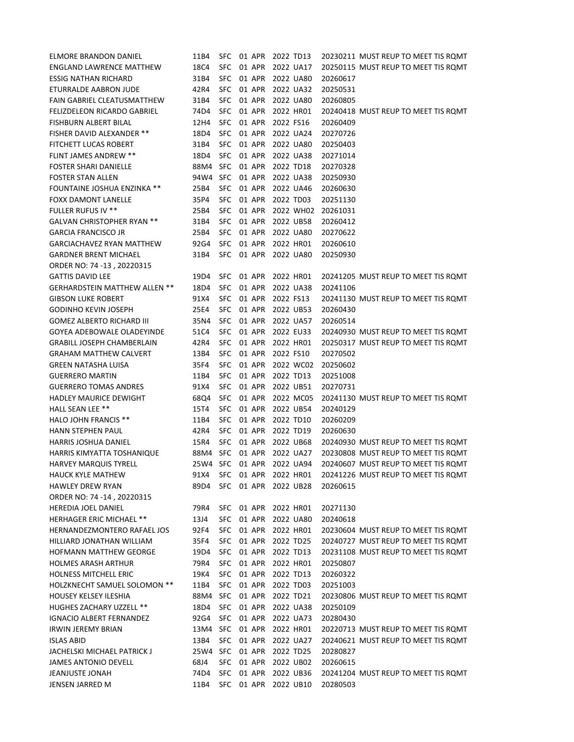| ELMORE BRANDON DANIEL               | 11B4            |            |        |        | SFC 01 APR 2022 TD13      | 20230211 MUST REUP TO MEET TIS ROMT |
|-------------------------------------|-----------------|------------|--------|--------|---------------------------|-------------------------------------|
| ENGLAND LAWRENCE MATTHEW            | 18C4            | SFC.       | 01 APR |        | 2022 UA17                 | 20250115 MUST REUP TO MEET TIS ROMT |
| ESSIG NATHAN RICHARD                | 31B4            | <b>SFC</b> |        | 01 APR | 2022 UA80                 | 20260617                            |
| ETURRALDE AABRON JUDE               | 42R4            | <b>SFC</b> |        | 01 APR | 2022 UA32                 | 20250531                            |
| FAIN GABRIEL CLEATUSMATTHEW         | 31B4            | <b>SFC</b> | 01 APR |        | 2022 UA80                 | 20260805                            |
| <b>FELIZDELEON RICARDO GABRIEL</b>  | 74D4            | <b>SFC</b> |        | 01 APR | 2022 HR01                 | 20240418 MUST REUP TO MEET TIS ROMT |
| FISHBURN ALBERT BILAL               | 12H4            | <b>SFC</b> | 01 APR |        | 2022 FS16                 | 20260409                            |
| <b>FISHER DAVID ALEXANDER **</b>    | 18D4            | <b>SFC</b> | 01 APR |        | 2022 UA24                 | 20270726                            |
| FITCHETT LUCAS ROBERT               | 31B4            | <b>SFC</b> | 01 APR |        | 2022 UA80                 | 20250403                            |
| <b>FLINT JAMES ANDREW **</b>        | 18D4            | <b>SFC</b> | 01 APR |        | 2022 UA38                 | 20271014                            |
| <b>FOSTER SHARI DANIELLE</b>        | 88M4            | SFC        | 01 APR |        | 2022 TD18                 | 20270328                            |
| <b>FOSTER STAN ALLEN</b>            | 94W4            | SFC        | 01 APR |        | 2022 UA38                 | 20250930                            |
| <b>FOUNTAINE JOSHUA ENZINKA **</b>  | 25B4            | <b>SFC</b> | 01 APR |        | 2022 UA46                 | 20260630                            |
| FOXX DAMONT LANELLE                 | 35P4            | <b>SFC</b> | 01 APR |        | 2022 TD03                 | 20251130                            |
| <b>FULLER RUFUS IV **</b>           | 25B4            | <b>SFC</b> | 01 APR |        | 2022 WH02                 | 20261031                            |
| GALVAN CHRISTOPHER RYAN **          | 31B4            | <b>SFC</b> | 01 APR |        | 2022 UB58                 | 20260412                            |
| <b>GARCIA FRANCISCO JR</b>          | 25B4            | <b>SFC</b> | 01 APR |        | 2022 UA80                 | 20270622                            |
| GARCIACHAVEZ RYAN MATTHEW           | 92G4            | <b>SFC</b> | 01 APR |        | 2022 HR01                 | 20260610                            |
| <b>GARDNER BRENT MICHAEL</b>        | 31B4            | <b>SFC</b> | 01 APR |        | 2022 UA80                 | 20250930                            |
| ORDER NO: 74 -13, 20220315          |                 |            |        |        |                           |                                     |
| <b>GATTIS DAVID LEE</b>             | 19D4            | <b>SFC</b> | 01 APR |        | 2022 HR01                 | 20241205 MUST REUP TO MEET TIS ROMT |
| GERHARDSTEIN MATTHEW ALLEN **       | 18D4            | <b>SFC</b> | 01 APR |        | 2022 UA38                 | 20241106                            |
| <b>GIBSON LUKE ROBERT</b>           | 91X4            | <b>SFC</b> | 01 APR |        | 2022 FS13                 | 20241130 MUST REUP TO MEET TIS ROMT |
| <b>GODINHO KEVIN JOSEPH</b>         | 25E4            | SFC.       | 01 APR |        | 2022 UB53                 | 20260430                            |
| <b>GOMEZ ALBERTO RICHARD III</b>    | 35N4            | <b>SFC</b> | 01 APR |        | 2022 UA57                 | 20260514                            |
| GOYEA ADEBOWALE OLADEYINDE          | 51C4            | <b>SFC</b> | 01 APR |        | 2022 EU33                 | 20240930 MUST REUP TO MEET TIS ROMT |
| GRABILL JOSEPH CHAMBERLAIN          | 42R4            | <b>SFC</b> |        |        | 01 APR 2022 HR01          | 20250317 MUST REUP TO MEET TIS ROMT |
| <b>GRAHAM MATTHEW CALVERT</b>       | 13B4            | SFC        |        | 01 APR | 2022 FS10                 | 20270502                            |
| GREEN NATASHA LUISA                 | 35F4            | <b>SFC</b> |        | 01 APR | 2022 WC02                 | 20250602                            |
| <b>GUERRERO MARTIN</b>              | 11B4            | <b>SFC</b> | 01 APR |        | 2022 TD13                 | 20251008                            |
| <b>GUERRERO TOMAS ANDRES</b>        | 91X4            | <b>SFC</b> | 01 APR |        | 2022 UB51                 | 20270731                            |
| HADLEY MAURICE DEWIGHT              | 68Q4            | <b>SFC</b> | 01 APR |        | 2022 MC05                 | 20241130 MUST REUP TO MEET TIS ROMT |
| HALL SEAN LEE **                    | 15T4            | SFC.       | 01 APR |        | 2022 UB54                 | 20240129                            |
| HALO JOHN FRANCIS **                | 11B4            | SFC.       | 01 APR |        | 2022 TD10                 | 20260209                            |
| HANN STEPHEN PAUL                   | 42R4            | SFC.       | 01 APR |        | 2022 TD19                 | 20260630                            |
| HARRIS JOSHUA DANIEL                | 15R4            | SFC.       | 01 APR |        | 2022 UB68                 | 20240930 MUST REUP TO MEET TIS ROMT |
| HARRIS KIMYATTA TOSHANIQUE          | 88M4 SFC        |            | 01 APR |        | 2022 UA27                 | 20230808 MUST REUP TO MEET TIS ROMT |
| <b>HARVEY MARQUIS TYRELL</b>        | 25W4 SFC 01 APR |            |        |        | 2022 UA94                 | 20240607 MUST REUP TO MEET TIS ROMT |
| HAUCK KYLE MATHEW                   | 91X4            |            |        |        | SFC 01 APR 2022 HR01      | 20241226 MUST REUP TO MEET TIS ROMT |
| HAWLEY DREW RYAN                    | 89D4            | SFC        |        | 01 APR | 2022 UB28                 | 20260615                            |
| ORDER NO: 74 -14, 20220315          |                 |            |        |        |                           |                                     |
| HEREDIA JOEL DANIEL                 | 79R4            |            |        |        | SFC 01 APR 2022 HR01      | 20271130                            |
| <b>HERHAGER ERIC MICHAEL **</b>     | 13J4            |            |        |        | SFC 01 APR 2022 UA80      | 20240618                            |
| HERNANDEZMONTERO RAFAEL JOS         | 92F4            |            |        |        | SFC 01 APR 2022 HR01      | 20230604 MUST REUP TO MEET TIS ROMT |
| HILLIARD JONATHAN WILLIAM           | 35F4            |            |        |        | SFC 01 APR 2022 TD25      | 20240727 MUST REUP TO MEET TIS ROMT |
| <b>HOFMANN MATTHEW GEORGE</b>       | 19D4            |            |        |        | SFC 01 APR 2022 TD13      | 20231108 MUST REUP TO MEET TIS ROMT |
| <b>HOLMES ARASH ARTHUR</b>          | 79R4            |            |        |        | SFC 01 APR 2022 HR01      | 20250807                            |
| HOLNESS MITCHELL ERIC               | 19K4            |            |        |        | SFC 01 APR 2022 TD13      | 20260322                            |
| <b>HOLZKNECHT SAMUEL SOLOMON **</b> | 11B4            |            |        |        | SFC 01 APR 2022 TD03      | 20251003                            |
| <b>HOUSEY KELSEY ILESHIA</b>        |                 |            |        |        | 88M4 SFC 01 APR 2022 TD21 | 20230806 MUST REUP TO MEET TIS ROMT |
| <b>HUGHES ZACHARY UZZELL **</b>     | 18D4            |            |        |        | SFC 01 APR 2022 UA38      | 20250109                            |
| IGNACIO ALBERT FERNANDEZ            | 92G4            |            |        |        | SFC 01 APR 2022 UA73      | 20280430                            |
| <b>IRWIN JEREMY BRIAN</b>           |                 |            |        |        | 13M4 SFC 01 APR 2022 HR01 | 20220713 MUST REUP TO MEET TIS ROMT |
| <b>ISLAS ABID</b>                   | 13B4            |            |        |        | SFC 01 APR 2022 UA27      | 20240621 MUST REUP TO MEET TIS ROMT |
| JACHELSKI MICHAEL PATRICK J         |                 |            |        |        | 25W4 SFC 01 APR 2022 TD25 | 20280827                            |
| JAMES ANTONIO DEVELL                | 68J4            |            |        |        | SFC 01 APR 2022 UB02      | 20260615                            |
| <b>JEANJUSTE JONAH</b>              | 74D4            |            |        |        | SFC 01 APR 2022 UB36      | 20241204 MUST REUP TO MEET TIS ROMT |
| JENSEN JARRED M                     | 11B4            |            |        |        | SFC 01 APR 2022 UB10      | 20280503                            |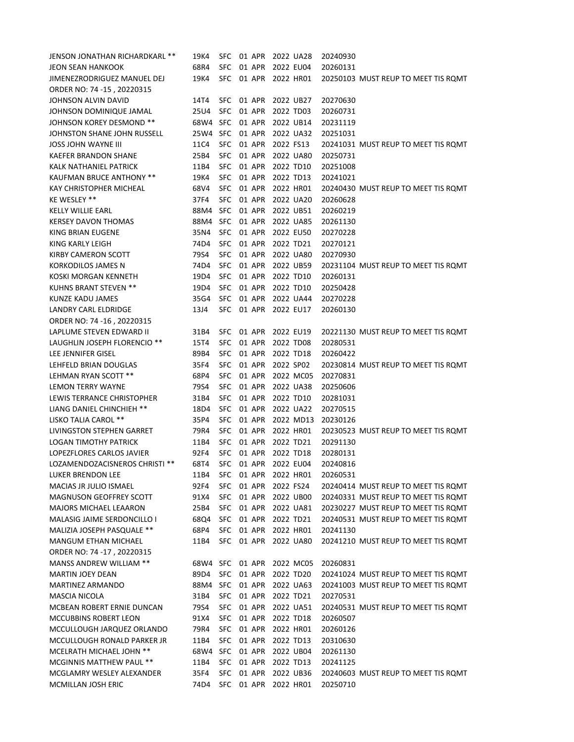| JENSON JONATHAN RICHARDKARL **  | 19K4                      | <b>SFC</b> | 01 APR | 2022 UA28            |           | 20240930 |                                     |
|---------------------------------|---------------------------|------------|--------|----------------------|-----------|----------|-------------------------------------|
| JEON SEAN HANKOOK               | 68R4                      | SFC.       | 01 APR | 2022 EU04            |           | 20260131 |                                     |
| JIMENEZRODRIGUEZ MANUEL DEJ     | 19K4                      | <b>SFC</b> | 01 APR | 2022 HR01            |           |          | 20250103 MUST REUP TO MEET TIS ROMT |
| ORDER NO: 74 -15, 20220315      |                           |            |        |                      |           |          |                                     |
| JOHNSON ALVIN DAVID             | 14T4                      | SFC.       | 01 APR | 2022 UB27            |           | 20270630 |                                     |
| JOHNSON DOMINIQUE JAMAL         | 25U4                      | <b>SFC</b> | 01 APR | 2022 TD03            |           | 20260731 |                                     |
| JOHNSON KOREY DESMOND **        | 68W4 SFC                  |            | 01 APR | 2022 UB14            |           | 20231119 |                                     |
| JOHNSTON SHANE JOHN RUSSELL     | 25W4 SFC                  |            | 01 APR | 2022 UA32            |           | 20251031 |                                     |
| JOSS JOHN WAYNE III             | 11C4                      | <b>SFC</b> | 01 APR | 2022 FS13            |           |          | 20241031 MUST REUP TO MEET TIS ROMT |
| <b>KAEFER BRANDON SHANE</b>     | 25B4                      | <b>SFC</b> | 01 APR | 2022 UA80            |           | 20250731 |                                     |
| KALK NATHANIEL PATRICK          | 11B4                      | <b>SFC</b> | 01 APR | 2022 TD10            |           | 20251008 |                                     |
| <b>KAUFMAN BRUCE ANTHONY **</b> | 19K4                      | <b>SFC</b> | 01 APR | 2022 TD13            |           | 20241021 |                                     |
| <b>KAY CHRISTOPHER MICHEAL</b>  | 68V4                      | <b>SFC</b> | 01 APR | 2022 HR01            |           |          | 20240430 MUST REUP TO MEET TIS ROMT |
| KE WESLEY **                    | 37F4                      | <b>SFC</b> | 01 APR | 2022 UA20            |           | 20260628 |                                     |
| KELLY WILLIE EARL               | 88M4                      | <b>SFC</b> | 01 APR | 2022 UB51            |           | 20260219 |                                     |
| <b>KERSEY DAVON THOMAS</b>      | 88M4                      | <b>SFC</b> | 01 APR | 2022 UA85            |           | 20261130 |                                     |
| KING BRIAN EUGENE               | 35N4                      | <b>SFC</b> | 01 APR | 2022 EU50            |           | 20270228 |                                     |
| KING KARLY LEIGH                | 74D4                      | <b>SFC</b> | 01 APR | 2022 TD21            |           | 20270121 |                                     |
| KIRBY CAMERON SCOTT             | 79S4                      | <b>SFC</b> | 01 APR | 2022 UA80            |           | 20270930 |                                     |
| KORKODILOS JAMES N              | 74D4                      | <b>SFC</b> | 01 APR | 2022 UB59            |           |          | 20231104 MUST REUP TO MEET TIS ROMT |
| KOSKI MORGAN KENNETH            | 19D4                      | <b>SFC</b> | 01 APR | 2022 TD10            |           | 20260131 |                                     |
| <b>KUHNS BRANT STEVEN **</b>    | 19D4                      | <b>SFC</b> | 01 APR | 2022 TD10            |           | 20250428 |                                     |
| KUNZE KADU JAMES                | 35G4                      | SFC 01 APR |        | 2022 UA44            |           | 20270228 |                                     |
| <b>LANDRY CARL ELDRIDGE</b>     | 13J4                      | <b>SFC</b> | 01 APR | 2022 EU17            |           | 20260130 |                                     |
| ORDER NO: 74 -16, 20220315      |                           |            |        |                      |           |          |                                     |
| LAPLUME STEVEN EDWARD II        | 31B4                      | <b>SFC</b> | 01 APR | 2022 EU19            |           |          | 20221130 MUST REUP TO MEET TIS ROMT |
| LAUGHLIN JOSEPH FLORENCIO **    | 15T4                      | <b>SFC</b> | 01 APR | 2022 TD08            |           | 20280531 |                                     |
| LEE JENNIFER GISEL              | 89B4                      | <b>SFC</b> | 01 APR | 2022 TD18            |           | 20260422 |                                     |
| LEHFELD BRIAN DOUGLAS           | 35F4                      | <b>SFC</b> | 01 APR | 2022 SP02            |           |          | 20230814 MUST REUP TO MEET TIS RQMT |
| LEHMAN RYAN SCOTT **            | 68P4                      | <b>SFC</b> | 01 APR |                      | 2022 MC05 | 20270831 |                                     |
| <b>LEMON TERRY WAYNE</b>        | 79S4                      | <b>SFC</b> | 01 APR | 2022 UA38            |           | 20250606 |                                     |
| LEWIS TERRANCE CHRISTOPHER      | 31B4                      | <b>SFC</b> | 01 APR | 2022 TD10            |           | 20281031 |                                     |
| LIANG DANIEL CHINCHIEH **       | 18D4                      | SFC.       | 01 APR | 2022 UA22            |           | 20270515 |                                     |
| LISKO TALIA CAROL **            | 35P4                      | <b>SFC</b> | 01 APR |                      | 2022 MD13 | 20230126 |                                     |
| LIVINGSTON STEPHEN GARRET       | 79R4                      | <b>SFC</b> | 01 APR | 2022 HR01            |           |          | 20230523 MUST REUP TO MEET TIS ROMT |
| <b>LOGAN TIMOTHY PATRICK</b>    | 11B4                      | <b>SFC</b> | 01 APR | 2022 TD21            |           | 20291130 |                                     |
| LOPEZFLORES CARLOS JAVIER       | 92F4                      | <b>SFC</b> | 01 APR | 2022 TD18            |           | 20280131 |                                     |
| LOZAMENDOZACISNEROS CHRISTI **  | 68T4                      | SFC 01 APR |        | 2022 EU04            |           | 20240816 |                                     |
| LUKER BRENDON LEE               | 11B4                      | SFC.       |        | 01 APR 2022 HR01     |           | 20260531 |                                     |
| MACIAS JR JULIO ISMAEL          | 92F4                      | <b>SFC</b> |        | 01 APR 2022 FS24     |           |          | 20240414 MUST REUP TO MEET TIS ROMT |
| <b>MAGNUSON GEOFFREY SCOTT</b>  | 91X4                      | <b>SFC</b> |        | 01 APR 2022 UB00     |           |          | 20240331 MUST REUP TO MEET TIS ROMT |
| <b>MAJORS MICHAEL LEAARON</b>   | 25B4                      | <b>SFC</b> |        | 01 APR 2022 UA81     |           |          | 20230227 MUST REUP TO MEET TIS ROMT |
| MALASIG JAIME SERDONCILLO I     | 68Q4                      | <b>SFC</b> |        | 01 APR 2022 TD21     |           |          | 20240531 MUST REUP TO MEET TIS ROMT |
| MALIZIA JOSEPH PASQUALE **      | 68P4                      |            |        | SFC 01 APR 2022 HR01 |           | 20241130 |                                     |
| <b>MANGUM ETHAN MICHAEL</b>     | 11B4                      |            |        | SFC 01 APR 2022 UA80 |           |          | 20241210 MUST REUP TO MEET TIS ROMT |
| ORDER NO: 74 -17, 20220315      |                           |            |        |                      |           |          |                                     |
| MANSS ANDREW WILLIAM **         | 68W4 SFC 01 APR 2022 MC05 |            |        |                      |           | 20260831 |                                     |
| <b>MARTIN JOEY DEAN</b>         | 89D4                      |            |        | SFC 01 APR 2022 TD20 |           |          | 20241024 MUST REUP TO MEET TIS RQMT |
| MARTINEZ ARMANDO                | 88M4 SFC 01 APR 2022 UA63 |            |        |                      |           |          | 20241003 MUST REUP TO MEET TIS ROMT |
| <b>MASCIA NICOLA</b>            | 31B4                      |            |        | SFC 01 APR 2022 TD21 |           | 20270531 |                                     |
| MCBEAN ROBERT ERNIE DUNCAN      | 79S4                      |            |        | SFC 01 APR 2022 UA51 |           |          | 20240531 MUST REUP TO MEET TIS ROMT |
| <b>MCCUBBINS ROBERT LEON</b>    | 91X4                      |            |        | SFC 01 APR 2022 TD18 |           | 20260507 |                                     |
| MCCULLOUGH JARQUEZ ORLANDO      | 79R4                      |            |        | SFC 01 APR 2022 HR01 |           | 20260126 |                                     |
| MCCULLOUGH RONALD PARKER JR     | 11B4                      | SFC        | 01 APR | 2022 TD13            |           | 20310630 |                                     |
| MCELRATH MICHAEL JOHN **        | 68W4 SFC                  |            | 01 APR | 2022 UB04            |           | 20261130 |                                     |
| <b>MCGINNIS MATTHEW PAUL **</b> | 11B4                      | SFC        | 01 APR | 2022 TD13            |           | 20241125 |                                     |
| MCGLAMRY WESLEY ALEXANDER       | 35F4                      | SFC        | 01 APR | 2022 UB36            |           |          | 20240603 MUST REUP TO MEET TIS RQMT |
| MCMILLAN JOSH ERIC              | 74D4                      |            |        | SFC 01 APR 2022 HR01 |           | 20250710 |                                     |
|                                 |                           |            |        |                      |           |          |                                     |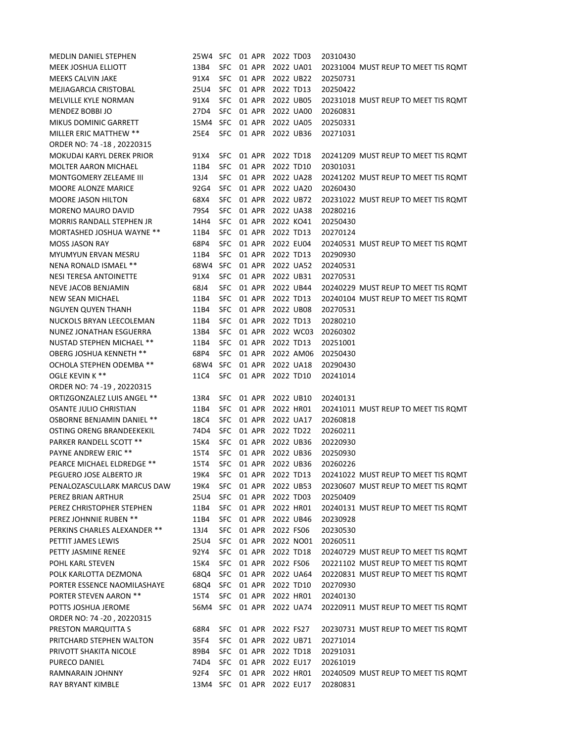| <b>MEDLIN DANIEL STEPHEN</b>   | 25W4 SFC                  |            | 01 APR | 2022 TD03            |                      | 20310430 |                                     |
|--------------------------------|---------------------------|------------|--------|----------------------|----------------------|----------|-------------------------------------|
| <b>MEEK JOSHUA ELLIOTT</b>     | 13B4                      | <b>SFC</b> | 01 APR | 2022 UA01            |                      |          | 20231004 MUST REUP TO MEET TIS ROMT |
| MEEKS CALVIN JAKE              | 91X4                      | <b>SFC</b> | 01 APR | 2022 UB22            |                      | 20250731 |                                     |
| MEJIAGARCIA CRISTOBAL          | 25U4                      | <b>SFC</b> | 01 APR | 2022 TD13            |                      | 20250422 |                                     |
| <b>MELVILLE KYLE NORMAN</b>    | 91X4                      | <b>SFC</b> | 01 APR | 2022 UB05            |                      |          | 20231018 MUST REUP TO MEET TIS ROMT |
| <b>MENDEZ BOBBI JO</b>         | 27D4                      | <b>SFC</b> | 01 APR |                      | 2022 UA00            | 20260831 |                                     |
| MIKUS DOMINIC GARRETT          | 15M4                      | SFC.       | 01 APR | 2022 UA05            |                      | 20250331 |                                     |
| MILLER ERIC MATTHEW **         | 25E4                      | <b>SFC</b> | 01 APR | 2022 UB36            |                      | 20271031 |                                     |
| ORDER NO: 74 -18, 20220315     |                           |            |        |                      |                      |          |                                     |
| MOKUDAI KARYL DEREK PRIOR      | 91X4                      | <b>SFC</b> | 01 APR | 2022 TD18            |                      |          | 20241209 MUST REUP TO MEET TIS ROMT |
| <b>MOLTER AARON MICHAEL</b>    | 11B4                      | <b>SFC</b> | 01 APR | 2022 TD10            |                      | 20301031 |                                     |
| MONTGOMERY ZELEAME III         | 13J4                      | <b>SFC</b> | 01 APR | 2022 UA28            |                      |          | 20241202 MUST REUP TO MEET TIS ROMT |
| <b>MOORE ALONZE MARICE</b>     | 92G4                      | <b>SFC</b> | 01 APR |                      | 2022 UA20            | 20260430 |                                     |
| <b>MOORE JASON HILTON</b>      | 68X4                      | <b>SFC</b> | 01 APR | 2022 UB72            |                      |          | 20231022 MUST REUP TO MEET TIS ROMT |
| <b>MORENO MAURO DAVID</b>      | 79S4                      | <b>SFC</b> | 01 APR | 2022 UA38            |                      | 20280216 |                                     |
| MORRIS RANDALL STEPHEN JR      | 14H4                      | <b>SFC</b> | 01 APR | 2022 KO41            |                      | 20250430 |                                     |
| MORTASHED JOSHUA WAYNE **      | 11B4                      | <b>SFC</b> | 01 APR | 2022 TD13            |                      | 20270124 |                                     |
| <b>MOSS JASON RAY</b>          | 68P4                      | SFC        | 01 APR | 2022 EU04            |                      |          | 20240531 MUST REUP TO MEET TIS ROMT |
| <b>MYUMYUN ERVAN MESRU</b>     | 11B4                      | <b>SFC</b> | 01 APR | 2022 TD13            |                      | 20290930 |                                     |
| NENA RONALD ISMAEL **          | 68W4                      | SFC        | 01 APR |                      | 2022 UA52            | 20240531 |                                     |
| <b>NESI TERESA ANTOINETTE</b>  | 91X4                      | <b>SFC</b> | 01 APR | 2022 UB31            |                      | 20270531 |                                     |
| <b>NEVE JACOB BENJAMIN</b>     | 68J4                      | <b>SFC</b> | 01 APR | 2022 UB44            |                      |          | 20240229 MUST REUP TO MEET TIS ROMT |
| NEW SEAN MICHAEL               | 11B4                      | <b>SFC</b> | 01 APR | 2022 TD13            |                      |          | 20240104 MUST REUP TO MEET TIS ROMT |
| NGUYEN QUYEN THANH             | 11B4                      | <b>SFC</b> | 01 APR | 2022 UB08            |                      | 20270531 |                                     |
| NUCKOLS BRYAN LEECOLEMAN       | 11B4                      | <b>SFC</b> | 01 APR | 2022 TD13            |                      | 20280210 |                                     |
| NUNEZ JONATHAN ESGUERRA        | 13B4                      | <b>SFC</b> | 01 APR |                      | 2022 WC03            | 20260302 |                                     |
| NUSTAD STEPHEN MICHAEL **      | 11B4                      | <b>SFC</b> | 01 APR | 2022 TD13            |                      | 20251001 |                                     |
| OBERG JOSHUA KENNETH **        | 68P4                      | <b>SFC</b> | 01 APR |                      | 2022 AM06            | 20250430 |                                     |
| OCHOLA STEPHEN ODEMBA **       | 68W4 SFC                  |            | 01 APR | 2022 UA18            |                      | 20290430 |                                     |
| OGLE KEVIN K **                | 11C4                      | <b>SFC</b> | 01 APR | 2022 TD10            |                      | 20241014 |                                     |
| ORDER NO: 74 -19, 20220315     |                           |            |        |                      |                      |          |                                     |
| ORTIZGONZALEZ LUIS ANGEL **    | 13R4                      | SFC 01 APR |        | 2022 UB10            |                      | 20240131 |                                     |
| OSANTE JULIO CHRISTIAN         | 11B4                      | <b>SFC</b> | 01 APR | 2022 HR01            |                      |          | 20241011 MUST REUP TO MEET TIS ROMT |
| OSBORNE BENJAMIN DANIEL **     | 18C4                      | <b>SFC</b> | 01 APR | 2022 UA17            |                      | 20260818 |                                     |
| OSTING ORENG BRANDEEKEKIL      | 74D4                      | <b>SFC</b> | 01 APR | 2022 TD22            |                      | 20260211 |                                     |
| <b>PARKER RANDELL SCOTT **</b> | 15K4                      | <b>SFC</b> | 01 APR | 2022 UB36            |                      | 20220930 |                                     |
| <b>PAYNE ANDREW ERIC **</b>    | 15T4                      | <b>SFC</b> | 01 APR | 2022 UB36            |                      | 20250930 |                                     |
| PEARCE MICHAEL ELDREDGE **     | 15T4                      |            |        | SFC 01 APR 2022 UB36 |                      | 20260226 |                                     |
| PEGUERO JOSE ALBERTO JR        | 19K4                      | <b>SFC</b> |        | 01 APR 2022 TD13     |                      |          | 20241022 MUST REUP TO MEET TIS ROMT |
| PENALOZASCULLARK MARCUS DAW    | 19K4                      |            |        | SFC 01 APR 2022 UB53 |                      |          | 20230607 MUST REUP TO MEET TIS ROMT |
| PEREZ BRIAN ARTHUR             | 25U4                      |            |        | SFC 01 APR 2022 TD03 |                      | 20250409 |                                     |
| PEREZ CHRISTOPHER STEPHEN      | 11B4                      |            |        | SFC 01 APR 2022 HR01 |                      |          | 20240131 MUST REUP TO MEET TIS ROMT |
| PEREZ JOHNNIE RUBEN **         | 11B4                      |            |        | SFC 01 APR 2022 UB46 |                      | 20230928 |                                     |
| PERKINS CHARLES ALEXANDER **   | 13J4                      |            |        | SFC 01 APR 2022 FS06 |                      | 20230530 |                                     |
| PETTIT JAMES LEWIS             | 25U4                      |            |        |                      | SFC 01 APR 2022 NO01 | 20260511 |                                     |
| PETTY JASMINE RENEE            | 92Y4                      |            |        | SFC 01 APR 2022 TD18 |                      |          | 20240729 MUST REUP TO MEET TIS ROMT |
| POHL KARL STEVEN               | 15K4                      |            |        | SFC 01 APR 2022 FS06 |                      |          | 20221102 MUST REUP TO MEET TIS ROMT |
| POLK KARLOTTA DEZMONA          | 68Q4                      |            |        | SFC 01 APR 2022 UA64 |                      |          | 20220831 MUST REUP TO MEET TIS ROMT |
| PORTER ESSENCE NAOMILASHAYE    | 68Q4                      |            |        | SFC 01 APR 2022 TD10 |                      | 20270930 |                                     |
| <b>PORTER STEVEN AARON **</b>  | 15T4                      |            |        | SFC 01 APR 2022 HR01 |                      | 20240130 |                                     |
| POTTS JOSHUA JEROME            | 56M4 SFC 01 APR 2022 UA74 |            |        |                      |                      |          | 20220911 MUST REUP TO MEET TIS ROMT |
| ORDER NO: 74 -20, 20220315     |                           |            |        |                      |                      |          |                                     |
| PRESTON MARQUITTA S            | 68R4                      |            |        | SFC 01 APR 2022 FS27 |                      |          | 20230731 MUST REUP TO MEET TIS ROMT |
| PRITCHARD STEPHEN WALTON       | 35F4                      |            |        | SFC 01 APR 2022 UB71 |                      | 20271014 |                                     |
| PRIVOTT SHAKITA NICOLE         | 89B4                      |            |        | SFC 01 APR 2022 TD18 |                      | 20291031 |                                     |
| PURECO DANIEL                  | 74D4                      |            |        | SFC 01 APR 2022 EU17 |                      | 20261019 |                                     |
| RAMNARAIN JOHNNY               | 92F4                      |            |        | SFC 01 APR 2022 HR01 |                      |          | 20240509 MUST REUP TO MEET TIS ROMT |
| RAY BRYANT KIMBLE              | 13M4 SFC 01 APR 2022 EU17 |            |        |                      |                      | 20280831 |                                     |
|                                |                           |            |        |                      |                      |          |                                     |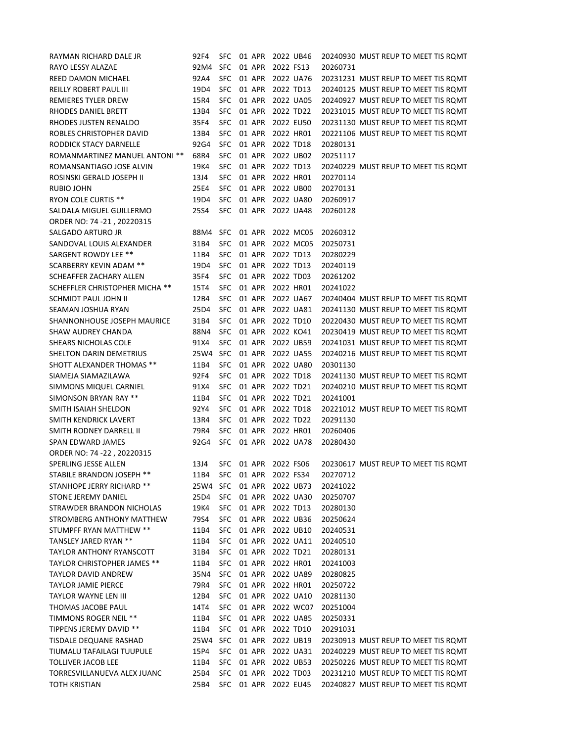| RAYMAN RICHARD DALE JR             | 92F4 |            |        | SFC 01 APR 2022 UB46 |          | 20240930 MUST REUP TO MEET TIS ROMT |
|------------------------------------|------|------------|--------|----------------------|----------|-------------------------------------|
| RAYO LESSY ALAZAE                  | 92M4 | SFC.       | 01 APR | 2022 FS13            | 20260731 |                                     |
| REED DAMON MICHAEL                 | 92A4 | <b>SFC</b> | 01 APR | 2022 UA76            |          | 20231231 MUST REUP TO MEET TIS ROMT |
| REILLY ROBERT PAUL III             | 19D4 | <b>SFC</b> | 01 APR | 2022 TD13            |          | 20240125 MUST REUP TO MEET TIS ROMT |
| <b>REMIERES TYLER DREW</b>         | 15R4 | <b>SFC</b> | 01 APR | 2022 UA05            |          | 20240927 MUST REUP TO MEET TIS ROMT |
| RHODES DANIEL BRETT                | 13B4 | <b>SFC</b> | 01 APR | 2022 TD22            |          | 20231015 MUST REUP TO MEET TIS RQMT |
| RHODES JUSTEN RENALDO              | 35F4 | <b>SFC</b> | 01 APR | 2022 EU50            |          | 20231130 MUST REUP TO MEET TIS RQMT |
| ROBLES CHRISTOPHER DAVID           | 13B4 | <b>SFC</b> | 01 APR | 2022 HR01            |          | 20221106 MUST REUP TO MEET TIS RQMT |
| RODDICK STACY DARNELLE             | 92G4 | <b>SFC</b> | 01 APR | 2022 TD18            | 20280131 |                                     |
| ROMANMARTINEZ MANUEL ANTONI **     | 68R4 | <b>SFC</b> | 01 APR | 2022 UB02            | 20251117 |                                     |
| ROMANSANTIAGO JOSE ALVIN           | 19K4 | <b>SFC</b> | 01 APR | 2022 TD13            |          | 20240229 MUST REUP TO MEET TIS RQMT |
| ROSINSKI GERALD JOSEPH II          | 13J4 | <b>SFC</b> | 01 APR | 2022 HR01            | 20270114 |                                     |
| RUBIO JOHN                         | 25E4 | <b>SFC</b> | 01 APR | 2022 UB00            | 20270131 |                                     |
| <b>RYON COLE CURTIS **</b>         | 19D4 | <b>SFC</b> | 01 APR | 2022 UA80            | 20260917 |                                     |
| SALDALA MIGUEL GUILLERMO           | 25S4 | <b>SFC</b> | 01 APR | 2022 UA48            | 20260128 |                                     |
| ORDER NO: 74 -21, 20220315         |      |            |        |                      |          |                                     |
| SALGADO ARTURO JR                  | 88M4 | <b>SFC</b> | 01 APR | 2022 MC05            | 20260312 |                                     |
| SANDOVAL LOUIS ALEXANDER           | 31B4 | <b>SFC</b> | 01 APR | 2022 MC05            | 20250731 |                                     |
| SARGENT ROWDY LEE **               | 11B4 | <b>SFC</b> | 01 APR | 2022 TD13            | 20280229 |                                     |
| <b>SCARBERRY KEVIN ADAM **</b>     | 19D4 | <b>SFC</b> | 01 APR | 2022 TD13            | 20240119 |                                     |
| SCHEAFFER ZACHARY ALLEN            | 35F4 | <b>SFC</b> | 01 APR | 2022 TD03            | 20261202 |                                     |
| SCHEFFLER CHRISTOPHER MICHA **     | 15T4 | <b>SFC</b> | 01 APR | 2022 HR01            | 20241022 |                                     |
| SCHMIDT PAUL JOHN II               | 12B4 | <b>SFC</b> | 01 APR | 2022 UA67            |          | 20240404 MUST REUP TO MEET TIS ROMT |
| SEAMAN JOSHUA RYAN                 | 25D4 | <b>SFC</b> | 01 APR | 2022 UA81            |          | 20241130 MUST REUP TO MEET TIS ROMT |
| SHANNONHOUSE JOSEPH MAURICE        | 31B4 | <b>SFC</b> | 01 APR | 2022 TD10            |          | 20220430 MUST REUP TO MEET TIS ROMT |
| SHAW AUDREY CHANDA                 | 88N4 | SFC        | 01 APR | 2022 KO41            |          | 20230419 MUST REUP TO MEET TIS ROMT |
| SHEARS NICHOLAS COLE               | 91X4 | <b>SFC</b> | 01 APR | 2022 UB59            |          | 20241031 MUST REUP TO MEET TIS RQMT |
| SHELTON DARIN DEMETRIUS            | 25W4 | SFC        | 01 APR | 2022 UA55            |          | 20240216 MUST REUP TO MEET TIS ROMT |
| SHOTT ALEXANDER THOMAS **          | 11B4 | <b>SFC</b> | 01 APR | 2022 UA80            | 20301130 |                                     |
| SIAMEJA SIAMAZILAWA                | 92F4 | <b>SFC</b> | 01 APR | 2022 TD18            |          | 20241130 MUST REUP TO MEET TIS RQMT |
| SIMMONS MIQUEL CARNIEL             | 91X4 | <b>SFC</b> | 01 APR | 2022 TD21            |          | 20240210 MUST REUP TO MEET TIS RQMT |
| SIMONSON BRYAN RAY **              | 11B4 | <b>SFC</b> | 01 APR | 2022 TD21            | 20241001 |                                     |
| SMITH ISAIAH SHELDON               | 92Y4 | <b>SFC</b> | 01 APR | 2022 TD18            |          | 20221012 MUST REUP TO MEET TIS RQMT |
| SMITH KENDRICK LAVERT              | 13R4 | <b>SFC</b> | 01 APR | 2022 TD22            | 20291130 |                                     |
| SMITH RODNEY DARRELL II            | 79R4 | <b>SFC</b> | 01 APR | 2022 HR01            | 20260406 |                                     |
| SPAN EDWARD JAMES                  | 92G4 | <b>SFC</b> | 01 APR | 2022 UA78            | 20280430 |                                     |
| ORDER NO: 74 -22, 20220315         |      |            |        |                      |          |                                     |
| SPERLING JESSE ALLEN               | 13J4 |            |        | SFC 01 APR 2022 FS06 |          | 20230617 MUST REUP TO MEET TIS ROMT |
| STABILE BRANDON JOSEPH **          | 11B4 | SFC        | 01 APR | 2022 FS34            | 20270712 |                                     |
| STANHOPE JERRY RICHARD **          | 25W4 | <b>SFC</b> | 01 APR | 2022 UB73            | 20241022 |                                     |
| STONE JEREMY DANIEL                | 25D4 | <b>SFC</b> | 01 APR | 2022 UA30            | 20250707 |                                     |
| STRAWDER BRANDON NICHOLAS          | 19K4 | <b>SFC</b> | 01 APR | 2022 TD13            | 20280130 |                                     |
| STROMBERG ANTHONY MATTHEW          | 79S4 | SFC        | 01 APR | 2022 UB36            | 20250624 |                                     |
| STUMPFF RYAN MATTHEW **            | 11B4 | SFC        | 01 APR | 2022 UB10            | 20240531 |                                     |
| TANSLEY JARED RYAN **              | 11B4 | <b>SFC</b> | 01 APR | 2022 UA11            | 20240510 |                                     |
| <b>TAYLOR ANTHONY RYANSCOTT</b>    | 31B4 | <b>SFC</b> | 01 APR | 2022 TD21            | 20280131 |                                     |
| <b>TAYLOR CHRISTOPHER JAMES **</b> | 11B4 | SFC        | 01 APR | 2022 HR01            | 20241003 |                                     |
| <b>TAYLOR DAVID ANDREW</b>         | 35N4 | <b>SFC</b> | 01 APR | 2022 UA89            | 20280825 |                                     |
| <b>TAYLOR JAMIE PIERCE</b>         | 79R4 | <b>SFC</b> | 01 APR | 2022 HR01            | 20250722 |                                     |
| TAYLOR WAYNE LEN III               | 12B4 | <b>SFC</b> | 01 APR | 2022 UA10            | 20281130 |                                     |
| THOMAS JACOBE PAUL                 | 14T4 | SFC        | 01 APR | 2022 WC07            | 20251004 |                                     |
| TIMMONS ROGER NEIL **              | 11B4 | SFC        | 01 APR | 2022 UA85            | 20250331 |                                     |
| TIPPENS JEREMY DAVID **            | 11B4 | SFC        | 01 APR | 2022 TD10            | 20291031 |                                     |
| TISDALE DEQUANE RASHAD             | 25W4 | SFC        | 01 APR | 2022 UB19            |          | 20230913 MUST REUP TO MEET TIS RQMT |
| TIUMALU TAFAILAGI TUUPULE          | 15P4 | <b>SFC</b> | 01 APR | 2022 UA31            |          | 20240229 MUST REUP TO MEET TIS RQMT |
| TOLLIVER JACOB LEE                 | 11B4 | <b>SFC</b> | 01 APR | 2022 UB53            |          | 20250226 MUST REUP TO MEET TIS RQMT |
| TORRESVILLANUEVA ALEX JUANC        | 25B4 | <b>SFC</b> | 01 APR | 2022 TD03            |          | 20231210 MUST REUP TO MEET TIS RQMT |
|                                    |      | SFC.       | 01 APR | 2022 EU45            |          | 20240827 MUST REUP TO MEET TIS ROMT |
| TOTH KRISTIAN                      | 25B4 |            |        |                      |          |                                     |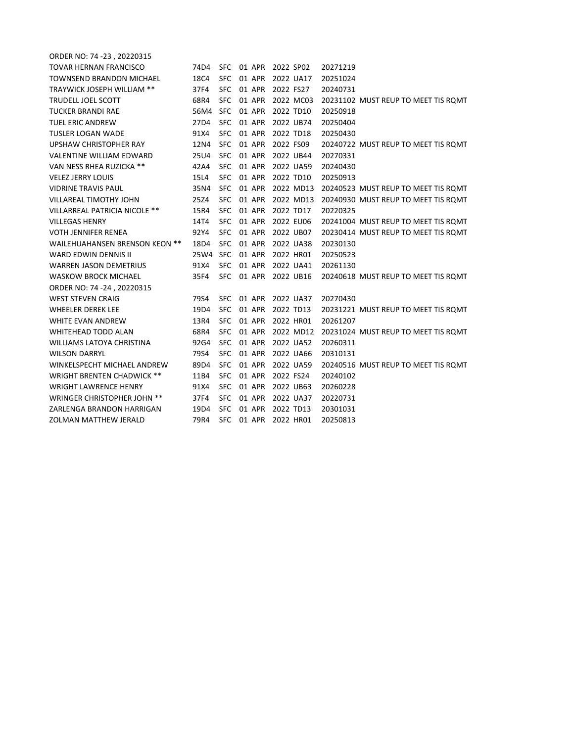| ORDER NO: 74 -23, 20220315           |      |            |        |           |                                     |
|--------------------------------------|------|------------|--------|-----------|-------------------------------------|
| TOVAR HERNAN FRANCISCO               | 74D4 | SFC.       | 01 APR | 2022 SP02 | 20271219                            |
| TOWNSEND BRANDON MICHAEL             | 18C4 | <b>SFC</b> | 01 APR | 2022 UA17 | 20251024                            |
| TRAYWICK JOSEPH WILLIAM **           | 37F4 | <b>SFC</b> | 01 APR | 2022 FS27 | 20240731                            |
| <b>TRUDELL JOEL SCOTT</b>            | 68R4 | <b>SFC</b> | 01 APR | 2022 MC03 | 20231102 MUST REUP TO MEET TIS ROMT |
| <b>TUCKER BRANDI RAE</b>             | 56M4 | SFC.       | 01 APR | 2022 TD10 | 20250918                            |
| TUEL ERIC ANDREW                     | 27D4 | <b>SFC</b> | 01 APR | 2022 UB74 | 20250404                            |
| TUSLER LOGAN WADE                    | 91X4 | <b>SFC</b> | 01 APR | 2022 TD18 | 20250430                            |
| UPSHAW CHRISTOPHER RAY               | 12N4 | SFC.       | 01 APR | 2022 FS09 | 20240722 MUST REUP TO MEET TIS ROMT |
| <b>VALENTINE WILLIAM EDWARD</b>      | 25U4 | <b>SFC</b> | 01 APR | 2022 UB44 | 20270331                            |
| VAN NESS RHEA RUZICKA **             | 42A4 | <b>SFC</b> | 01 APR | 2022 UA59 | 20240430                            |
| <b>VELEZ JERRY LOUIS</b>             | 15L4 | SFC.       | 01 APR | 2022 TD10 | 20250913                            |
| <b>VIDRINE TRAVIS PAUL</b>           | 35N4 | <b>SFC</b> | 01 APR | 2022 MD13 | 20240523 MUST REUP TO MEET TIS ROMT |
| VILLAREAL TIMOTHY JOHN               | 25Z4 | <b>SFC</b> | 01 APR | 2022 MD13 | 20240930 MUST REUP TO MEET TIS ROMT |
| <b>VILLARREAL PATRICIA NICOLE **</b> | 15R4 | <b>SFC</b> | 01 APR | 2022 TD17 | 20220325                            |
| <b>VILLEGAS HENRY</b>                | 14T4 | SFC.       | 01 APR | 2022 EU06 | 20241004 MUST REUP TO MEET TIS ROMT |
| VOTH JENNIFER RENEA                  | 92Y4 | <b>SFC</b> | 01 APR | 2022 UB07 | 20230414 MUST REUP TO MEET TIS ROMT |
| WAILEHUAHANSEN BRENSON KEON **       | 18D4 | SFC.       | 01 APR | 2022 UA38 | 20230130                            |
| WARD EDWIN DENNIS II                 | 25W4 | SFC.       | 01 APR | 2022 HR01 | 20250523                            |
| <b>WARREN JASON DEMETRIUS</b>        | 91X4 | <b>SFC</b> | 01 APR | 2022 UA41 | 20261130                            |
| <b>WASKOW BROCK MICHAEL</b>          | 35F4 | <b>SFC</b> | 01 APR | 2022 UB16 | 20240618 MUST REUP TO MEET TIS ROMT |
| ORDER NO: 74 -24, 20220315           |      |            |        |           |                                     |
| WEST STEVEN CRAIG                    | 79S4 | SFC.       | 01 APR | 2022 UA37 | 20270430                            |
| <b>WHEELER DEREK LEE</b>             | 19D4 | <b>SFC</b> | 01 APR | 2022 TD13 | 20231221 MUST REUP TO MEET TIS ROMT |
| WHITE EVAN ANDREW                    | 13R4 | <b>SFC</b> | 01 APR | 2022 HR01 | 20261207                            |
| WHITEHEAD TODD ALAN                  | 68R4 | <b>SFC</b> | 01 APR | 2022 MD12 | 20231024 MUST REUP TO MEET TIS ROMT |
| <b>WILLIAMS LATOYA CHRISTINA</b>     | 92G4 | <b>SFC</b> | 01 APR | 2022 UA52 | 20260311                            |
| WILSON DARRYL                        | 79S4 | <b>SFC</b> | 01 APR | 2022 UA66 | 20310131                            |
| WINKELSPECHT MICHAEL ANDREW          | 89D4 | <b>SFC</b> | 01 APR | 2022 UA59 | 20240516 MUST REUP TO MEET TIS ROMT |
| <b>WRIGHT BRENTEN CHADWICK **</b>    | 11B4 | SFC.       | 01 APR | 2022 FS24 | 20240102                            |
| <b>WRIGHT LAWRENCE HENRY</b>         | 91X4 | SFC.       | 01 APR | 2022 UB63 | 20260228                            |
| <b>WRINGER CHRISTOPHER JOHN **</b>   | 37F4 | <b>SFC</b> | 01 APR | 2022 UA37 | 20220731                            |
| ZARLENGA BRANDON HARRIGAN            | 19D4 | <b>SFC</b> | 01 APR | 2022 TD13 | 20301031                            |
| ZOLMAN MATTHEW JERALD                | 79R4 | <b>SFC</b> | 01 APR | 2022 HR01 | 20250813                            |
|                                      |      |            |        |           |                                     |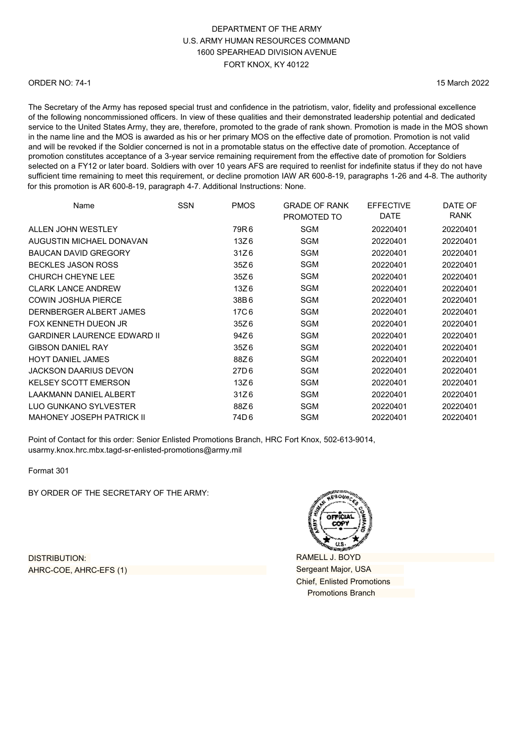#### ORDER NO: 74-1

15 March 2022

The Secretary of the Army has reposed special trust and confidence in the patriotism, valor, fidelity and professional excellence of the following noncommissioned officers. In view of these qualities and their demonstrated leadership potential and dedicated service to the United States Army, they are, therefore, promoted to the grade of rank shown. Promotion is made in the MOS shown in the name line and the MOS is awarded as his or her primary MOS on the effective date of promotion. Promotion is not valid and will be revoked if the Soldier concerned is not in a promotable status on the effective date of promotion. Acceptance of promotion constitutes acceptance of a 3-year service remaining requirement from the effective date of promotion for Soldiers selected on a FY12 or later board. Soldiers with over 10 years AFS are required to reenlist for indefinite status if they do not have sufficient time remaining to meet this requirement, or decline promotion IAW AR 600-8-19, paragraphs 1-26 and 4-8. The authority for this promotion is AR 600-8-19, paragraph 4-7. Additional Instructions: None.

| Name                               | <b>SSN</b> | <b>PMOS</b>      | <b>GRADE OF RANK</b><br>PROMOTED TO | <b>EFFECTIVE</b><br><b>DATE</b> | DATE OF<br><b>RANK</b> |
|------------------------------------|------------|------------------|-------------------------------------|---------------------------------|------------------------|
| ALLEN JOHN WESTLEY                 |            | 79R6             | <b>SGM</b>                          | 20220401                        | 20220401               |
| AUGUSTIN MICHAEL DONAVAN           |            | 13Z6             | SGM                                 | 20220401                        | 20220401               |
| <b>BAUCAN DAVID GREGORY</b>        |            | 31Z6             | <b>SGM</b>                          | 20220401                        | 20220401               |
| <b>BECKLES JASON ROSS</b>          |            | 35Z6             | SGM                                 | 20220401                        | 20220401               |
| <b>CHURCH CHEYNE LEE</b>           |            | 35Z6             | SGM                                 | 20220401                        | 20220401               |
| <b>CLARK LANCE ANDREW</b>          |            | 13Z6             | <b>SGM</b>                          | 20220401                        | 20220401               |
| <b>COWIN JOSHUA PIERCE</b>         |            | 38B6             | <b>SGM</b>                          | 20220401                        | 20220401               |
| DERNBERGER ALBERT JAMES            |            | 17C6             | SGM                                 | 20220401                        | 20220401               |
| FOX KENNETH DUEON JR               |            | 35Z6             | SGM                                 | 20220401                        | 20220401               |
| <b>GARDINER LAURENCE EDWARD II</b> |            | 94Z6             | SGM                                 | 20220401                        | 20220401               |
| <b>GIBSON DANIEL RAY</b>           |            | 35Z6             | SGM                                 | 20220401                        | 20220401               |
| <b>HOYT DANIEL JAMES</b>           |            | 88Z6             | <b>SGM</b>                          | 20220401                        | 20220401               |
| <b>JACKSON DAARIUS DEVON</b>       |            | 27D <sub>6</sub> | <b>SGM</b>                          | 20220401                        | 20220401               |
| <b>KELSEY SCOTT EMERSON</b>        |            | 13Z6             | SGM                                 | 20220401                        | 20220401               |
| <b>LAAKMANN DANIEL ALBERT</b>      |            | 31Z6             | SGM                                 | 20220401                        | 20220401               |
| <b>LUO GUNKANO SYLVESTER</b>       |            | 88Z6             | SGM                                 | 20220401                        | 20220401               |
| <b>MAHONEY JOSEPH PATRICK II</b>   |            | 74D6             | SGM                                 | 20220401                        | 20220401               |

Point of Contact for this order: Senior Enlisted Promotions Branch, HRC Fort Knox, 502-613-9014, [usarmy.knox.hrc.mbx.tagd-sr-enlisted-promotions](mailto:usarmy.knox.hrc.mbx.tagd-sr-enlisted-promotions@mail.mil)@army.mil

Format 301

BY ORDER OF THE SECRETARY OF THE ARMY:

DISTRIBUTION: AHRC-COE, AHRC-EFS (1)

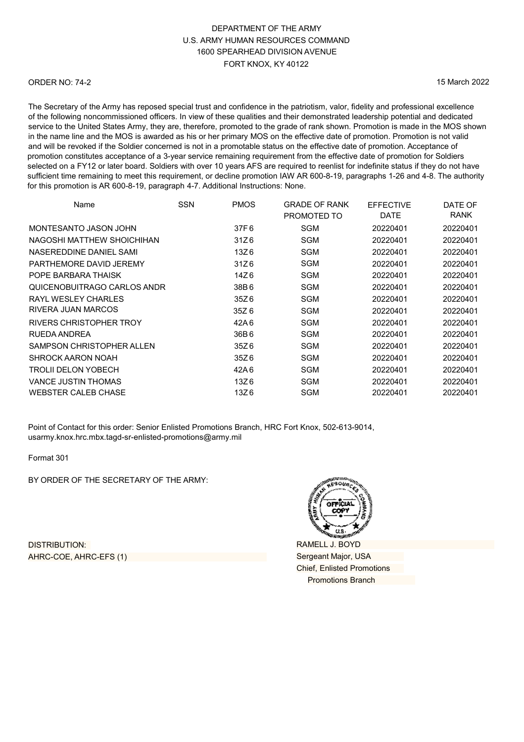#### ORDER NO: 74-2

15 March 2022

The Secretary of the Army has reposed special trust and confidence in the patriotism, valor, fidelity and professional excellence of the following noncommissioned officers. In view of these qualities and their demonstrated leadership potential and dedicated service to the United States Army, they are, therefore, promoted to the grade of rank shown. Promotion is made in the MOS shown in the name line and the MOS is awarded as his or her primary MOS on the effective date of promotion. Promotion is not valid and will be revoked if the Soldier concerned is not in a promotable status on the effective date of promotion. Acceptance of promotion constitutes acceptance of a 3-year service remaining requirement from the effective date of promotion for Soldiers selected on a FY12 or later board. Soldiers with over 10 years AFS are required to reenlist for indefinite status if they do not have sufficient time remaining to meet this requirement, or decline promotion IAW AR 600-8-19, paragraphs 1-26 and 4-8. The authority for this promotion is AR 600-8-19, paragraph 4-7. Additional Instructions: None.

| Name                        | <b>SSN</b> | <b>PMOS</b> | <b>GRADE OF RANK</b><br>PROMOTED TO | <b>EFFECTIVE</b><br><b>DATE</b> | DATE OF<br><b>RANK</b> |
|-----------------------------|------------|-------------|-------------------------------------|---------------------------------|------------------------|
| MONTESANTO JASON JOHN       |            | 37F6        | SGM                                 | 20220401                        | 20220401               |
| NAGOSHI MATTHEW SHOICHIHAN  |            | 31Z6        | SGM                                 | 20220401                        | 20220401               |
| NASEREDDINE DANIEL SAMI     |            | 13Z6        | SGM                                 | 20220401                        | 20220401               |
| PARTHEMORE DAVID JEREMY     |            | 31Z6        | SGM                                 | 20220401                        | 20220401               |
| POPE BARBARA THAISK         |            | 14Z6        | SGM                                 | 20220401                        | 20220401               |
| QUICENOBUITRAGO CARLOS ANDR |            | 38B6        | SGM                                 | 20220401                        | 20220401               |
| RAYL WESLEY CHARLES         |            | 35Z6        | SGM                                 | 20220401                        | 20220401               |
| RIVERA JUAN MARCOS          |            | 35Z 6       | SGM                                 | 20220401                        | 20220401               |
| RIVERS CHRISTOPHER TROY     |            | 42A6        | SGM                                 | 20220401                        | 20220401               |
| RUEDA ANDREA                |            | 36B6        | SGM                                 | 20220401                        | 20220401               |
| SAMPSON CHRISTOPHER ALLEN   |            | 35Z6        | SGM                                 | 20220401                        | 20220401               |
| SHROCK AARON NOAH           |            | 35Z6        | SGM                                 | 20220401                        | 20220401               |
| TROLII DELON YOBECH         |            | 42A6        | SGM                                 | 20220401                        | 20220401               |
| <b>VANCE JUSTIN THOMAS</b>  |            | 13Z6        | SGM                                 | 20220401                        | 20220401               |
| <b>WEBSTER CALEB CHASE</b>  |            | 13Z6        | SGM                                 | 20220401                        | 20220401               |

Point of Contact for this order: Senior Enlisted Promotions Branch, HRC Fort Knox, 502-613-9014, [usarmy.knox.hrc.mbx.tagd-sr-enlisted-promotions@](mailto:usarmy.knox.hrc.mbx.tagd-sr-enlisted-promotions@mail.mil)army.mil

Format 301

BY ORDER OF THE SECRETARY OF THE ARMY:

DISTRIBUTION: AHRC-COE, AHRC-EFS (1)

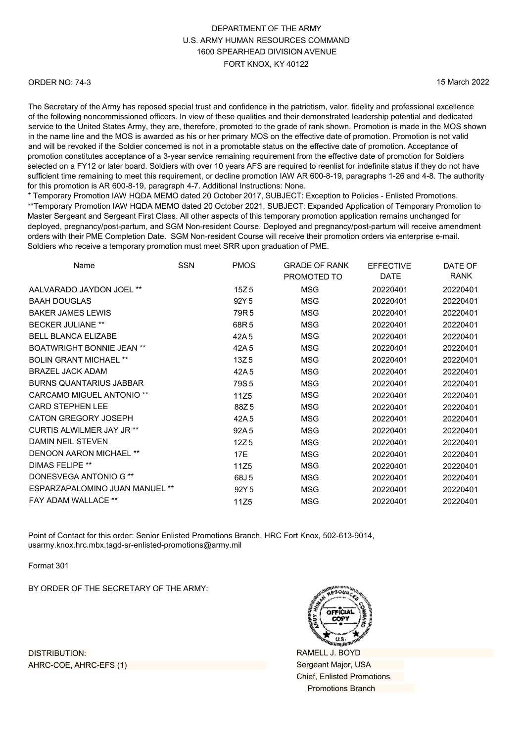#### ORDER NO: 74-3

15 March 2022

The Secretary of the Army has reposed special trust and confidence in the patriotism, valor, fidelity and professional excellence of the following noncommissioned officers. In view of these qualities and their demonstrated leadership potential and dedicated service to the United States Army, they are, therefore, promoted to the grade of rank shown. Promotion is made in the MOS shown in the name line and the MOS is awarded as his or her primary MOS on the effective date of promotion. Promotion is not valid and will be revoked if the Soldier concerned is not in a promotable status on the effective date of promotion. Acceptance of promotion constitutes acceptance of a 3-year service remaining requirement from the effective date of promotion for Soldiers selected on a FY12 or later board. Soldiers with over 10 years AFS are required to reenlist for indefinite status if they do not have sufficient time remaining to meet this requirement, or decline promotion IAW AR 600-8-19, paragraphs 1-26 and 4-8. The authority for this promotion is AR 600-8-19, paragraph 4-7. Additional Instructions: None.

\* Temporary Promotion IAW HQDA MEMO dated 20 October 2017, SUBJECT: Exception to Policies - Enlisted Promotions. \*\*Temporary Promotion IAW HQDA MEMO dated 20 October 2021, SUBJECT: Expanded Application of Temporary Promotion to Master Sergeant and Sergeant First Class. All other aspects of this temporary promotion application remains unchanged for deployed, pregnancy/post-partum, and SGM Non-resident Course. Deployed and pregnancy/post-partum will receive amendment orders with their PME Completion Date. SGM Non-resident Course will receive their promotion orders via enterprise e-mail. Soldiers who receive a temporary promotion must meet SRR upon graduation of PME.

| Name                             | <b>SSN</b> | <b>PMOS</b>      | <b>GRADE OF RANK</b> | <b>EFFECTIVE</b> | DATE OF     |
|----------------------------------|------------|------------------|----------------------|------------------|-------------|
|                                  |            |                  | PROMOTED TO          | <b>DATE</b>      | <b>RANK</b> |
| AALVARADO JAYDON JOEL **         |            | 15Z 5            | <b>MSG</b>           | 20220401         | 20220401    |
| <b>BAAH DOUGLAS</b>              |            | 92Y 5            | <b>MSG</b>           | 20220401         | 20220401    |
| <b>BAKER JAMES LEWIS</b>         |            | 79R 5            | MSG                  | 20220401         | 20220401    |
| <b>BECKER JULIANE **</b>         |            | 68R 5            | MSG                  | 20220401         | 20220401    |
| <b>BELL BLANCA ELIZABE</b>       |            | 42A5             | MSG                  | 20220401         | 20220401    |
| <b>BOATWRIGHT BONNIE JEAN **</b> |            | 42A 5            | <b>MSG</b>           | 20220401         | 20220401    |
| <b>BOLIN GRANT MICHAEL **</b>    |            | 13Z <sub>5</sub> | <b>MSG</b>           | 20220401         | 20220401    |
| <b>BRAZEL JACK ADAM</b>          |            | 42A 5            | MSG                  | 20220401         | 20220401    |
| <b>BURNS QUANTARIUS JABBAR</b>   |            | 79S 5            | MSG                  | 20220401         | 20220401    |
| <b>CARCAMO MIGUEL ANTONIO **</b> |            | 11Z5             | <b>MSG</b>           | 20220401         | 20220401    |
| <b>CARD STEPHEN LEE</b>          |            | 88Z5             | <b>MSG</b>           | 20220401         | 20220401    |
| CATON GREGORY JOSEPH             |            | 42A5             | <b>MSG</b>           | 20220401         | 20220401    |
| <b>CURTIS ALWILMER JAY JR **</b> |            | 92A 5            | MSG                  | 20220401         | 20220401    |
| <b>DAMIN NEIL STEVEN</b>         |            | 12Z <sub>5</sub> | <b>MSG</b>           | 20220401         | 20220401    |
| <b>DENOON AARON MICHAEL **</b>   |            | 17E              | MSG                  | 20220401         | 20220401    |
| <b>DIMAS FELIPE **</b>           |            | 11Z5             | <b>MSG</b>           | 20220401         | 20220401    |
| DONESVEGA ANTONIO G **           |            | 68J 5            | MSG                  | 20220401         | 20220401    |
| ESPARZAPALOMINO JUAN MANUEL **   |            | 92Y 5            | MSG                  | 20220401         | 20220401    |
| <b>FAY ADAM WALLACE **</b>       |            | 11Z <sub>5</sub> | MSG                  | 20220401         | 20220401    |
|                                  |            |                  |                      |                  |             |

Point of Contact for this order: Senior Enlisted Promotions Branch, HRC Fort Knox, 502-613-9014, [usarmy.knox.hrc.mbx.tagd-sr-enlisted-promotions@](mailto:usarmy.knox.hrc.mbx.tagd-sr-enlisted-promotions@mail.mil)army.mil

Format 301

BY ORDER OF THE SECRETARY OF THE ARMY:

DISTRIBUTION: AHRC-COE, AHRC-EFS (1)

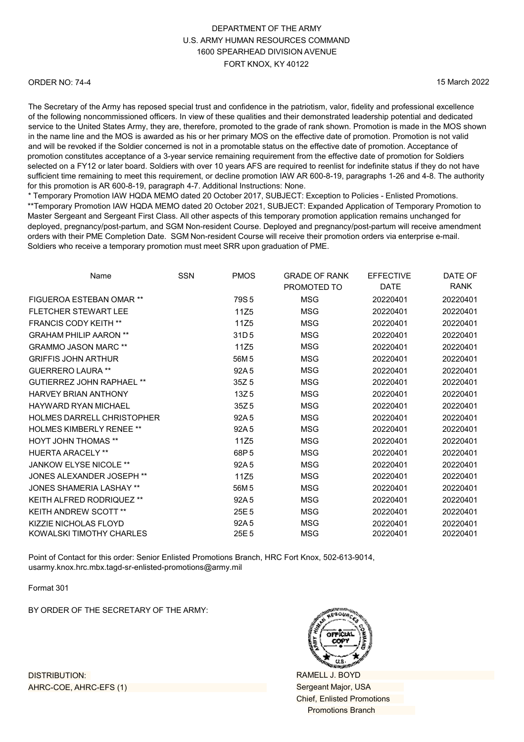#### ORDER NO: 74-4

15 March 2022

The Secretary of the Army has reposed special trust and confidence in the patriotism, valor, fidelity and professional excellence of the following noncommissioned officers. In view of these qualities and their demonstrated leadership potential and dedicated service to the United States Army, they are, therefore, promoted to the grade of rank shown. Promotion is made in the MOS shown in the name line and the MOS is awarded as his or her primary MOS on the effective date of promotion. Promotion is not valid and will be revoked if the Soldier concerned is not in a promotable status on the effective date of promotion. Acceptance of promotion constitutes acceptance of a 3-year service remaining requirement from the effective date of promotion for Soldiers selected on a FY12 or later board. Soldiers with over 10 years AFS are required to reenlist for indefinite status if they do not have sufficient time remaining to meet this requirement, or decline promotion IAW AR 600-8-19, paragraphs 1-26 and 4-8. The authority for this promotion is AR 600-8-19, paragraph 4-7. Additional Instructions: None.

\* Temporary Promotion IAW HQDA MEMO dated 20 October 2017, SUBJECT: Exception to Policies - Enlisted Promotions. \*\*Temporary Promotion IAW HQDA MEMO dated 20 October 2021, SUBJECT: Expanded Application of Temporary Promotion to Master Sergeant and Sergeant First Class. All other aspects of this temporary promotion application remains unchanged for deployed, pregnancy/post-partum, and SGM Non-resident Course. Deployed and pregnancy/post-partum will receive amendment orders with their PME Completion Date. SGM Non-resident Course will receive their promotion orders via enterprise e-mail. Soldiers who receive a temporary promotion must meet SRR upon graduation of PME.

| Name                              | SSN | <b>PMOS</b>      | <b>GRADE OF RANK</b> | <b>EFFECTIVE</b> | DATE OF     |
|-----------------------------------|-----|------------------|----------------------|------------------|-------------|
|                                   |     |                  | PROMOTED TO          | <b>DATE</b>      | <b>RANK</b> |
| FIGUEROA ESTEBAN OMAR **          |     | 79S <sub>5</sub> | <b>MSG</b>           | 20220401         | 20220401    |
| <b>FLETCHER STEWART LEE</b>       |     | 11Z <sub>5</sub> | <b>MSG</b>           | 20220401         | 20220401    |
| <b>FRANCIS CODY KEITH **</b>      |     | 11Z <sub>5</sub> | MSG                  | 20220401         | 20220401    |
| <b>GRAHAM PHILIP AARON **</b>     |     | 31D <sub>5</sub> | <b>MSG</b>           | 20220401         | 20220401    |
| <b>GRAMMO JASON MARC **</b>       |     | 11Z5             | MSG                  | 20220401         | 20220401    |
| <b>GRIFFIS JOHN ARTHUR</b>        |     | 56M 5            | <b>MSG</b>           | 20220401         | 20220401    |
| <b>GUERRERO LAURA **</b>          |     | 92A 5            | MSG                  | 20220401         | 20220401    |
| GUTIFRREZ JOHN RAPHAFI **         |     | 35Z 5            | MSG                  | 20220401         | 20220401    |
| <b>HARVEY BRIAN ANTHONY</b>       |     | 13Z5             | MSG                  | 20220401         | 20220401    |
| HAYWARD RYAN MICHAFI              |     | 35Z <sub>5</sub> | MSG                  | 20220401         | 20220401    |
| <b>HOLMES DARRELL CHRISTOPHER</b> |     | 92A 5            | MSG                  | 20220401         | 20220401    |
| <b>HOLMES KIMBERLY RENEE **</b>   |     | 92A 5            | MSG                  | 20220401         | 20220401    |
| <b>HOYT JOHN THOMAS **</b>        |     | 11Z5             | MSG                  | 20220401         | 20220401    |
| <b>HUERTA ARACELY**</b>           |     | 68P <sub>5</sub> | MSG                  | 20220401         | 20220401    |
| <b>JANKOW ELYSE NICOLE **</b>     |     | 92A 5            | <b>MSG</b>           | 20220401         | 20220401    |
| JONES ALEXANDER JOSEPH **         |     | 11Z5             | MSG                  | 20220401         | 20220401    |
| <b>JONES SHAMERIA LASHAY **</b>   |     | 56M 5            | <b>MSG</b>           | 20220401         | 20220401    |
| <b>KEITH ALFRED RODRIQUEZ **</b>  |     | 92A 5            | MSG                  | 20220401         | 20220401    |
| <b>KEITH ANDREW SCOTT **</b>      |     | 25E <sub>5</sub> | <b>MSG</b>           | 20220401         | 20220401    |
| KIZZIE NICHOLAS FLOYD             |     | 92A 5            | MSG                  | 20220401         | 20220401    |
| KOWALSKI TIMOTHY CHARLES          |     | 25E <sub>5</sub> | <b>MSG</b>           | 20220401         | 20220401    |

Point of Contact for this order: Senior Enlisted Promotions Branch, HRC Fort Knox, 502-613-9014, [usarmy.knox.hrc.mbx.tagd-sr-enlisted-promotions](mailto:usarmy.knox.hrc.mbx.tagd-sr-enlisted-promotions@mail.mil)@army.mil

Format 301

BY ORDER OF THE SECRETARY OF THE ARMY:



RAMELL J. BOYD Sergeant Major, USA Chief, Enlisted Promotions Promotions Branch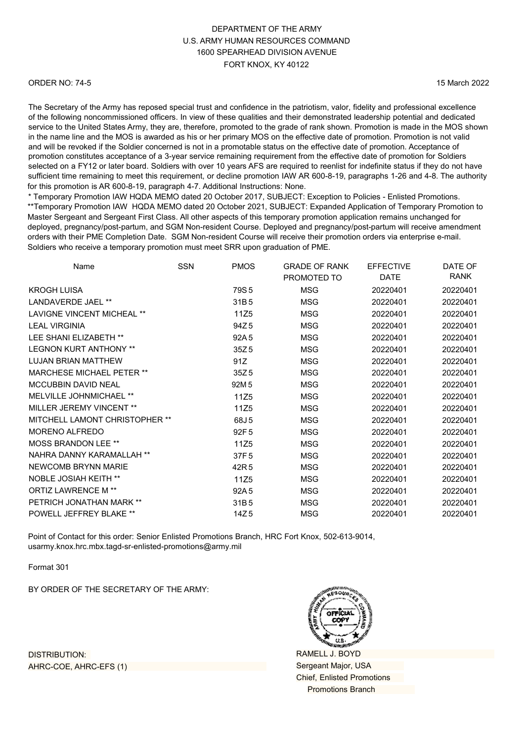#### ORDER NO: 74-5

15 March 2022

The Secretary of the Army has reposed special trust and confidence in the patriotism, valor, fidelity and professional excellence of the following noncommissioned officers. In view of these qualities and their demonstrated leadership potential and dedicated service to the United States Army, they are, therefore, promoted to the grade of rank shown. Promotion is made in the MOS shown in the name line and the MOS is awarded as his or her primary MOS on the effective date of promotion. Promotion is not valid and will be revoked if the Soldier concerned is not in a promotable status on the effective date of promotion. Acceptance of promotion constitutes acceptance of a 3-year service remaining requirement from the effective date of promotion for Soldiers selected on a FY12 or later board. Soldiers with over 10 years AFS are required to reenlist for indefinite status if they do not have sufficient time remaining to meet this requirement, or decline promotion IAW AR 600-8-19, paragraphs 1-26 and 4-8. The authority for this promotion is AR 600-8-19, paragraph 4-7. Additional Instructions: None.

\* Temporary Promotion IAW HQDA MEMO dated 20 October 2017, SUBJECT: Exception to Policies - Enlisted Promotions. \*\*Temporary Promotion IAW HQDA MEMO dated 20 October 2021, SUBJECT: Expanded Application of Temporary Promotion to Master Sergeant and Sergeant First Class. All other aspects of this temporary promotion application remains unchanged for deployed, pregnancy/post-partum, and SGM Non-resident Course. Deployed and pregnancy/post-partum will receive amendment orders with their PME Completion Date. SGM Non-resident Course will receive their promotion orders via enterprise e-mail. Soldiers who receive a temporary promotion must meet SRR upon graduation of PME.

| Name                              | <b>SSN</b> | <b>PMOS</b>      | <b>GRADE OF RANK</b><br>PROMOTED TO | <b>EFFECTIVE</b><br><b>DATE</b> | DATE OF<br>RANK |
|-----------------------------------|------------|------------------|-------------------------------------|---------------------------------|-----------------|
| <b>KROGH LUISA</b>                |            | 79S <sub>5</sub> | <b>MSG</b>                          | 20220401                        | 20220401        |
| LANDAVERDE JAEL **                |            | 31B5             | <b>MSG</b>                          | 20220401                        | 20220401        |
| <b>LAVIGNE VINCENT MICHEAL **</b> |            | 11Z5             | <b>MSG</b>                          | 20220401                        | 20220401        |
| <b>LEAL VIRGINIA</b>              |            | 94Z <sub>5</sub> | <b>MSG</b>                          | 20220401                        | 20220401        |
| LEE SHANI ELIZABETH **            |            | 92A <sub>5</sub> | <b>MSG</b>                          | 20220401                        | 20220401        |
| <b>LEGNON KURT ANTHONY **</b>     |            | 35Z <sub>5</sub> | MSG                                 | 20220401                        | 20220401        |
| <b>LUJAN BRIAN MATTHEW</b>        |            | 91Z              | <b>MSG</b>                          | 20220401                        | 20220401        |
| <b>MARCHESE MICHAEL PETER **</b>  |            | 35Z <sub>5</sub> | MSG                                 | 20220401                        | 20220401        |
| <b>MCCUBBIN DAVID NEAL</b>        |            | 92M 5            | MSG                                 | 20220401                        | 20220401        |
| MELVILLE JOHNMICHAEL **           |            | 11Z5             | <b>MSG</b>                          | 20220401                        | 20220401        |
| MILLER JEREMY VINCENT **          |            | 11Z5             | <b>MSG</b>                          | 20220401                        | 20220401        |
| MITCHELL LAMONT CHRISTOPHER **    |            | 68J 5            | MSG                                 | 20220401                        | 20220401        |
| <b>MORENO ALFREDO</b>             |            | 92F <sub>5</sub> | MSG                                 | 20220401                        | 20220401        |
| <b>MOSS BRANDON LEE **</b>        |            | 11Z5             | <b>MSG</b>                          | 20220401                        | 20220401        |
| NAHRA DANNY KARAMALLAH **         |            | 37F <sub>5</sub> | <b>MSG</b>                          | 20220401                        | 20220401        |
| NEWCOMB BRYNN MARIE               |            | 42R <sub>5</sub> | <b>MSG</b>                          | 20220401                        | 20220401        |
| <b>NOBLE JOSIAH KEITH **</b>      |            | 11Z5             | MSG                                 | 20220401                        | 20220401        |
| <b>ORTIZ LAWRENCE M**</b>         |            | 92A 5            | <b>MSG</b>                          | 20220401                        | 20220401        |
| PETRICH JONATHAN MARK **          |            | 31B <sub>5</sub> | MSG                                 | 20220401                        | 20220401        |
| POWELL JEFFREY BLAKE **           |            | 14Z <sub>5</sub> | MSG                                 | 20220401                        | 20220401        |

Point of Contact for this order: Senior Enlisted Promotions Branch, HRC Fort Knox, 502-613-9014, [usarmy.knox.hrc.mbx.tagd-sr-enlisted-promotions@](mailto:usarmy.knox.hrc.mbx.tagd-sr-enlisted-promotions@mail.mil)army.mil

Format 301

BY ORDER OF THE SECRETARY OF THE ARMY:

RAMELL J. BOYD Sergeant Major, USA Chief, Enlisted Promotions Promotions Branch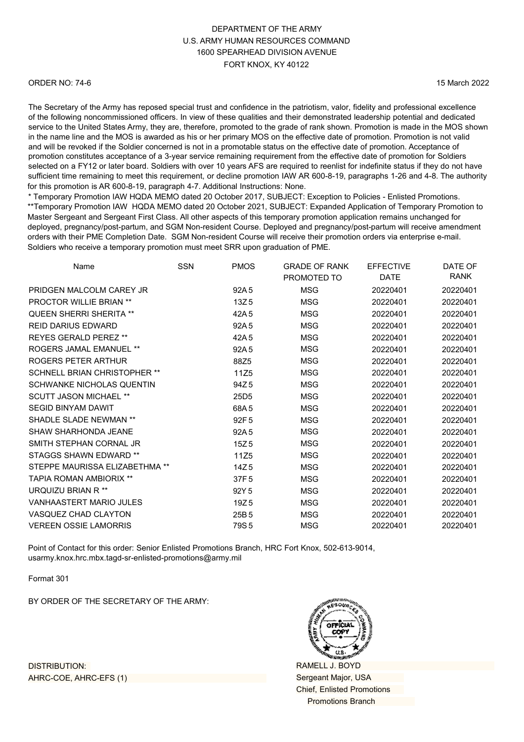#### ORDER NO: 74-6

15 March 2022

The Secretary of the Army has reposed special trust and confidence in the patriotism, valor, fidelity and professional excellence of the following noncommissioned officers. In view of these qualities and their demonstrated leadership potential and dedicated service to the United States Army, they are, therefore, promoted to the grade of rank shown. Promotion is made in the MOS shown in the name line and the MOS is awarded as his or her primary MOS on the effective date of promotion. Promotion is not valid and will be revoked if the Soldier concerned is not in a promotable status on the effective date of promotion. Acceptance of promotion constitutes acceptance of a 3-year service remaining requirement from the effective date of promotion for Soldiers selected on a FY12 or later board. Soldiers with over 10 years AFS are required to reenlist for indefinite status if they do not have sufficient time remaining to meet this requirement, or decline promotion IAW AR 600-8-19, paragraphs 1-26 and 4-8. The authority for this promotion is AR 600-8-19, paragraph 4-7. Additional Instructions: None.

\* Temporary Promotion IAW HQDA MEMO dated 20 October 2017, SUBJECT: Exception to Policies - Enlisted Promotions. \*\*Temporary Promotion IAW HQDA MEMO dated 20 October 2021, SUBJECT: Expanded Application of Temporary Promotion to Master Sergeant and Sergeant First Class. All other aspects of this temporary promotion application remains unchanged for deployed, pregnancy/post-partum, and SGM Non-resident Course. Deployed and pregnancy/post-partum will receive amendment orders with their PME Completion Date. SGM Non-resident Course will receive their promotion orders via enterprise e-mail. Soldiers who receive a temporary promotion must meet SRR upon graduation of PME.

| Name                                | <b>SSN</b> | <b>PMOS</b>      | <b>GRADE OF RANK</b> | <b>EFFECTIVE</b> | DATE OF     |
|-------------------------------------|------------|------------------|----------------------|------------------|-------------|
|                                     |            |                  | PROMOTED TO          | <b>DATE</b>      | <b>RANK</b> |
| PRIDGEN MALCOLM CAREY JR            |            | 92A <sub>5</sub> | <b>MSG</b>           | 20220401         | 20220401    |
| <b>PROCTOR WILLIE BRIAN **</b>      |            | 13Z <sub>5</sub> | MSG                  | 20220401         | 20220401    |
| <b>QUEEN SHERRI SHERITA **</b>      |            | 42A5             | <b>MSG</b>           | 20220401         | 20220401    |
| <b>REID DARIUS EDWARD</b>           |            | 92A <sub>5</sub> | <b>MSG</b>           | 20220401         | 20220401    |
| REYES GERALD PEREZ **               |            | 42A5             | <b>MSG</b>           | 20220401         | 20220401    |
| ROGERS JAMAI FMANUFI **             |            | 92A <sub>5</sub> | <b>MSG</b>           | 20220401         | 20220401    |
| ROGERS PETER ARTHUR                 |            | 88Z5             | MSG                  | 20220401         | 20220401    |
| <b>SCHNELL BRIAN CHRISTOPHER **</b> |            | 11Z5             | MSG                  | 20220401         | 20220401    |
| <b>SCHWANKE NICHOLAS QUENTIN</b>    |            | 94Z <sub>5</sub> | <b>MSG</b>           | 20220401         | 20220401    |
| <b>SCUTT JASON MICHAEL **</b>       |            | 25D <sub>5</sub> | MSG                  | 20220401         | 20220401    |
| <b>SEGID BINYAM DAWIT</b>           |            | 68A5             | MSG                  | 20220401         | 20220401    |
| <b>SHADLE SLADE NEWMAN **</b>       |            | 92F <sub>5</sub> | MSG                  | 20220401         | 20220401    |
| <b>SHAW SHARHONDA JEANE</b>         |            | 92A <sub>5</sub> | MSG                  | 20220401         | 20220401    |
| SMITH STEPHAN CORNAL JR             |            | 15Z <sub>5</sub> | <b>MSG</b>           | 20220401         | 20220401    |
| <b>STAGGS SHAWN EDWARD **</b>       |            | 11Z5             | MSG                  | 20220401         | 20220401    |
| STEPPE MAURISSA ELIZABETHMA **      |            | 14Z <sub>5</sub> | MSG                  | 20220401         | 20220401    |
| <b>TAPIA ROMAN AMBIORIX **</b>      |            | 37F <sub>5</sub> | <b>MSG</b>           | 20220401         | 20220401    |
| URQUIZU BRIAN R <sup>**</sup>       |            | 92Y 5            | MSG                  | 20220401         | 20220401    |
| <b>VANHAASTERT MARIO JULES</b>      |            | 19Z <sub>5</sub> | <b>MSG</b>           | 20220401         | 20220401    |
| VASQUEZ CHAD CLAYTON                |            | 25B <sub>5</sub> | <b>MSG</b>           | 20220401         | 20220401    |
| <b>VEREEN OSSIE LAMORRIS</b>        |            | 79S 5            | MSG                  | 20220401         | 20220401    |
|                                     |            |                  |                      |                  |             |

Point of Contact for this order: Senior Enlisted Promotions Branch, HRC Fort Knox, 502-613-9014, [usarmy.knox.hrc.mbx.tagd-sr-enlisted-promotions@](mailto:usarmy.knox.hrc.mbx.tagd-sr-enlisted-promotions@mail.mil)army.mil

Format 301

BY ORDER OF THE SECRETARY OF THE ARMY:



RAMELL J. BOYD Sergeant Major, USA Chief, Enlisted Promotions Promotions Branch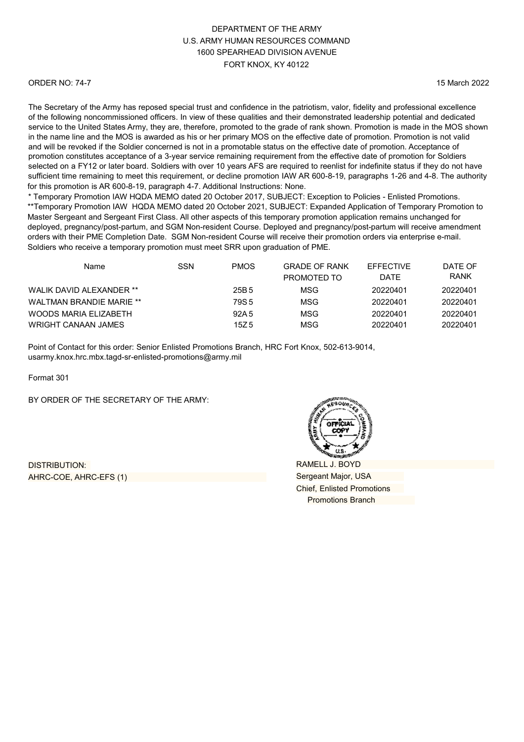#### ORDER NO: 74-7

15 March 2022

The Secretary of the Army has reposed special trust and confidence in the patriotism, valor, fidelity and professional excellence of the following noncommissioned officers. In view of these qualities and their demonstrated leadership potential and dedicated service to the United States Army, they are, therefore, promoted to the grade of rank shown. Promotion is made in the MOS shown in the name line and the MOS is awarded as his or her primary MOS on the effective date of promotion. Promotion is not valid and will be revoked if the Soldier concerned is not in a promotable status on the effective date of promotion. Acceptance of promotion constitutes acceptance of a 3-year service remaining requirement from the effective date of promotion for Soldiers selected on a FY12 or later board. Soldiers with over 10 years AFS are required to reenlist for indefinite status if they do not have sufficient time remaining to meet this requirement, or decline promotion IAW AR 600-8-19, paragraphs 1-26 and 4-8. The authority for this promotion is AR 600-8-19, paragraph 4-7. Additional Instructions: None.

\* Temporary Promotion IAW HQDA MEMO dated 20 October 2017, SUBJECT: Exception to Policies - Enlisted Promotions. \*\*Temporary Promotion IAW HQDA MEMO dated 20 October 2021, SUBJECT: Expanded Application of Temporary Promotion to Master Sergeant and Sergeant First Class. All other aspects of this temporary promotion application remains unchanged for deployed, pregnancy/post-partum, and SGM Non-resident Course. Deployed and pregnancy/post-partum will receive amendment orders with their PME Completion Date. SGM Non-resident Course will receive their promotion orders via enterprise e-mail. Soldiers who receive a temporary promotion must meet SRR upon graduation of PME.

| Name                            | SSN | <b>PMOS</b> | <b>GRADE OF RANK</b> | <b>EFFECTIVE</b> | DATE OF     |
|---------------------------------|-----|-------------|----------------------|------------------|-------------|
|                                 |     |             | PROMOTED TO          | <b>DATE</b>      | <b>RANK</b> |
| WALIK DAVID ALEXANDER **        |     | 25B 5       | MSG                  | 20220401         | 20220401    |
| <b>WALTMAN BRANDIE MARIE **</b> |     | 79S 5       | MSG                  | 20220401         | 20220401    |
| WOODS MARIA ELIZABETH           |     | 92A 5       | MSG                  | 20220401         | 20220401    |
| WRIGHT CANAAN JAMES             |     | 15Z 5       | MSG                  | 20220401         | 20220401    |

Point of Contact for this order: Senior Enlisted Promotions Branch, HRC Fort Knox, 502-613-9014, [usarmy.knox.hrc.mbx.tagd-sr-enlisted-promotions@](mailto:usarmy.knox.hrc.mbx.tagd-sr-enlisted-promotions@mail.mil)army.mil

Format 301

BY ORDER OF THE SECRETARY OF THE ARMY:

DISTRIBUTION: AHRC-COE, AHRC-EFS (1)

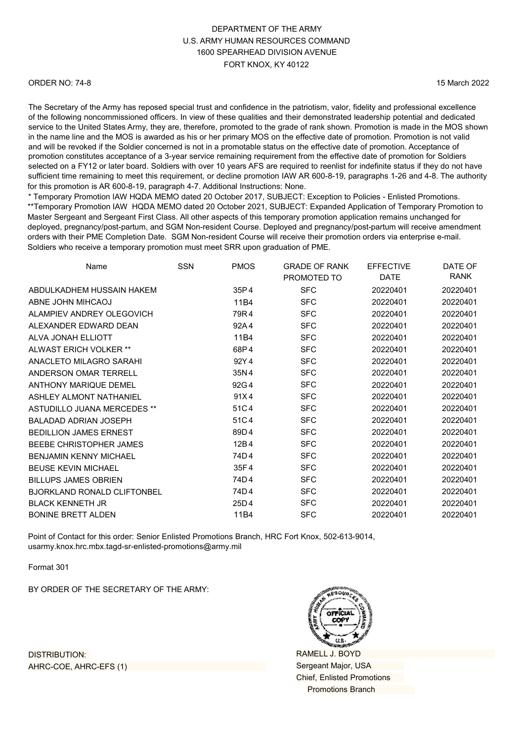#### ORDER NO: 74-8

15 March 2022

The Secretary of the Army has reposed special trust and confidence in the patriotism, valor, fidelity and professional excellence of the following noncommissioned officers. In view of these qualities and their demonstrated leadership potential and dedicated service to the United States Army, they are, therefore, promoted to the grade of rank shown. Promotion is made in the MOS shown in the name line and the MOS is awarded as his or her primary MOS on the effective date of promotion. Promotion is not valid and will be revoked if the Soldier concerned is not in a promotable status on the effective date of promotion. Acceptance of promotion constitutes acceptance of a 3-year service remaining requirement from the effective date of promotion for Soldiers selected on a FY12 or later board. Soldiers with over 10 years AFS are required to reenlist for indefinite status if they do not have sufficient time remaining to meet this requirement, or decline promotion IAW AR 600-8-19, paragraphs 1-26 and 4-8. The authority for this promotion is AR 600-8-19, paragraph 4-7. Additional Instructions: None.

\* Temporary Promotion IAW HQDA MEMO dated 20 October 2017, SUBJECT: Exception to Policies - Enlisted Promotions. \*\*Temporary Promotion IAW HQDA MEMO dated 20 October 2021, SUBJECT: Expanded Application of Temporary Promotion to Master Sergeant and Sergeant First Class. All other aspects of this temporary promotion application remains unchanged for deployed, pregnancy/post-partum, and SGM Non-resident Course. Deployed and pregnancy/post-partum will receive amendment orders with their PME Completion Date. SGM Non-resident Course will receive their promotion orders via enterprise e-mail. Soldiers who receive a temporary promotion must meet SRR upon graduation of PME.

| Name                               | <b>SSN</b> | <b>PMOS</b> | <b>GRADE OF RANK</b> | <b>EFFECTIVE</b> | DATE OF     |
|------------------------------------|------------|-------------|----------------------|------------------|-------------|
|                                    |            |             | PROMOTED TO          | <b>DATE</b>      | <b>RANK</b> |
| ABDULKADHEM HUSSAIN HAKEM          |            | 35P4        | <b>SFC</b>           | 20220401         | 20220401    |
| ABNE JOHN MIHCAOJ                  |            | 11B4        | <b>SFC</b>           | 20220401         | 20220401    |
| ALAMPIEV ANDREY OLEGOVICH          |            | 79R4        | <b>SFC</b>           | 20220401         | 20220401    |
| ALEXANDER EDWARD DEAN              |            | 92A4        | <b>SFC</b>           | 20220401         | 20220401    |
| ALVA JONAH ELLIOTT                 |            | 11B4        | <b>SFC</b>           | 20220401         | 20220401    |
| ALWAST ERICH VOLKER **             |            | 68P4        | <b>SFC</b>           | 20220401         | 20220401    |
| ANACLETO MILAGRO SARAHI            |            | 92Y4        | <b>SFC</b>           | 20220401         | 20220401    |
| ANDERSON OMAR TERRELL              |            | 35N4        | <b>SFC</b>           | 20220401         | 20220401    |
| <b>ANTHONY MARIQUE DEMEL</b>       |            | 92G4        | <b>SFC</b>           | 20220401         | 20220401    |
| ASHLEY ALMONT NATHANIEL            |            | 91X4        | <b>SFC</b>           | 20220401         | 20220401    |
| ASTUDILLO JUANA MERCEDES **        |            | 51C4        | <b>SFC</b>           | 20220401         | 20220401    |
| <b>BALADAD ADRIAN JOSEPH</b>       |            | 51C4        | <b>SFC</b>           | 20220401         | 20220401    |
| <b>BEDILLION JAMES ERNEST</b>      |            | 89D4        | <b>SFC</b>           | 20220401         | 20220401    |
| BEEBE CHRISTOPHER JAMES            |            | 12B4        | <b>SFC</b>           | 20220401         | 20220401    |
| <b>BENJAMIN KENNY MICHAEL</b>      |            | 74D4        | <b>SFC</b>           | 20220401         | 20220401    |
| <b>BEUSE KEVIN MICHAEL</b>         |            | 35F4        | <b>SFC</b>           | 20220401         | 20220401    |
| <b>BILLUPS JAMES OBRIEN</b>        |            | 74D4        | <b>SFC</b>           | 20220401         | 20220401    |
| <b>BJORKLAND RONALD CLIFTONBEL</b> |            | 74D4        | <b>SFC</b>           | 20220401         | 20220401    |
| <b>BLACK KENNETH JR</b>            |            | 25D4        | <b>SFC</b>           | 20220401         | 20220401    |
| <b>BONINE BRETT ALDEN</b>          |            | 11B4        | <b>SFC</b>           | 20220401         | 20220401    |
|                                    |            |             |                      |                  |             |

Point of Contact for this order: Senior Enlisted Promotions Branch, HRC Fort Knox, 502-613-9014, [usarmy.knox.hrc.mbx.tagd-sr-enlisted-promotions@](mailto:usarmy.knox.hrc.mbx.tagd-sr-enlisted-promotions@mail.mil)army.mil

Format 301

BY ORDER OF THE SECRETARY OF THE ARMY:

DISTRIBUTION: AHRC-COE, AHRC-EFS (1)

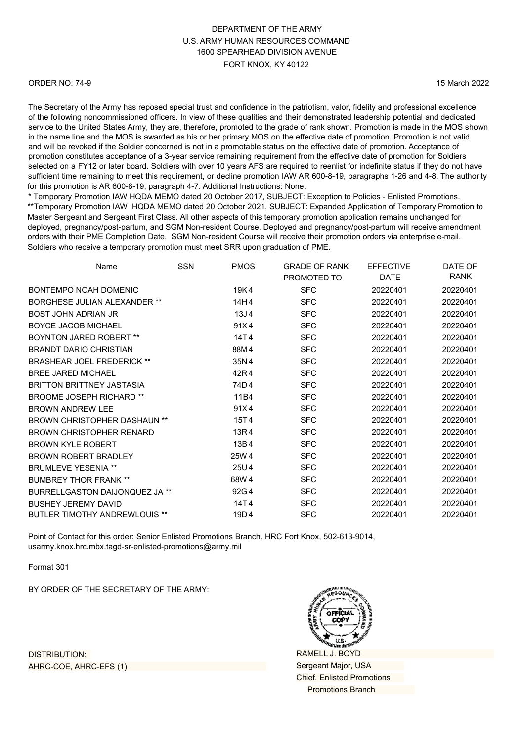#### ORDER NO: 74-9

15 March 2022

The Secretary of the Army has reposed special trust and confidence in the patriotism, valor, fidelity and professional excellence of the following noncommissioned officers. In view of these qualities and their demonstrated leadership potential and dedicated service to the United States Army, they are, therefore, promoted to the grade of rank shown. Promotion is made in the MOS shown in the name line and the MOS is awarded as his or her primary MOS on the effective date of promotion. Promotion is not valid and will be revoked if the Soldier concerned is not in a promotable status on the effective date of promotion. Acceptance of promotion constitutes acceptance of a 3-year service remaining requirement from the effective date of promotion for Soldiers selected on a FY12 or later board. Soldiers with over 10 years AFS are required to reenlist for indefinite status if they do not have sufficient time remaining to meet this requirement, or decline promotion IAW AR 600-8-19, paragraphs 1-26 and 4-8. The authority for this promotion is AR 600-8-19, paragraph 4-7. Additional Instructions: None.

\* Temporary Promotion IAW HQDA MEMO dated 20 October 2017, SUBJECT: Exception to Policies - Enlisted Promotions. \*\*Temporary Promotion IAW HQDA MEMO dated 20 October 2021, SUBJECT: Expanded Application of Temporary Promotion to Master Sergeant and Sergeant First Class. All other aspects of this temporary promotion application remains unchanged for deployed, pregnancy/post-partum, and SGM Non-resident Course. Deployed and pregnancy/post-partum will receive amendment orders with their PME Completion Date. SGM Non-resident Course will receive their promotion orders via enterprise e-mail. Soldiers who receive a temporary promotion must meet SRR upon graduation of PME.

| Name                                 | <b>SSN</b> | <b>PMOS</b>      | <b>GRADE OF RANK</b><br>PROMOTED TO | <b>EFFECTIVE</b><br><b>DATE</b> | DATE OF<br><b>RANK</b> |
|--------------------------------------|------------|------------------|-------------------------------------|---------------------------------|------------------------|
| BONTEMPO NOAH DOMENIC                |            | 19K4             | <b>SFC</b>                          | 20220401                        | 20220401               |
| <b>BORGHESE JULIAN ALEXANDER **</b>  |            | 14H4             | <b>SFC</b>                          | 20220401                        | 20220401               |
| <b>BOST JOHN ADRIAN JR</b>           |            | 13J <sub>4</sub> | <b>SFC</b>                          | 20220401                        | 20220401               |
| <b>BOYCE JACOB MICHAEL</b>           |            | 91X4             | <b>SFC</b>                          | 20220401                        | 20220401               |
| <b>BOYNTON JARED ROBERT **</b>       |            | 14T4             | <b>SFC</b>                          | 20220401                        | 20220401               |
| <b>BRANDT DARIO CHRISTIAN</b>        |            | 88M4             | <b>SFC</b>                          | 20220401                        | 20220401               |
| <b>BRASHEAR JOEL FREDERICK **</b>    |            | 35N4             | <b>SFC</b>                          | 20220401                        | 20220401               |
| BREE JARED MICHAEL                   |            | 42R4             | <b>SFC</b>                          | 20220401                        | 20220401               |
| <b>BRITTON BRITTNEY JASTASIA</b>     |            | 74D4             | <b>SFC</b>                          | 20220401                        | 20220401               |
| <b>BROOME JOSEPH RICHARD **</b>      |            | 11B4             | <b>SFC</b>                          | 20220401                        | 20220401               |
| <b>BROWN ANDREW LEE</b>              |            | 91X4             | <b>SFC</b>                          | 20220401                        | 20220401               |
| <b>BROWN CHRISTOPHER DASHAUN **</b>  |            | 15T4             | <b>SFC</b>                          | 20220401                        | 20220401               |
| <b>BROWN CHRISTOPHER RENARD</b>      |            | 13R4             | <b>SFC</b>                          | 20220401                        | 20220401               |
| <b>BROWN KYLE ROBERT</b>             |            | 13B4             | <b>SFC</b>                          | 20220401                        | 20220401               |
| <b>BROWN ROBERT BRADLEY</b>          |            | 25W 4            | <b>SFC</b>                          | 20220401                        | 20220401               |
| <b>BRUMLEVE YESENIA **</b>           |            | 25U4             | <b>SFC</b>                          | 20220401                        | 20220401               |
| <b>BUMBREY THOR FRANK **</b>         |            | 68W4             | <b>SFC</b>                          | 20220401                        | 20220401               |
| BURRELLGASTON DAIJONQUEZ JA **       |            | 92G4             | <b>SFC</b>                          | 20220401                        | 20220401               |
| <b>BUSHEY JEREMY DAVID</b>           |            | 14T4             | <b>SFC</b>                          | 20220401                        | 20220401               |
| <b>BUTLER TIMOTHY ANDREWLOUIS **</b> |            | 19D4             | <b>SFC</b>                          | 20220401                        | 20220401               |

Point of Contact for this order: Senior Enlisted Promotions Branch, HRC Fort Knox, 502-613-9014, [usarmy.knox.hrc.mbx.tagd-sr-enlisted-promotions@](mailto:usarmy.knox.hrc.mbx.tagd-sr-enlisted-promotions@mail.mil)army.mil

Format 301

BY ORDER OF THE SECRETARY OF THE ARMY:

DISTRIBUTION: AHRC-COE, AHRC-EFS (1)

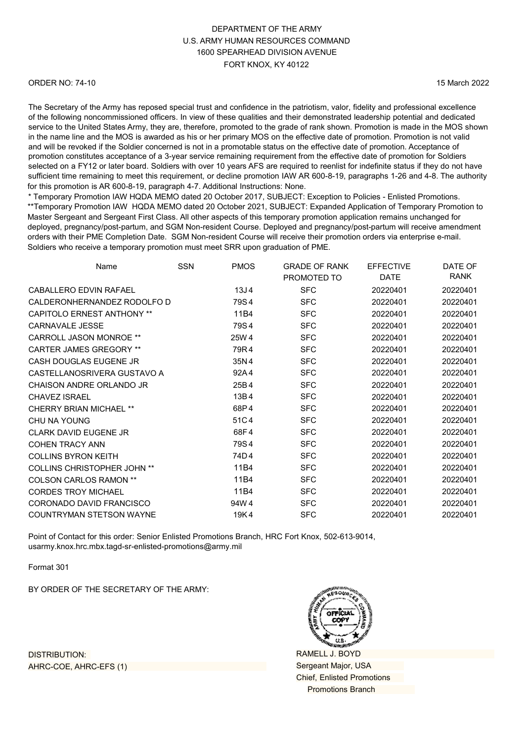#### ORDER NO: 74-10

15 March 2022

The Secretary of the Army has reposed special trust and confidence in the patriotism, valor, fidelity and professional excellence of the following noncommissioned officers. In view of these qualities and their demonstrated leadership potential and dedicated service to the United States Army, they are, therefore, promoted to the grade of rank shown. Promotion is made in the MOS shown in the name line and the MOS is awarded as his or her primary MOS on the effective date of promotion. Promotion is not valid and will be revoked if the Soldier concerned is not in a promotable status on the effective date of promotion. Acceptance of promotion constitutes acceptance of a 3-year service remaining requirement from the effective date of promotion for Soldiers selected on a FY12 or later board. Soldiers with over 10 years AFS are required to reenlist for indefinite status if they do not have sufficient time remaining to meet this requirement, or decline promotion IAW AR 600-8-19, paragraphs 1-26 and 4-8. The authority for this promotion is AR 600-8-19, paragraph 4-7. Additional Instructions: None.

\* Temporary Promotion IAW HQDA MEMO dated 20 October 2017, SUBJECT: Exception to Policies - Enlisted Promotions. \*\*Temporary Promotion IAW HQDA MEMO dated 20 October 2021, SUBJECT: Expanded Application of Temporary Promotion to Master Sergeant and Sergeant First Class. All other aspects of this temporary promotion application remains unchanged for deployed, pregnancy/post-partum, and SGM Non-resident Course. Deployed and pregnancy/post-partum will receive amendment orders with their PME Completion Date. SGM Non-resident Course will receive their promotion orders via enterprise e-mail. Soldiers who receive a temporary promotion must meet SRR upon graduation of PME.

| Name                               | <b>SSN</b> | <b>PMOS</b>      | <b>GRADE OF RANK</b><br>PROMOTED TO | <b>EFFECTIVE</b><br><b>DATE</b> | DATE OF<br>RANK |
|------------------------------------|------------|------------------|-------------------------------------|---------------------------------|-----------------|
| CABALLERO EDVIN RAFAEL             |            | 13J <sub>4</sub> | <b>SFC</b>                          | 20220401                        | 20220401        |
| CALDERONHERNANDEZ RODOLFO D        |            | 79S4             | <b>SFC</b>                          | 20220401                        | 20220401        |
| <b>CAPITOLO ERNEST ANTHONY **</b>  |            | 11B4             | <b>SFC</b>                          | 20220401                        | 20220401        |
| <b>CARNAVALE JESSE</b>             |            | 79S4             | <b>SFC</b>                          | 20220401                        | 20220401        |
| <b>CARROLL JASON MONROE **</b>     |            | 25W 4            | <b>SFC</b>                          | 20220401                        | 20220401        |
| <b>CARTER JAMES GREGORY **</b>     |            | 79R4             | <b>SFC</b>                          | 20220401                        | 20220401        |
| CASH DOUGLAS EUGENE JR             |            | 35N4             | <b>SFC</b>                          | 20220401                        | 20220401        |
| CASTELLANOSRIVERA GUSTAVO A        |            | 92A4             | <b>SFC</b>                          | 20220401                        | 20220401        |
| CHAISON ANDRE ORLANDO JR           |            | 25B4             | <b>SFC</b>                          | 20220401                        | 20220401        |
| <b>CHAVEZ ISRAEL</b>               |            | 13B4             | <b>SFC</b>                          | 20220401                        | 20220401        |
| CHERRY BRIAN MICHAFI **            |            | 68P4             | <b>SFC</b>                          | 20220401                        | 20220401        |
| CHU NA YOUNG                       |            | 51C4             | <b>SFC</b>                          | 20220401                        | 20220401        |
| CLARK DAVID FUGENE JR              |            | 68F4             | <b>SFC</b>                          | 20220401                        | 20220401        |
| <b>COHEN TRACY ANN</b>             |            | 79S4             | <b>SFC</b>                          | 20220401                        | 20220401        |
| <b>COLLINS BYRON KEITH</b>         |            | 74D4             | <b>SFC</b>                          | 20220401                        | 20220401        |
| <b>COLLINS CHRISTOPHER JOHN **</b> |            | 11B4             | <b>SFC</b>                          | 20220401                        | 20220401        |
| <b>COLSON CARLOS RAMON **</b>      |            | 11B4             | <b>SFC</b>                          | 20220401                        | 20220401        |
| <b>CORDES TROY MICHAEL</b>         |            | 11B4             | <b>SFC</b>                          | 20220401                        | 20220401        |
| CORONADO DAVID FRANCISCO           |            | 94W 4            | <b>SFC</b>                          | 20220401                        | 20220401        |
| <b>COUNTRYMAN STETSON WAYNE</b>    |            | 19K4             | <b>SFC</b>                          | 20220401                        | 20220401        |

Point of Contact for this order: Senior Enlisted Promotions Branch, HRC Fort Knox, 502-613-9014, [usarmy.knox.hrc.mbx.tagd-sr-enlisted-promotions@](mailto:usarmy.knox.hrc.mbx.tagd-sr-enlisted-promotions@mail.mil)army.mil

Format 301

BY ORDER OF THE SECRETARY OF THE ARMY:

RAMELL J. BOYD Sergeant Major, USA Chief, Enlisted Promotions Promotions Branch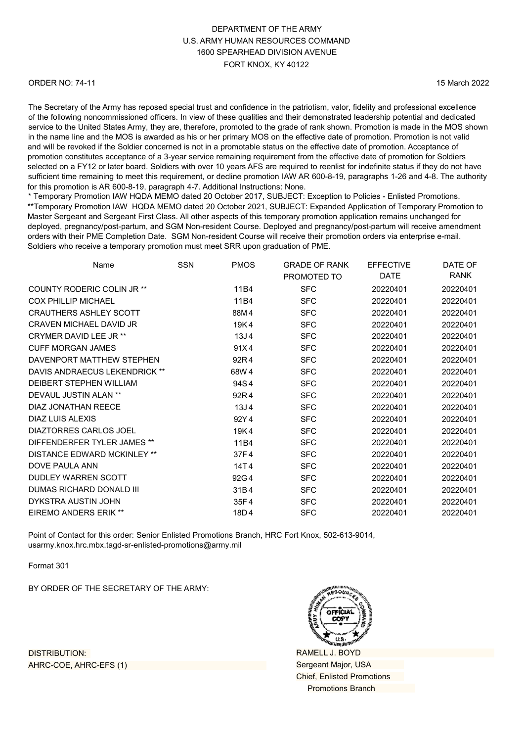#### ORDER NO: 74-11

15 March 2022

The Secretary of the Army has reposed special trust and confidence in the patriotism, valor, fidelity and professional excellence of the following noncommissioned officers. In view of these qualities and their demonstrated leadership potential and dedicated service to the United States Army, they are, therefore, promoted to the grade of rank shown. Promotion is made in the MOS shown in the name line and the MOS is awarded as his or her primary MOS on the effective date of promotion. Promotion is not valid and will be revoked if the Soldier concerned is not in a promotable status on the effective date of promotion. Acceptance of promotion constitutes acceptance of a 3-year service remaining requirement from the effective date of promotion for Soldiers selected on a FY12 or later board. Soldiers with over 10 years AFS are required to reenlist for indefinite status if they do not have sufficient time remaining to meet this requirement, or decline promotion IAW AR 600-8-19, paragraphs 1-26 and 4-8. The authority for this promotion is AR 600-8-19, paragraph 4-7. Additional Instructions: None.

\* Temporary Promotion IAW HQDA MEMO dated 20 October 2017, SUBJECT: Exception to Policies - Enlisted Promotions. \*\*Temporary Promotion IAW HQDA MEMO dated 20 October 2021, SUBJECT: Expanded Application of Temporary Promotion to Master Sergeant and Sergeant First Class. All other aspects of this temporary promotion application remains unchanged for deployed, pregnancy/post-partum, and SGM Non-resident Course. Deployed and pregnancy/post-partum will receive amendment orders with their PME Completion Date. SGM Non-resident Course will receive their promotion orders via enterprise e-mail. Soldiers who receive a temporary promotion must meet SRR upon graduation of PME.

| Name                           | <b>SSN</b> | <b>PMOS</b>      | <b>GRADE OF RANK</b> | <b>EFFECTIVE</b> | DATE OF<br><b>RANK</b> |
|--------------------------------|------------|------------------|----------------------|------------------|------------------------|
|                                |            |                  | PROMOTED TO          | <b>DATE</b>      |                        |
| COUNTY RODERIC COLIN JR **     |            | 11B4             | <b>SFC</b>           | 20220401         | 20220401               |
| <b>COX PHILLIP MICHAEL</b>     |            | 11B4             | <b>SFC</b>           | 20220401         | 20220401               |
| <b>CRAUTHERS ASHLEY SCOTT</b>  |            | 88M4             | <b>SFC</b>           | 20220401         | 20220401               |
| <b>CRAVEN MICHAEL DAVID JR</b> |            | 19K4             | <b>SFC</b>           | 20220401         | 20220401               |
| CRYMER DAVID LEE JR **         |            | 13J <sub>4</sub> | <b>SFC</b>           | 20220401         | 20220401               |
| <b>CUFF MORGAN JAMES</b>       |            | 91X4             | <b>SFC</b>           | 20220401         | 20220401               |
| DAVENPORT MATTHEW STEPHEN      |            | 92R4             | <b>SFC</b>           | 20220401         | 20220401               |
| DAVIS ANDRAECUS LEKENDRICK **  |            | 68W 4            | <b>SFC</b>           | 20220401         | 20220401               |
| DEIBERT STEPHEN WILLIAM        |            | 94S4             | <b>SFC</b>           | 20220401         | 20220401               |
| DEVAUL JUSTIN ALAN **          |            | 92R4             | <b>SFC</b>           | 20220401         | 20220401               |
| DIAZ JONATHAN REECE            |            | 13J <sub>4</sub> | <b>SFC</b>           | 20220401         | 20220401               |
| DIAZ LUIS ALEXIS               |            | 92Y4             | <b>SFC</b>           | 20220401         | 20220401               |
| DIAZTORRES CARLOS JOEL         |            | 19K4             | <b>SFC</b>           | 20220401         | 20220401               |
| DIFFENDERFER TYLER JAMES **    |            | 11B4             | <b>SFC</b>           | 20220401         | 20220401               |
| DISTANCE EDWARD MCKINLEY **    |            | 37F4             | <b>SFC</b>           | 20220401         | 20220401               |
| DOVE PAULA ANN                 |            | 14T4             | <b>SFC</b>           | 20220401         | 20220401               |
| DUDLEY WARREN SCOTT            |            | 92G4             | <b>SFC</b>           | 20220401         | 20220401               |
| DUMAS RICHARD DONALD III       |            | 31B4             | <b>SFC</b>           | 20220401         | 20220401               |
| DYKSTRA AUSTIN JOHN            |            | 35F4             | <b>SFC</b>           | 20220401         | 20220401               |
| <b>EIREMO ANDERS ERIK **</b>   |            | 18D4             | <b>SFC</b>           | 20220401         | 20220401               |
|                                |            |                  |                      |                  |                        |

Point of Contact for this order: Senior Enlisted Promotions Branch, HRC Fort Knox, 502-613-9014, [usarmy.knox.hrc.mbx.tagd-sr-enlisted-promotions@](mailto:usarmy.knox.hrc.mbx.tagd-sr-enlisted-promotions@mail.mil)army.mil

Format 301

BY ORDER OF THE SECRETARY OF THE ARMY:



RAMELL J. BOYD Sergeant Major, USA Chief, Enlisted Promotions Promotions Branch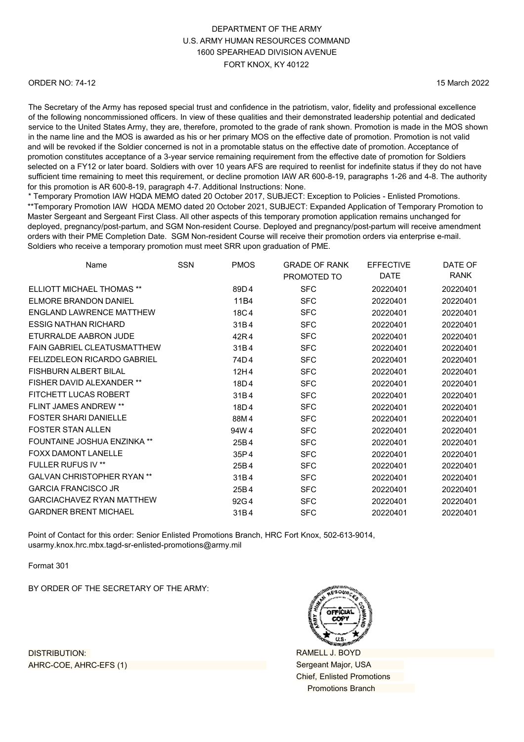#### ORDER NO: 74-12

15 March 2022

The Secretary of the Army has reposed special trust and confidence in the patriotism, valor, fidelity and professional excellence of the following noncommissioned officers. In view of these qualities and their demonstrated leadership potential and dedicated service to the United States Army, they are, therefore, promoted to the grade of rank shown. Promotion is made in the MOS shown in the name line and the MOS is awarded as his or her primary MOS on the effective date of promotion. Promotion is not valid and will be revoked if the Soldier concerned is not in a promotable status on the effective date of promotion. Acceptance of promotion constitutes acceptance of a 3-year service remaining requirement from the effective date of promotion for Soldiers selected on a FY12 or later board. Soldiers with over 10 years AFS are required to reenlist for indefinite status if they do not have sufficient time remaining to meet this requirement, or decline promotion IAW AR 600-8-19, paragraphs 1-26 and 4-8. The authority for this promotion is AR 600-8-19, paragraph 4-7. Additional Instructions: None.

\* Temporary Promotion IAW HQDA MEMO dated 20 October 2017, SUBJECT: Exception to Policies - Enlisted Promotions. \*\*Temporary Promotion IAW HQDA MEMO dated 20 October 2021, SUBJECT: Expanded Application of Temporary Promotion to Master Sergeant and Sergeant First Class. All other aspects of this temporary promotion application remains unchanged for deployed, pregnancy/post-partum, and SGM Non-resident Course. Deployed and pregnancy/post-partum will receive amendment orders with their PME Completion Date. SGM Non-resident Course will receive their promotion orders via enterprise e-mail. Soldiers who receive a temporary promotion must meet SRR upon graduation of PME.

| Name                               | <b>SSN</b> | <b>PMOS</b> | <b>GRADE OF RANK</b> | <b>EFFECTIVE</b> | DATE OF     |
|------------------------------------|------------|-------------|----------------------|------------------|-------------|
|                                    |            |             | PROMOTED TO          | DATE             | <b>RANK</b> |
| <b>ELLIOTT MICHAEL THOMAS **</b>   |            | 89D4        | <b>SFC</b>           | 20220401         | 20220401    |
| ELMORE BRANDON DANIEL              |            | 11B4        | <b>SFC</b>           | 20220401         | 20220401    |
| ENGLAND LAWRENCE MATTHEW           |            | 18C4        | <b>SFC</b>           | 20220401         | 20220401    |
| <b>ESSIG NATHAN RICHARD</b>        |            | 31B4        | <b>SFC</b>           | 20220401         | 20220401    |
| ETURRALDE AABRON JUDE              |            | 42R4        | <b>SFC</b>           | 20220401         | 20220401    |
| <b>FAIN GABRIEL CLEATUSMATTHEW</b> |            | 31B4        | <b>SFC</b>           | 20220401         | 20220401    |
| <b>FELIZDELEON RICARDO GABRIEL</b> |            | 74D4        | <b>SFC</b>           | 20220401         | 20220401    |
| FISHBURN AI BERT BILAL             |            | 12H4        | <b>SFC</b>           | 20220401         | 20220401    |
| <b>FISHER DAVID ALEXANDER **</b>   |            | 18D4        | <b>SFC</b>           | 20220401         | 20220401    |
| FITCHETT LUCAS ROBERT              |            | 31B4        | <b>SFC</b>           | 20220401         | 20220401    |
| <b>FLINT JAMES ANDREW **</b>       |            | 18D4        | <b>SFC</b>           | 20220401         | 20220401    |
| <b>FOSTER SHARI DANIELLE</b>       |            | 88M4        | <b>SFC</b>           | 20220401         | 20220401    |
| <b>FOSTER STAN ALLEN</b>           |            | 94W4        | <b>SFC</b>           | 20220401         | 20220401    |
| FOUNTAINE JOSHUA ENZINKA **        |            | 25B4        | <b>SFC</b>           | 20220401         | 20220401    |
| <b>FOXX DAMONT LANELLE</b>         |            | 35P4        | <b>SFC</b>           | 20220401         | 20220401    |
| <b>FULLER RUFUS IV **</b>          |            | 25B4        | <b>SFC</b>           | 20220401         | 20220401    |
| <b>GALVAN CHRISTOPHER RYAN **</b>  |            | 31B4        | <b>SFC</b>           | 20220401         | 20220401    |
| <b>GARCIA FRANCISCO JR</b>         |            | 25B4        | <b>SFC</b>           | 20220401         | 20220401    |
| <b>GARCIACHAVEZ RYAN MATTHEW</b>   |            | 92G4        | <b>SFC</b>           | 20220401         | 20220401    |
| <b>GARDNER BRENT MICHAEL</b>       |            | 31B4        | <b>SFC</b>           | 20220401         | 20220401    |
|                                    |            |             |                      |                  |             |

Point of Contact for this order: Senior Enlisted Promotions Branch, HRC Fort Knox, 502-613-9014, [usarmy.knox.hrc.mbx.tagd-sr-enlisted-promotions@](mailto:usarmy.knox.hrc.mbx.tagd-sr-enlisted-promotions@mail.mil)army.mil

Format 301

BY ORDER OF THE SECRETARY OF THE ARMY:



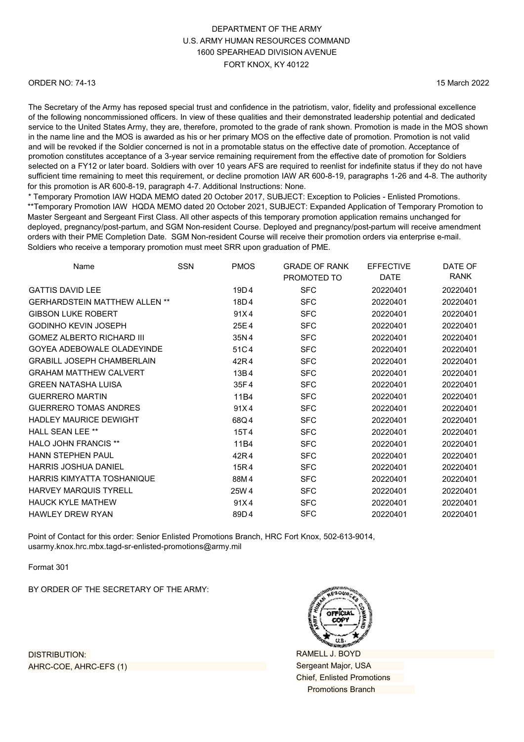#### ORDER NO: 74-13

15 March 2022

The Secretary of the Army has reposed special trust and confidence in the patriotism, valor, fidelity and professional excellence of the following noncommissioned officers. In view of these qualities and their demonstrated leadership potential and dedicated service to the United States Army, they are, therefore, promoted to the grade of rank shown. Promotion is made in the MOS shown in the name line and the MOS is awarded as his or her primary MOS on the effective date of promotion. Promotion is not valid and will be revoked if the Soldier concerned is not in a promotable status on the effective date of promotion. Acceptance of promotion constitutes acceptance of a 3-year service remaining requirement from the effective date of promotion for Soldiers selected on a FY12 or later board. Soldiers with over 10 years AFS are required to reenlist for indefinite status if they do not have sufficient time remaining to meet this requirement, or decline promotion IAW AR 600-8-19, paragraphs 1-26 and 4-8. The authority for this promotion is AR 600-8-19, paragraph 4-7. Additional Instructions: None.

\* Temporary Promotion IAW HQDA MEMO dated 20 October 2017, SUBJECT: Exception to Policies - Enlisted Promotions. \*\*Temporary Promotion IAW HQDA MEMO dated 20 October 2021, SUBJECT: Expanded Application of Temporary Promotion to Master Sergeant and Sergeant First Class. All other aspects of this temporary promotion application remains unchanged for deployed, pregnancy/post-partum, and SGM Non-resident Course. Deployed and pregnancy/post-partum will receive amendment orders with their PME Completion Date. SGM Non-resident Course will receive their promotion orders via enterprise e-mail. Soldiers who receive a temporary promotion must meet SRR upon graduation of PME.

| Name                                 | SSN | <b>PMOS</b> | <b>GRADE OF RANK</b><br>PROMOTED TO | <b>EFFECTIVE</b><br><b>DATE</b> | DATE OF<br><b>RANK</b> |
|--------------------------------------|-----|-------------|-------------------------------------|---------------------------------|------------------------|
| <b>GATTIS DAVID LEE</b>              |     | 19D4        | <b>SFC</b>                          | 20220401                        | 20220401               |
| <b>GERHARDSTEIN MATTHEW ALLEN **</b> |     | 18D4        | <b>SFC</b>                          | 20220401                        | 20220401               |
| <b>GIBSON LUKE ROBERT</b>            |     | 91X4        | <b>SFC</b>                          | 20220401                        | 20220401               |
| <b>GODINHO KEVIN JOSEPH</b>          |     | 25E4        | <b>SFC</b>                          | 20220401                        | 20220401               |
| <b>GOMEZ ALBERTO RICHARD III</b>     |     | 35N4        | <b>SFC</b>                          | 20220401                        | 20220401               |
| GOYEA ADEBOWALE OLADEYINDE           |     | 51C4        | <b>SFC</b>                          | 20220401                        | 20220401               |
| <b>GRABILL JOSEPH CHAMBERLAIN</b>    |     | 42R4        | <b>SFC</b>                          | 20220401                        | 20220401               |
| <b>GRAHAM MATTHEW CALVERT</b>        |     | 13B4        | <b>SFC</b>                          | 20220401                        | 20220401               |
| <b>GREEN NATASHA LUISA</b>           |     | 35F4        | <b>SFC</b>                          | 20220401                        | 20220401               |
| <b>GUERRERO MARTIN</b>               |     | 11B4        | <b>SFC</b>                          | 20220401                        | 20220401               |
| <b>GUERRERO TOMAS ANDRES</b>         |     | 91X4        | <b>SFC</b>                          | 20220401                        | 20220401               |
| <b>HADLEY MAURICE DEWIGHT</b>        |     | 68Q4        | <b>SFC</b>                          | 20220401                        | 20220401               |
| <b>HALL SEAN LEE **</b>              |     | 15T4        | <b>SFC</b>                          | 20220401                        | 20220401               |
| <b>HALO JOHN FRANCIS **</b>          |     | 11B4        | <b>SFC</b>                          | 20220401                        | 20220401               |
| <b>HANN STEPHEN PAUL</b>             |     | 42R4        | <b>SFC</b>                          | 20220401                        | 20220401               |
| <b>HARRIS JOSHUA DANIEL</b>          |     | 15R4        | <b>SFC</b>                          | 20220401                        | 20220401               |
| HARRIS KIMYATTA TOSHANIQUE           |     | 88M4        | <b>SFC</b>                          | 20220401                        | 20220401               |
| HARVEY MARQUIS TYRELL                |     | 25W 4       | <b>SFC</b>                          | 20220401                        | 20220401               |
| <b>HAUCK KYLE MATHEW</b>             |     | 91X4        | <b>SFC</b>                          | 20220401                        | 20220401               |
| <b>HAWLEY DREW RYAN</b>              |     | 89D4        | <b>SFC</b>                          | 20220401                        | 20220401               |

Point of Contact for this order: Senior Enlisted Promotions Branch, HRC Fort Knox, 502-613-9014, [usarmy.knox.hrc.mbx.tagd-sr-enlisted-promotions@](mailto:usarmy.knox.hrc.mbx.tagd-sr-enlisted-promotions@mail.mil)army.mil

Format 301

BY ORDER OF THE SECRETARY OF THE ARMY:

RAMELL J. BOYD Sergeant Major, USA Chief, Enlisted Promotions Promotions Branch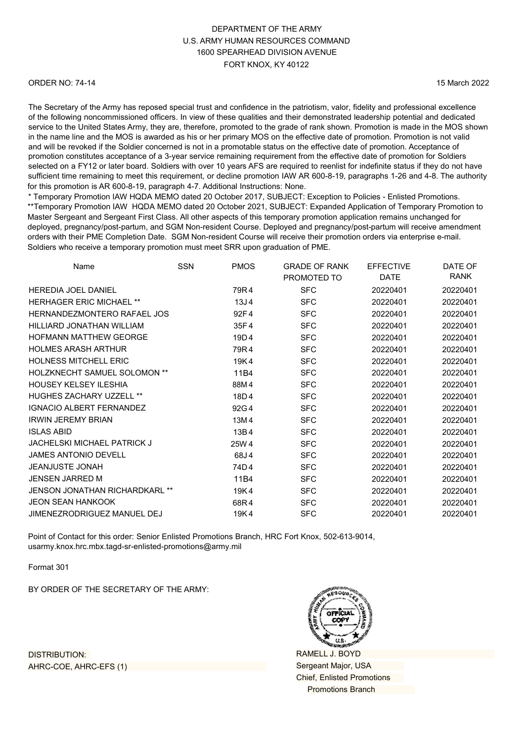#### ORDER NO: 74-14

15 March 2022

The Secretary of the Army has reposed special trust and confidence in the patriotism, valor, fidelity and professional excellence of the following noncommissioned officers. In view of these qualities and their demonstrated leadership potential and dedicated service to the United States Army, they are, therefore, promoted to the grade of rank shown. Promotion is made in the MOS shown in the name line and the MOS is awarded as his or her primary MOS on the effective date of promotion. Promotion is not valid and will be revoked if the Soldier concerned is not in a promotable status on the effective date of promotion. Acceptance of promotion constitutes acceptance of a 3-year service remaining requirement from the effective date of promotion for Soldiers selected on a FY12 or later board. Soldiers with over 10 years AFS are required to reenlist for indefinite status if they do not have sufficient time remaining to meet this requirement, or decline promotion IAW AR 600-8-19, paragraphs 1-26 and 4-8. The authority for this promotion is AR 600-8-19, paragraph 4-7. Additional Instructions: None.

\* Temporary Promotion IAW HQDA MEMO dated 20 October 2017, SUBJECT: Exception to Policies - Enlisted Promotions. \*\*Temporary Promotion IAW HQDA MEMO dated 20 October 2021, SUBJECT: Expanded Application of Temporary Promotion to Master Sergeant and Sergeant First Class. All other aspects of this temporary promotion application remains unchanged for deployed, pregnancy/post-partum, and SGM Non-resident Course. Deployed and pregnancy/post-partum will receive amendment orders with their PME Completion Date. SGM Non-resident Course will receive their promotion orders via enterprise e-mail. Soldiers who receive a temporary promotion must meet SRR upon graduation of PME.

| Name                                | <b>SSN</b> | <b>PMOS</b>      | <b>GRADE OF RANK</b><br>PROMOTED TO | <b>EFFECTIVE</b><br><b>DATE</b> | DATE OF<br>RANK |
|-------------------------------------|------------|------------------|-------------------------------------|---------------------------------|-----------------|
| <b>HEREDIA JOEL DANIEL</b>          |            | 79R4             | <b>SFC</b>                          | 20220401                        | 20220401        |
| <b>HERHAGER ERIC MICHAEL **</b>     |            | 13J <sub>4</sub> | <b>SFC</b>                          | 20220401                        | 20220401        |
| HERNANDEZMONTERO RAFAEL JOS         |            | 92F4             | <b>SFC</b>                          | 20220401                        | 20220401        |
| HILLIARD JONATHAN WILLIAM           |            | 35F4             | <b>SFC</b>                          | 20220401                        | 20220401        |
| <b>HOFMANN MATTHEW GEORGE</b>       |            | 19D4             | <b>SFC</b>                          | 20220401                        | 20220401        |
| <b>HOLMES ARASH ARTHUR</b>          |            | 79R4             | <b>SFC</b>                          | 20220401                        | 20220401        |
| <b>HOLNESS MITCHELL ERIC</b>        |            | 19K4             | <b>SFC</b>                          | 20220401                        | 20220401        |
| <b>HOLZKNECHT SAMUEL SOLOMON **</b> |            | 11B4             | <b>SFC</b>                          | 20220401                        | 20220401        |
| <b>HOUSEY KELSEY ILESHIA</b>        |            | 88M4             | <b>SFC</b>                          | 20220401                        | 20220401        |
| <b>HUGHES ZACHARY UZZELL **</b>     |            | 18D4             | <b>SFC</b>                          | 20220401                        | 20220401        |
| <b>IGNACIO ALBERT FERNANDEZ</b>     |            | 92G4             | <b>SFC</b>                          | 20220401                        | 20220401        |
| <b>IRWIN JEREMY BRIAN</b>           |            | 13M4             | <b>SFC</b>                          | 20220401                        | 20220401        |
| <b>ISLAS ABID</b>                   |            | 13B4             | <b>SFC</b>                          | 20220401                        | 20220401        |
| <b>JACHELSKI MICHAEL PATRICK J</b>  |            | 25W 4            | <b>SFC</b>                          | 20220401                        | 20220401        |
| <b>JAMES ANTONIO DEVELL</b>         |            | 68J4             | <b>SFC</b>                          | 20220401                        | 20220401        |
| <b>JEANJUSTE JONAH</b>              |            | 74D4             | <b>SFC</b>                          | 20220401                        | 20220401        |
| <b>JENSEN JARRED M</b>              |            | 11B4             | <b>SFC</b>                          | 20220401                        | 20220401        |
| JENSON JONATHAN RICHARDKARL **      |            | 19K4             | <b>SFC</b>                          | 20220401                        | 20220401        |
| <b>JEON SEAN HANKOOK</b>            |            | 68R4             | <b>SFC</b>                          | 20220401                        | 20220401        |
| JIMENEZRODRIGUEZ MANUEL DEJ         |            | 19K4             | <b>SFC</b>                          | 20220401                        | 20220401        |

Point of Contact for this order: Senior Enlisted Promotions Branch, HRC Fort Knox, 502-613-9014, [usarmy.knox.hrc.mbx.tagd-sr-enlisted-promotions](mailto:usarmy.knox.hrc.mbx.tagd-sr-enlisted-promotions@mail.mil)@army.mil

Format 301

BY ORDER OF THE SECRETARY OF THE ARMY:

RAMELL J. BOYD Sergeant Major, USA Chief, Enlisted Promotions Promotions Branch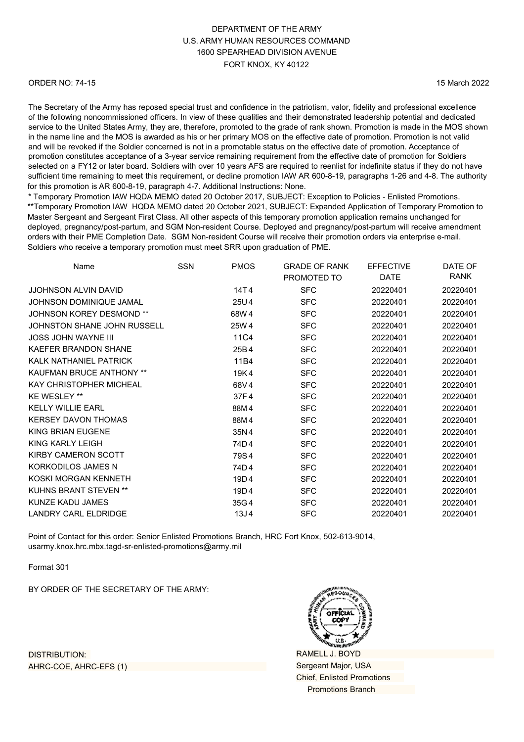#### ORDER NO: 74-15

15 March 2022

The Secretary of the Army has reposed special trust and confidence in the patriotism, valor, fidelity and professional excellence of the following noncommissioned officers. In view of these qualities and their demonstrated leadership potential and dedicated service to the United States Army, they are, therefore, promoted to the grade of rank shown. Promotion is made in the MOS shown in the name line and the MOS is awarded as his or her primary MOS on the effective date of promotion. Promotion is not valid and will be revoked if the Soldier concerned is not in a promotable status on the effective date of promotion. Acceptance of promotion constitutes acceptance of a 3-year service remaining requirement from the effective date of promotion for Soldiers selected on a FY12 or later board. Soldiers with over 10 years AFS are required to reenlist for indefinite status if they do not have sufficient time remaining to meet this requirement, or decline promotion IAW AR 600-8-19, paragraphs 1-26 and 4-8. The authority for this promotion is AR 600-8-19, paragraph 4-7. Additional Instructions: None.

\* Temporary Promotion IAW HQDA MEMO dated 20 October 2017, SUBJECT: Exception to Policies - Enlisted Promotions. \*\*Temporary Promotion IAW HQDA MEMO dated 20 October 2021, SUBJECT: Expanded Application of Temporary Promotion to Master Sergeant and Sergeant First Class. All other aspects of this temporary promotion application remains unchanged for deployed, pregnancy/post-partum, and SGM Non-resident Course. Deployed and pregnancy/post-partum will receive amendment orders with their PME Completion Date. SGM Non-resident Course will receive their promotion orders via enterprise e-mail. Soldiers who receive a temporary promotion must meet SRR upon graduation of PME.

| Name                            | <b>SSN</b> | <b>PMOS</b>      | <b>GRADE OF RANK</b><br>PROMOTED TO | <b>EFFECTIVE</b><br><b>DATE</b> | DATE OF<br><b>RANK</b> |
|---------------------------------|------------|------------------|-------------------------------------|---------------------------------|------------------------|
| <b>JJOHNSON ALVIN DAVID</b>     |            | 14T4             | <b>SFC</b>                          | 20220401                        | 20220401               |
| <b>JOHNSON DOMINIQUE JAMAL</b>  |            | 25U4             | <b>SFC</b>                          | 20220401                        | 20220401               |
| <b>JOHNSON KOREY DESMOND **</b> |            | 68W 4            | <b>SFC</b>                          | 20220401                        | 20220401               |
| JOHNSTON SHANE JOHN RUSSELL     |            | 25W 4            | <b>SFC</b>                          | 20220401                        | 20220401               |
| <b>JOSS JOHN WAYNE III</b>      |            | 11C4             | <b>SFC</b>                          | 20220401                        | 20220401               |
| KAEFER BRANDON SHANE            |            | 25B4             | <b>SFC</b>                          | 20220401                        | 20220401               |
| KALK NATHANIEL PATRICK          |            | 11B4             | <b>SFC</b>                          | 20220401                        | 20220401               |
| <b>KAUFMAN BRUCE ANTHONY **</b> |            | 19K4             | <b>SFC</b>                          | 20220401                        | 20220401               |
| <b>KAY CHRISTOPHER MICHEAL</b>  |            | 68V4             | <b>SFC</b>                          | 20220401                        | 20220401               |
| <b>KE WESLEY **</b>             |            | 37F4             | <b>SFC</b>                          | 20220401                        | 20220401               |
| <b>KELLY WILLIE EARL</b>        |            | 88M4             | <b>SFC</b>                          | 20220401                        | 20220401               |
| <b>KERSEY DAVON THOMAS</b>      |            | 88M4             | <b>SFC</b>                          | 20220401                        | 20220401               |
| KING BRIAN EUGENE               |            | 35N4             | <b>SFC</b>                          | 20220401                        | 20220401               |
| KING KARLY LEIGH                |            | 74D4             | <b>SFC</b>                          | 20220401                        | 20220401               |
| <b>KIRBY CAMERON SCOTT</b>      |            | 79S4             | <b>SFC</b>                          | 20220401                        | 20220401               |
| KORKODILOS JAMES N              |            | 74D4             | <b>SFC</b>                          | 20220401                        | 20220401               |
| KOSKI MORGAN KENNETH            |            | 19D4             | <b>SFC</b>                          | 20220401                        | 20220401               |
| <b>KUHNS BRANT STEVEN **</b>    |            | 19D4             | <b>SFC</b>                          | 20220401                        | 20220401               |
| KUNZE KADU JAMES                |            | 35G4             | <b>SFC</b>                          | 20220401                        | 20220401               |
| LANDRY CARL ELDRIDGE            |            | 13J <sub>4</sub> | <b>SFC</b>                          | 20220401                        | 20220401               |

Point of Contact for this order: Senior Enlisted Promotions Branch, HRC Fort Knox, 502-613-9014, [usarmy.knox.hrc.mbx.tagd-sr-enlisted-promotions@](mailto:usarmy.knox.hrc.mbx.tagd-sr-enlisted-promotions@mail.mil)army.mil

Format 301

BY ORDER OF THE SECRETARY OF THE ARMY:

RAMELL J. BOYD Sergeant Major, USA Chief, Enlisted Promotions Promotions Branch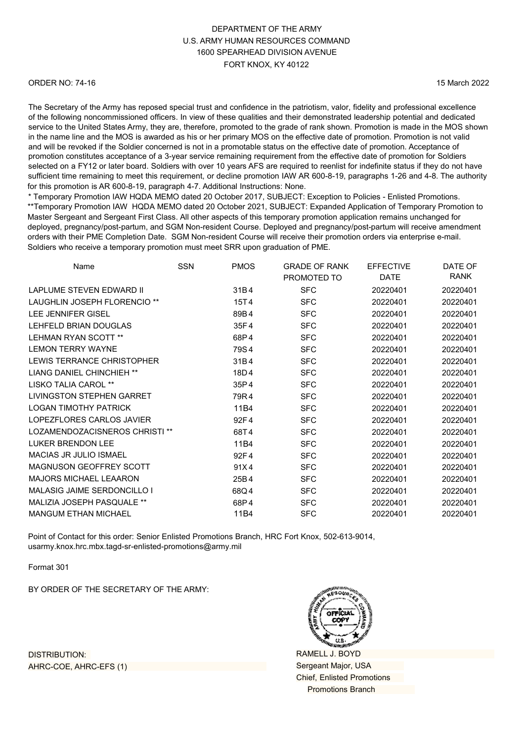#### ORDER NO: 74-16

15 March 2022

The Secretary of the Army has reposed special trust and confidence in the patriotism, valor, fidelity and professional excellence of the following noncommissioned officers. In view of these qualities and their demonstrated leadership potential and dedicated service to the United States Army, they are, therefore, promoted to the grade of rank shown. Promotion is made in the MOS shown in the name line and the MOS is awarded as his or her primary MOS on the effective date of promotion. Promotion is not valid and will be revoked if the Soldier concerned is not in a promotable status on the effective date of promotion. Acceptance of promotion constitutes acceptance of a 3-year service remaining requirement from the effective date of promotion for Soldiers selected on a FY12 or later board. Soldiers with over 10 years AFS are required to reenlist for indefinite status if they do not have sufficient time remaining to meet this requirement, or decline promotion IAW AR 600-8-19, paragraphs 1-26 and 4-8. The authority for this promotion is AR 600-8-19, paragraph 4-7. Additional Instructions: None.

\* Temporary Promotion IAW HQDA MEMO dated 20 October 2017, SUBJECT: Exception to Policies - Enlisted Promotions. \*\*Temporary Promotion IAW HQDA MEMO dated 20 October 2021, SUBJECT: Expanded Application of Temporary Promotion to Master Sergeant and Sergeant First Class. All other aspects of this temporary promotion application remains unchanged for deployed, pregnancy/post-partum, and SGM Non-resident Course. Deployed and pregnancy/post-partum will receive amendment orders with their PME Completion Date. SGM Non-resident Course will receive their promotion orders via enterprise e-mail. Soldiers who receive a temporary promotion must meet SRR upon graduation of PME.

| Name                              | <b>SSN</b> | <b>PMOS</b> | <b>GRADE OF RANK</b> | <b>EFFECTIVE</b> | DATE OF     |
|-----------------------------------|------------|-------------|----------------------|------------------|-------------|
|                                   |            |             | PROMOTED TO          | <b>DATE</b>      | <b>RANK</b> |
| LAPLUME STEVEN EDWARD II          |            | 31B4        | <b>SFC</b>           | 20220401         | 20220401    |
| LAUGHLIN JOSEPH FLORENCIO **      |            | 15T4        | <b>SFC</b>           | 20220401         | 20220401    |
| LEE JENNIFER GISEL                |            | 89B4        | <b>SFC</b>           | 20220401         | 20220401    |
| LEHFELD BRIAN DOUGLAS             |            | 35F4        | <b>SFC</b>           | 20220401         | 20220401    |
| <b>LEHMAN RYAN SCOTT **</b>       |            | 68P4        | <b>SFC</b>           | 20220401         | 20220401    |
| <b>LEMON TERRY WAYNE</b>          |            | 79S4        | <b>SFC</b>           | 20220401         | 20220401    |
| <b>LEWIS TERRANCE CHRISTOPHER</b> |            | 31B4        | <b>SFC</b>           | 20220401         | 20220401    |
| LIANG DANIEL CHINCHIEH **         |            | 18D4        | <b>SFC</b>           | 20220401         | 20220401    |
| LISKO TALIA CAROL **              |            | 35P4        | <b>SFC</b>           | 20220401         | 20220401    |
| <b>LIVINGSTON STEPHEN GARRET</b>  |            | 79R4        | <b>SFC</b>           | 20220401         | 20220401    |
| <b>LOGAN TIMOTHY PATRICK</b>      |            | 11B4        | <b>SFC</b>           | 20220401         | 20220401    |
| LOPEZFLORES CARLOS JAVIER         |            | 92F4        | <b>SFC</b>           | 20220401         | 20220401    |
| LOZAMENDOZACISNEROS CHRISTI **    |            | 68T4        | <b>SFC</b>           | 20220401         | 20220401    |
| LUKER BRENDON LEE                 |            | 11B4        | <b>SFC</b>           | 20220401         | 20220401    |
| MACIAS JR JULIO ISMAEL            |            | 92F4        | <b>SFC</b>           | 20220401         | 20220401    |
| <b>MAGNUSON GEOFFREY SCOTT</b>    |            | 91X4        | <b>SFC</b>           | 20220401         | 20220401    |
| <b>MAJORS MICHAEL LEAARON</b>     |            | 25B4        | <b>SFC</b>           | 20220401         | 20220401    |
| MALASIG JAIME SERDONCILLO I       |            | 68Q4        | <b>SFC</b>           | 20220401         | 20220401    |
| MALIZIA JOSEPH PASQUALE **        |            | 68P4        | <b>SFC</b>           | 20220401         | 20220401    |
| <b>MANGUM ETHAN MICHAEL</b>       |            | 11B4        | <b>SFC</b>           | 20220401         | 20220401    |
|                                   |            |             |                      |                  |             |

Point of Contact for this order: Senior Enlisted Promotions Branch, HRC Fort Knox, 502-613-9014, [usarmy.knox.hrc.mbx.tagd-sr-enlisted-promotions@](mailto:usarmy.knox.hrc.mbx.tagd-sr-enlisted-promotions@mail.mil)army.mil

Format 301

BY ORDER OF THE SECRETARY OF THE ARMY:



RAMELL J. BOYD Sergeant Major, USA Chief, Enlisted Promotions Promotions Branch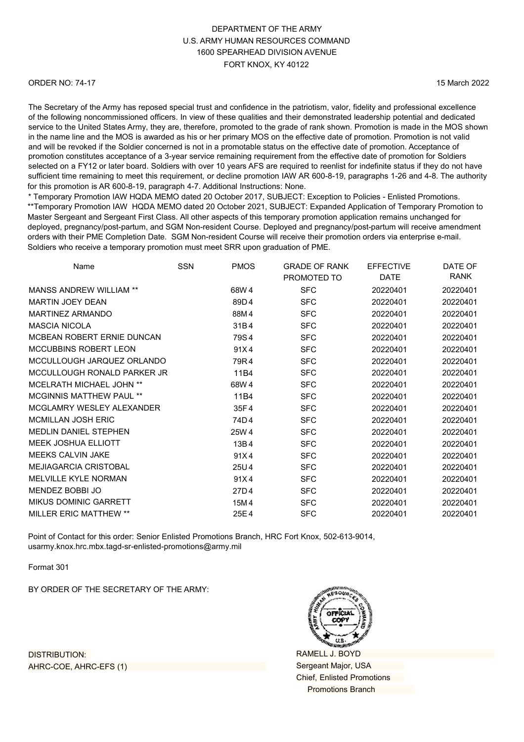#### ORDER NO: 74-17

15 March 2022

The Secretary of the Army has reposed special trust and confidence in the patriotism, valor, fidelity and professional excellence of the following noncommissioned officers. In view of these qualities and their demonstrated leadership potential and dedicated service to the United States Army, they are, therefore, promoted to the grade of rank shown. Promotion is made in the MOS shown in the name line and the MOS is awarded as his or her primary MOS on the effective date of promotion. Promotion is not valid and will be revoked if the Soldier concerned is not in a promotable status on the effective date of promotion. Acceptance of promotion constitutes acceptance of a 3-year service remaining requirement from the effective date of promotion for Soldiers selected on a FY12 or later board. Soldiers with over 10 years AFS are required to reenlist for indefinite status if they do not have sufficient time remaining to meet this requirement, or decline promotion IAW AR 600-8-19, paragraphs 1-26 and 4-8. The authority for this promotion is AR 600-8-19, paragraph 4-7. Additional Instructions: None.

\* Temporary Promotion IAW HQDA MEMO dated 20 October 2017, SUBJECT: Exception to Policies - Enlisted Promotions. \*\*Temporary Promotion IAW HQDA MEMO dated 20 October 2021, SUBJECT: Expanded Application of Temporary Promotion to Master Sergeant and Sergeant First Class. All other aspects of this temporary promotion application remains unchanged for deployed, pregnancy/post-partum, and SGM Non-resident Course. Deployed and pregnancy/post-partum will receive amendment orders with their PME Completion Date. SGM Non-resident Course will receive their promotion orders via enterprise e-mail. Soldiers who receive a temporary promotion must meet SRR upon graduation of PME.

| Name                            | <b>SSN</b> | <b>PMOS</b> | <b>GRADE OF RANK</b><br>PROMOTED TO | <b>EFFECTIVE</b><br><b>DATE</b> | DATE OF<br>RANK |
|---------------------------------|------------|-------------|-------------------------------------|---------------------------------|-----------------|
| <b>MANSS ANDREW WILLIAM **</b>  |            | 68W4        | <b>SFC</b>                          | 20220401                        | 20220401        |
| <b>MARTIN JOEY DEAN</b>         |            | 89D4        | <b>SFC</b>                          | 20220401                        | 20220401        |
| <b>MARTINEZ ARMANDO</b>         |            | 88M4        | <b>SFC</b>                          | 20220401                        | 20220401        |
| <b>MASCIA NICOLA</b>            |            | 31B4        | <b>SFC</b>                          | 20220401                        | 20220401        |
| MCBEAN ROBERT ERNIE DUNCAN      |            | 79S4        | <b>SFC</b>                          | 20220401                        | 20220401        |
| MCCUBBINS ROBERT LEON           |            | 91X4        | <b>SFC</b>                          | 20220401                        | 20220401        |
| MCCULLOUGH JARQUEZ ORLANDO      |            | 79R4        | <b>SFC</b>                          | 20220401                        | 20220401        |
| MCCULLOUGH RONALD PARKER JR     |            | 11B4        | <b>SFC</b>                          | 20220401                        | 20220401        |
| <b>MCELRATH MICHAEL JOHN **</b> |            | 68W 4       | <b>SFC</b>                          | 20220401                        | 20220401        |
| <b>MCGINNIS MATTHEW PAUL **</b> |            | 11B4        | <b>SFC</b>                          | 20220401                        | 20220401        |
| MCGLAMRY WESLEY ALEXANDER       |            | 35F4        | <b>SFC</b>                          | 20220401                        | 20220401        |
| <b>MCMILLAN JOSH ERIC</b>       |            | 74D4        | <b>SFC</b>                          | 20220401                        | 20220401        |
| <b>MEDLIN DANIEL STEPHEN</b>    |            | 25W 4       | <b>SFC</b>                          | 20220401                        | 20220401        |
| <b>MEEK JOSHUA ELLIOTT</b>      |            | 13B4        | <b>SFC</b>                          | 20220401                        | 20220401        |
| <b>MEEKS CALVIN JAKE</b>        |            | 91X4        | <b>SFC</b>                          | 20220401                        | 20220401        |
| <b>MEJIAGARCIA CRISTOBAL</b>    |            | 25U4        | <b>SFC</b>                          | 20220401                        | 20220401        |
| MELVILLE KYLE NORMAN            |            | 91X4        | <b>SFC</b>                          | 20220401                        | 20220401        |
| MENDEZ BOBBI JO                 |            | 27D4        | <b>SFC</b>                          | 20220401                        | 20220401        |
| <b>MIKUS DOMINIC GARRETT</b>    |            | 15M4        | <b>SFC</b>                          | 20220401                        | 20220401        |
| <b>MILLER ERIC MATTHEW **</b>   |            | 25E4        | <b>SFC</b>                          | 20220401                        | 20220401        |

Point of Contact for this order: Senior Enlisted Promotions Branch, HRC Fort Knox, 502-613-9014, [usarmy.knox.hrc.mbx.tagd-sr-enlisted-promotions@](mailto:usarmy.knox.hrc.mbx.tagd-sr-enlisted-promotions@mail.mil)army.mil

Format 301

BY ORDER OF THE SECRETARY OF THE ARMY:



RAMELL J. BOYD Sergeant Major, USA Chief, Enlisted Promotions Promotions Branch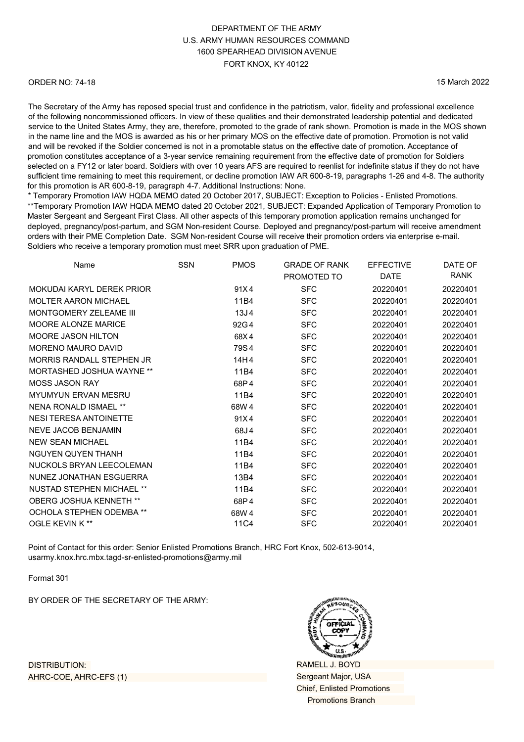#### ORDER NO: 74-18

15 March 2022

The Secretary of the Army has reposed special trust and confidence in the patriotism, valor, fidelity and professional excellence of the following noncommissioned officers. In view of these qualities and their demonstrated leadership potential and dedicated service to the United States Army, they are, therefore, promoted to the grade of rank shown. Promotion is made in the MOS shown in the name line and the MOS is awarded as his or her primary MOS on the effective date of promotion. Promotion is not valid and will be revoked if the Soldier concerned is not in a promotable status on the effective date of promotion. Acceptance of promotion constitutes acceptance of a 3-year service remaining requirement from the effective date of promotion for Soldiers selected on a FY12 or later board. Soldiers with over 10 years AFS are required to reenlist for indefinite status if they do not have sufficient time remaining to meet this requirement, or decline promotion IAW AR 600-8-19, paragraphs 1-26 and 4-8. The authority for this promotion is AR 600-8-19, paragraph 4-7. Additional Instructions: None.

\* Temporary Promotion IAW HQDA MEMO dated 20 October 2017, SUBJECT: Exception to Policies - Enlisted Promotions. \*\*Temporary Promotion IAW HQDA MEMO dated 20 October 2021, SUBJECT: Expanded Application of Temporary Promotion to Master Sergeant and Sergeant First Class. All other aspects of this temporary promotion application remains unchanged for deployed, pregnancy/post-partum, and SGM Non-resident Course. Deployed and pregnancy/post-partum will receive amendment orders with their PME Completion Date. SGM Non-resident Course will receive their promotion orders via enterprise e-mail. Soldiers who receive a temporary promotion must meet SRR upon graduation of PME.

| Name                             | SSN | <b>PMOS</b>      | <b>GRADE OF RANK</b> | <b>EFFECTIVE</b> | DATE OF     |
|----------------------------------|-----|------------------|----------------------|------------------|-------------|
|                                  |     |                  | PROMOTED TO          | <b>DATE</b>      | <b>RANK</b> |
| MOKUDAI KARYI DEREK PRIOR        |     | 91X4             | <b>SFC</b>           | 20220401         | 20220401    |
| <b>MOLTER AARON MICHAEL</b>      |     | 11B4             | <b>SFC</b>           | 20220401         | 20220401    |
| MONTGOMERY ZELEAME III           |     | 13J <sub>4</sub> | <b>SFC</b>           | 20220401         | 20220401    |
| MOORE ALONZE MARICE              |     | 92G4             | <b>SFC</b>           | 20220401         | 20220401    |
| MOORE JASON HILTON               |     | 68X4             | <b>SFC</b>           | 20220401         | 20220401    |
| <b>MORENO MAURO DAVID</b>        |     | 79S4             | <b>SFC</b>           | 20220401         | 20220401    |
| MORRIS RANDALL STEPHEN JR        |     | 14H4             | <b>SFC</b>           | 20220401         | 20220401    |
| MORTASHED JOSHUA WAYNE **        |     | 11B4             | <b>SFC</b>           | 20220401         | 20220401    |
| <b>MOSS JASON RAY</b>            |     | 68P4             | <b>SFC</b>           | 20220401         | 20220401    |
| <b>MYUMYUN ERVAN MESRU</b>       |     | 11B4             | <b>SFC</b>           | 20220401         | 20220401    |
| NENA RONALD ISMAEL **            |     | 68W 4            | <b>SFC</b>           | 20220401         | 20220401    |
| <b>NESI TERESA ANTOINETTE</b>    |     | 91X4             | <b>SFC</b>           | 20220401         | 20220401    |
| <b>NEVE JACOB BENJAMIN</b>       |     | 68J4             | <b>SFC</b>           | 20220401         | 20220401    |
| <b>NEW SEAN MICHAEL</b>          |     | 11B4             | <b>SFC</b>           | 20220401         | 20220401    |
| NGUYEN QUYEN THANH               |     | 11B4             | <b>SFC</b>           | 20220401         | 20220401    |
| NUCKOLS BRYAN LEECOLEMAN         |     | 11B4             | <b>SFC</b>           | 20220401         | 20220401    |
| NUNEZ JONATHAN ESGUERRA          |     | 13B4             | <b>SFC</b>           | 20220401         | 20220401    |
| <b>NUSTAD STEPHEN MICHAEL **</b> |     | 11B4             | <b>SFC</b>           | 20220401         | 20220401    |
| OBERG JOSHUA KENNETH **          |     | 68P4             | <b>SFC</b>           | 20220401         | 20220401    |
| <b>OCHOLA STEPHEN ODEMBA **</b>  |     | 68W 4            | <b>SFC</b>           | 20220401         | 20220401    |
| <b>OGLE KEVIN K**</b>            |     | 11C4             | <b>SFC</b>           | 20220401         | 20220401    |
|                                  |     |                  |                      |                  |             |

Point of Contact for this order: Senior Enlisted Promotions Branch, HRC Fort Knox, 502-613-9014, [usarmy.knox.hrc.mbx.tagd-sr-enlisted-promotions@](mailto:usarmy.knox.hrc.mbx.tagd-sr-enlisted-promotions@mail.mil)army.mil

Format 301

BY ORDER OF THE SECRETARY OF THE ARMY:



RAMELL J. BOYD Sergeant Major, USA Chief, Enlisted Promotions Promotions Branch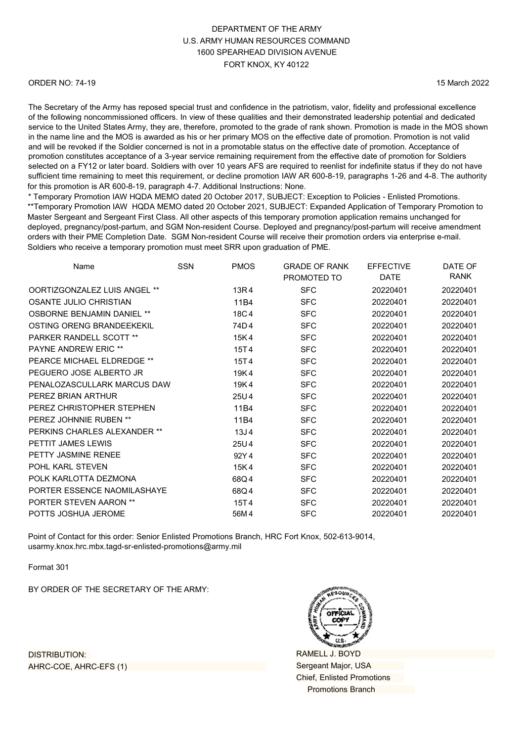#### ORDER NO: 74-19

15 March 2022

The Secretary of the Army has reposed special trust and confidence in the patriotism, valor, fidelity and professional excellence of the following noncommissioned officers. In view of these qualities and their demonstrated leadership potential and dedicated service to the United States Army, they are, therefore, promoted to the grade of rank shown. Promotion is made in the MOS shown in the name line and the MOS is awarded as his or her primary MOS on the effective date of promotion. Promotion is not valid and will be revoked if the Soldier concerned is not in a promotable status on the effective date of promotion. Acceptance of promotion constitutes acceptance of a 3-year service remaining requirement from the effective date of promotion for Soldiers selected on a FY12 or later board. Soldiers with over 10 years AFS are required to reenlist for indefinite status if they do not have sufficient time remaining to meet this requirement, or decline promotion IAW AR 600-8-19, paragraphs 1-26 and 4-8. The authority for this promotion is AR 600-8-19, paragraph 4-7. Additional Instructions: None.

\* Temporary Promotion IAW HQDA MEMO dated 20 October 2017, SUBJECT: Exception to Policies - Enlisted Promotions. \*\*Temporary Promotion IAW HQDA MEMO dated 20 October 2021, SUBJECT: Expanded Application of Temporary Promotion to Master Sergeant and Sergeant First Class. All other aspects of this temporary promotion application remains unchanged for deployed, pregnancy/post-partum, and SGM Non-resident Course. Deployed and pregnancy/post-partum will receive amendment orders with their PME Completion Date. SGM Non-resident Course will receive their promotion orders via enterprise e-mail. Soldiers who receive a temporary promotion must meet SRR upon graduation of PME.

| Name                              | <b>SSN</b> | <b>PMOS</b>      | <b>GRADE OF RANK</b> | <b>EFFECTIVE</b> | DATE OF  |
|-----------------------------------|------------|------------------|----------------------|------------------|----------|
|                                   |            |                  | PROMOTED TO          | DATE             | RANK     |
| OORTIZGONZALEZ LUIS ANGEL **      |            | 13R4             | <b>SFC</b>           | 20220401         | 20220401 |
| <b>OSANTE JULIO CHRISTIAN</b>     |            | 11B4             | <b>SFC</b>           | 20220401         | 20220401 |
| <b>OSBORNE BENJAMIN DANIEL **</b> |            | 18C4             | <b>SFC</b>           | 20220401         | 20220401 |
| OSTING ORENG BRANDEEKEKIL         |            | 74D4             | <b>SFC</b>           | 20220401         | 20220401 |
| PARKER RANDELL SCOTT **           |            | 15K4             | <b>SFC</b>           | 20220401         | 20220401 |
| <b>PAYNE ANDREW ERIC **</b>       |            | 15T4             | <b>SFC</b>           | 20220401         | 20220401 |
| PEARCE MICHAEL ELDREDGE **        |            | 15T4             | <b>SFC</b>           | 20220401         | 20220401 |
| PEGUERO JOSE ALBERTO JR           |            | 19K4             | <b>SFC</b>           | 20220401         | 20220401 |
| PENALOZASCULLARK MARCUS DAW       |            | 19K4             | <b>SFC</b>           | 20220401         | 20220401 |
| PEREZ BRIAN ARTHUR                |            | 25U4             | <b>SFC</b>           | 20220401         | 20220401 |
| PEREZ CHRISTOPHER STEPHEN         |            | 11B4             | <b>SFC</b>           | 20220401         | 20220401 |
| PEREZ JOHNNIE RUBEN **            |            | 11B4             | <b>SFC</b>           | 20220401         | 20220401 |
| PERKINS CHARLES ALEXANDER **      |            | 13J <sub>4</sub> | <b>SFC</b>           | 20220401         | 20220401 |
| PETTIT JAMES LEWIS                |            | 25U4             | <b>SFC</b>           | 20220401         | 20220401 |
| PETTY JASMINE RENEE               |            | 92Y4             | <b>SFC</b>           | 20220401         | 20220401 |
| POHL KARL STEVEN                  |            | 15K4             | <b>SFC</b>           | 20220401         | 20220401 |
| POLK KARLOTTA DEZMONA             |            | 68Q4             | <b>SFC</b>           | 20220401         | 20220401 |
| PORTER ESSENCE NAOMILASHAYE       |            | 68Q4             | <b>SFC</b>           | 20220401         | 20220401 |
| <b>PORTER STEVEN AARON **</b>     |            | 15T4             | <b>SFC</b>           | 20220401         | 20220401 |
| POTTS JOSHUA JEROME               |            | 56M4             | <b>SFC</b>           | 20220401         | 20220401 |
|                                   |            |                  |                      |                  |          |

Point of Contact for this order: Senior Enlisted Promotions Branch, HRC Fort Knox, 502-613-9014, [usarmy.knox.hrc.mbx.tagd-sr-enlisted-promotions@](mailto:usarmy.knox.hrc.mbx.tagd-sr-enlisted-promotions@mail.mil)army.mil

Format 301

BY ORDER OF THE SECRETARY OF THE ARMY:



RAMELL J. BOYD Sergeant Major, USA Chief, Enlisted Promotions Promotions Branch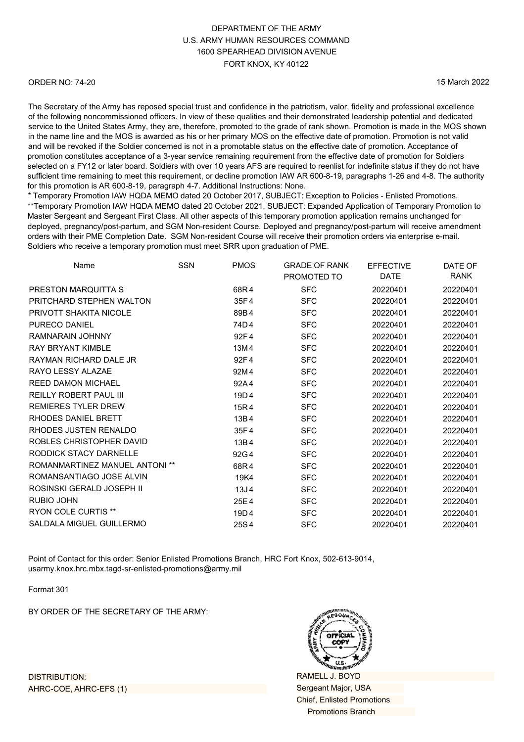#### ORDER NO: 74-20

15 March 2022

The Secretary of the Army has reposed special trust and confidence in the patriotism, valor, fidelity and professional excellence of the following noncommissioned officers. In view of these qualities and their demonstrated leadership potential and dedicated service to the United States Army, they are, therefore, promoted to the grade of rank shown. Promotion is made in the MOS shown in the name line and the MOS is awarded as his or her primary MOS on the effective date of promotion. Promotion is not valid and will be revoked if the Soldier concerned is not in a promotable status on the effective date of promotion. Acceptance of promotion constitutes acceptance of a 3-year service remaining requirement from the effective date of promotion for Soldiers selected on a FY12 or later board. Soldiers with over 10 years AFS are required to reenlist for indefinite status if they do not have sufficient time remaining to meet this requirement, or decline promotion IAW AR 600-8-19, paragraphs 1-26 and 4-8. The authority for this promotion is AR 600-8-19, paragraph 4-7. Additional Instructions: None.

\* Temporary Promotion IAW HQDA MEMO dated 20 October 2017, SUBJECT: Exception to Policies - Enlisted Promotions. \*\*Temporary Promotion IAW HQDA MEMO dated 20 October 2021, SUBJECT: Expanded Application of Temporary Promotion to Master Sergeant and Sergeant First Class. All other aspects of this temporary promotion application remains unchanged for deployed, pregnancy/post-partum, and SGM Non-resident Course. Deployed and pregnancy/post-partum will receive amendment orders with their PME Completion Date. SGM Non-resident Course will receive their promotion orders via enterprise e-mail. Soldiers who receive a temporary promotion must meet SRR upon graduation of PME.

| Name                                  | <b>SSN</b> | <b>PMOS</b>      | <b>GRADE OF RANK</b> | <b>EFFECTIVE</b> | DATE OF     |
|---------------------------------------|------------|------------------|----------------------|------------------|-------------|
|                                       |            |                  | PROMOTED TO          | DATE             | <b>RANK</b> |
| PRESTON MARQUITTA S                   |            | 68R4             | <b>SFC</b>           | 20220401         | 20220401    |
| PRITCHARD STEPHEN WALTON              |            | 35F4             | <b>SFC</b>           | 20220401         | 20220401    |
| PRIVOTT SHAKITA NICOLE                |            | 89B4             | <b>SFC</b>           | 20220401         | 20220401    |
| <b>PURECO DANIEL</b>                  |            | 74D4             | <b>SFC</b>           | 20220401         | 20220401    |
| RAMNARAIN JOHNNY                      |            | 92F4             | <b>SFC</b>           | 20220401         | 20220401    |
| <b>RAY BRYANT KIMBLE</b>              |            | 13M4             | <b>SFC</b>           | 20220401         | 20220401    |
| RAYMAN RICHARD DALE JR                |            | 92F4             | <b>SFC</b>           | 20220401         | 20220401    |
| RAYO LESSY ALAZAE                     |            | 92M4             | <b>SFC</b>           | 20220401         | 20220401    |
| <b>REED DAMON MICHAEL</b>             |            | 92A4             | <b>SFC</b>           | 20220401         | 20220401    |
| <b>REILLY ROBERT PAUL III</b>         |            | 19D4             | <b>SFC</b>           | 20220401         | 20220401    |
| <b>REMIERES TYLER DREW</b>            |            | 15R4             | <b>SFC</b>           | 20220401         | 20220401    |
| RHODES DANIEL BRETT                   |            | 13B4             | <b>SFC</b>           | 20220401         | 20220401    |
| RHODES JUSTEN RENALDO                 |            | 35F4             | <b>SFC</b>           | 20220401         | 20220401    |
| ROBLES CHRISTOPHER DAVID              |            | 13B4             | <b>SFC</b>           | 20220401         | 20220401    |
| RODDICK STACY DARNELLE                |            | 92G4             | <b>SFC</b>           | 20220401         | 20220401    |
| <b>ROMANMARTINEZ MANUEL ANTONI **</b> |            | 68R4             | <b>SFC</b>           | 20220401         | 20220401    |
| ROMANSANTIAGO JOSE ALVIN              |            | 19K4             | <b>SFC</b>           | 20220401         | 20220401    |
| ROSINSKI GERALD JOSEPH II             |            | 13J <sub>4</sub> | <b>SFC</b>           | 20220401         | 20220401    |
| <b>RUBIO JOHN</b>                     |            | 25E4             | <b>SFC</b>           | 20220401         | 20220401    |
| <b>RYON COLE CURTIS **</b>            |            | 19D4             | <b>SFC</b>           | 20220401         | 20220401    |
| SALDALA MIGUEL GUILLERMO              |            | 25S4             | <b>SFC</b>           | 20220401         | 20220401    |
|                                       |            |                  |                      |                  |             |

Point of Contact for this order: Senior Enlisted Promotions Branch, HRC Fort Knox, 502-613-9014, [usarmy.knox.hrc.mbx.tagd-sr-enlisted-promotions](mailto:usarmy.knox.hrc.mbx.tagd-sr-enlisted-promotions@mail.mil)@army.mil

Format 301

BY ORDER OF THE SECRETARY OF THE ARMY:



RAMELL J. BOYD Sergeant Major, USA Chief, Enlisted Promotions Promotions Branch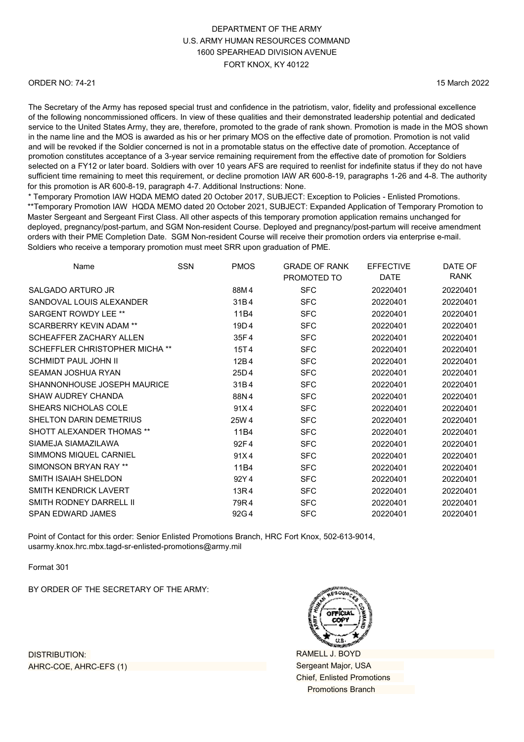#### ORDER NO: 74-21

15 March 2022

The Secretary of the Army has reposed special trust and confidence in the patriotism, valor, fidelity and professional excellence of the following noncommissioned officers. In view of these qualities and their demonstrated leadership potential and dedicated service to the United States Army, they are, therefore, promoted to the grade of rank shown. Promotion is made in the MOS shown in the name line and the MOS is awarded as his or her primary MOS on the effective date of promotion. Promotion is not valid and will be revoked if the Soldier concerned is not in a promotable status on the effective date of promotion. Acceptance of promotion constitutes acceptance of a 3-year service remaining requirement from the effective date of promotion for Soldiers selected on a FY12 or later board. Soldiers with over 10 years AFS are required to reenlist for indefinite status if they do not have sufficient time remaining to meet this requirement, or decline promotion IAW AR 600-8-19, paragraphs 1-26 and 4-8. The authority for this promotion is AR 600-8-19, paragraph 4-7. Additional Instructions: None.

\* Temporary Promotion IAW HQDA MEMO dated 20 October 2017, SUBJECT: Exception to Policies - Enlisted Promotions. \*\*Temporary Promotion IAW HQDA MEMO dated 20 October 2021, SUBJECT: Expanded Application of Temporary Promotion to Master Sergeant and Sergeant First Class. All other aspects of this temporary promotion application remains unchanged for deployed, pregnancy/post-partum, and SGM Non-resident Course. Deployed and pregnancy/post-partum will receive amendment orders with their PME Completion Date. SGM Non-resident Course will receive their promotion orders via enterprise e-mail. Soldiers who receive a temporary promotion must meet SRR upon graduation of PME.

| Name                             | <b>SSN</b> | <b>PMOS</b> | <b>GRADE OF RANK</b><br>PROMOTED TO | <b>EFFECTIVE</b><br><b>DATE</b> | DATE OF<br>RANK |
|----------------------------------|------------|-------------|-------------------------------------|---------------------------------|-----------------|
| SALGADO ARTURO JR                |            | 88M4        | <b>SFC</b>                          | 20220401                        | 20220401        |
| SANDOVAL LOUIS ALEXANDER         |            | 31B4        | <b>SFC</b>                          | 20220401                        | 20220401        |
| SARGENT ROWDY LEE **             |            | 11B4        | <b>SFC</b>                          | 20220401                        | 20220401        |
| <b>SCARBERRY KEVIN ADAM **</b>   |            | 19D4        | <b>SFC</b>                          | 20220401                        | 20220401        |
| SCHEAFFER ZACHARY ALLEN          |            | 35F4        | <b>SFC</b>                          | 20220401                        | 20220401        |
| SCHEFFLER CHRISTOPHER MICHA **   |            | 15T4        | <b>SFC</b>                          | 20220401                        | 20220401        |
| <b>SCHMIDT PAUL JOHN II</b>      |            | 12B4        | <b>SFC</b>                          | 20220401                        | 20220401        |
| <b>SEAMAN JOSHUA RYAN</b>        |            | 25D4        | <b>SFC</b>                          | 20220401                        | 20220401        |
| SHANNONHOUSE JOSEPH MAURICE      |            | 31B4        | <b>SFC</b>                          | 20220401                        | 20220401        |
| <b>SHAW AUDREY CHANDA</b>        |            | 88N4        | <b>SFC</b>                          | 20220401                        | 20220401        |
| SHEARS NICHOLAS COLE             |            | 91X4        | <b>SFC</b>                          | 20220401                        | 20220401        |
| SHELTON DARIN DEMETRIUS          |            | 25W 4       | <b>SFC</b>                          | 20220401                        | 20220401        |
| <b>SHOTT ALEXANDER THOMAS **</b> |            | 11B4        | <b>SFC</b>                          | 20220401                        | 20220401        |
| SIAMEJA SIAMAZILAWA              |            | 92F4        | <b>SFC</b>                          | 20220401                        | 20220401        |
| <b>SIMMONS MIQUEL CARNIEL</b>    |            | 91X4        | <b>SFC</b>                          | 20220401                        | 20220401        |
| SIMONSON BRYAN RAY **            |            | 11B4        | <b>SFC</b>                          | 20220401                        | 20220401        |
| SMITH ISAIAH SHELDON             |            | 92Y4        | <b>SFC</b>                          | 20220401                        | 20220401        |
| <b>SMITH KENDRICK LAVERT</b>     |            | 13R4        | <b>SFC</b>                          | 20220401                        | 20220401        |
| <b>SMITH RODNEY DARRELL II</b>   |            | 79R4        | <b>SFC</b>                          | 20220401                        | 20220401        |
| <b>SPAN EDWARD JAMES</b>         |            | 92G4        | <b>SFC</b>                          | 20220401                        | 20220401        |

Point of Contact for this order: Senior Enlisted Promotions Branch, HRC Fort Knox, 502-613-9014, [usarmy.knox.hrc.mbx.tagd-sr-enlisted-promotions@](mailto:usarmy.knox.hrc.mbx.tagd-sr-enlisted-promotions@mail.mil)army.mil

Format 301

BY ORDER OF THE SECRETARY OF THE ARMY:



RAMELL J. BOYD Sergeant Major, USA Chief, Enlisted Promotions Promotions Branch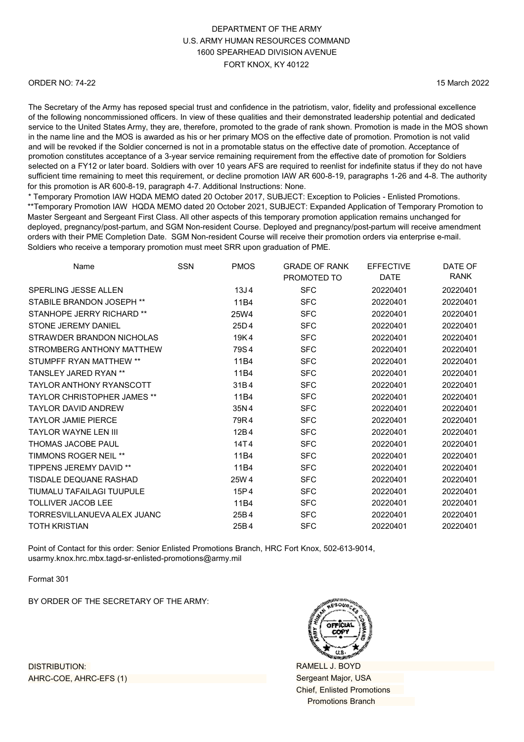#### ORDER NO: 74-22

15 March 2022

The Secretary of the Army has reposed special trust and confidence in the patriotism, valor, fidelity and professional excellence of the following noncommissioned officers. In view of these qualities and their demonstrated leadership potential and dedicated service to the United States Army, they are, therefore, promoted to the grade of rank shown. Promotion is made in the MOS shown in the name line and the MOS is awarded as his or her primary MOS on the effective date of promotion. Promotion is not valid and will be revoked if the Soldier concerned is not in a promotable status on the effective date of promotion. Acceptance of promotion constitutes acceptance of a 3-year service remaining requirement from the effective date of promotion for Soldiers selected on a FY12 or later board. Soldiers with over 10 years AFS are required to reenlist for indefinite status if they do not have sufficient time remaining to meet this requirement, or decline promotion IAW AR 600-8-19, paragraphs 1-26 and 4-8. The authority for this promotion is AR 600-8-19, paragraph 4-7. Additional Instructions: None.

\* Temporary Promotion IAW HQDA MEMO dated 20 October 2017, SUBJECT: Exception to Policies - Enlisted Promotions. \*\*Temporary Promotion IAW HQDA MEMO dated 20 October 2021, SUBJECT: Expanded Application of Temporary Promotion to Master Sergeant and Sergeant First Class. All other aspects of this temporary promotion application remains unchanged for deployed, pregnancy/post-partum, and SGM Non-resident Course. Deployed and pregnancy/post-partum will receive amendment orders with their PME Completion Date. SGM Non-resident Course will receive their promotion orders via enterprise e-mail. Soldiers who receive a temporary promotion must meet SRR upon graduation of PME.

| Name                               | <b>SSN</b> | <b>PMOS</b>      | <b>GRADE OF RANK</b> | <b>EFFECTIVE</b> | DATE OF  |
|------------------------------------|------------|------------------|----------------------|------------------|----------|
|                                    |            |                  | PROMOTED TO          | DATE             | RANK     |
| SPERLING JESSE ALLEN               |            | 13J <sub>4</sub> | <b>SFC</b>           | 20220401         | 20220401 |
| STABILE BRANDON JOSEPH **          |            | 11B4             | <b>SFC</b>           | 20220401         | 20220401 |
| STANHOPE JERRY RICHARD **          |            | 25W4             | <b>SFC</b>           | 20220401         | 20220401 |
| STONE JEREMY DANIEL                |            | 25D4             | <b>SFC</b>           | 20220401         | 20220401 |
| STRAWDER BRANDON NICHOLAS          |            | 19K4             | <b>SFC</b>           | 20220401         | 20220401 |
| STROMBERG ANTHONY MATTHEW          |            | 79S4             | <b>SFC</b>           | 20220401         | 20220401 |
| STUMPFF RYAN MATTHEW **            |            | 11B4             | <b>SFC</b>           | 20220401         | 20220401 |
| <b>TANSI FY JARFD RYAN **</b>      |            | 11B4             | <b>SFC</b>           | 20220401         | 20220401 |
| <b>TAYLOR ANTHONY RYANSCOTT</b>    |            | 31B4             | <b>SFC</b>           | 20220401         | 20220401 |
| <b>TAYLOR CHRISTOPHER JAMES **</b> |            | 11B4             | <b>SFC</b>           | 20220401         | 20220401 |
| <b>TAYLOR DAVID ANDREW</b>         |            | 35N4             | <b>SFC</b>           | 20220401         | 20220401 |
| <b>TAYLOR JAMIE PIERCE</b>         |            | 79R4             | <b>SFC</b>           | 20220401         | 20220401 |
| <b>TAYI OR WAYNE LEN III</b>       |            | 12B4             | <b>SFC</b>           | 20220401         | 20220401 |
| <b>THOMAS JACOBE PAUL</b>          |            | 14T4             | <b>SFC</b>           | 20220401         | 20220401 |
| <b>TIMMONS ROGER NEIL **</b>       |            | 11B4             | <b>SFC</b>           | 20220401         | 20220401 |
| <b>TIPPENS JEREMY DAVID **</b>     |            | 11B4             | <b>SFC</b>           | 20220401         | 20220401 |
| <b>TISDALE DEQUANE RASHAD</b>      |            | 25W 4            | <b>SFC</b>           | 20220401         | 20220401 |
| TIUMALU TAFAILAGI TUUPULE          |            | 15P4             | <b>SFC</b>           | 20220401         | 20220401 |
| <b>TOLLIVER JACOB LEE</b>          |            | 11B4             | <b>SFC</b>           | 20220401         | 20220401 |
| TORRESVILLANUEVA ALEX JUANC        |            | 25B4             | <b>SFC</b>           | 20220401         | 20220401 |
| <b>TOTH KRISTIAN</b>               |            | 25B4             | <b>SFC</b>           | 20220401         | 20220401 |
|                                    |            |                  |                      |                  |          |

Point of Contact for this order: Senior Enlisted Promotions Branch, HRC Fort Knox, 502-613-9014, [usarmy.knox.hrc.mbx.tagd-sr-enlisted-promotions@](mailto:usarmy.knox.hrc.mbx.tagd-sr-enlisted-promotions@mail.mil)army.mil

Format 301

BY ORDER OF THE SECRETARY OF THE ARMY:



RAMELL J. BOYD Sergeant Major, USA Chief, Enlisted Promotions Promotions Branch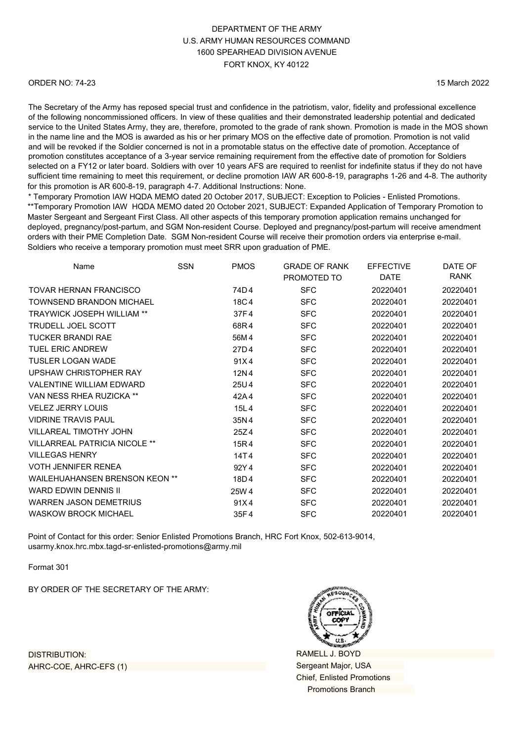#### ORDER NO: 74-23

15 March 2022

The Secretary of the Army has reposed special trust and confidence in the patriotism, valor, fidelity and professional excellence of the following noncommissioned officers. In view of these qualities and their demonstrated leadership potential and dedicated service to the United States Army, they are, therefore, promoted to the grade of rank shown. Promotion is made in the MOS shown in the name line and the MOS is awarded as his or her primary MOS on the effective date of promotion. Promotion is not valid and will be revoked if the Soldier concerned is not in a promotable status on the effective date of promotion. Acceptance of promotion constitutes acceptance of a 3-year service remaining requirement from the effective date of promotion for Soldiers selected on a FY12 or later board. Soldiers with over 10 years AFS are required to reenlist for indefinite status if they do not have sufficient time remaining to meet this requirement, or decline promotion IAW AR 600-8-19, paragraphs 1-26 and 4-8. The authority for this promotion is AR 600-8-19, paragraph 4-7. Additional Instructions: None.

\* Temporary Promotion IAW HQDA MEMO dated 20 October 2017, SUBJECT: Exception to Policies - Enlisted Promotions. \*\*Temporary Promotion IAW HQDA MEMO dated 20 October 2021, SUBJECT: Expanded Application of Temporary Promotion to Master Sergeant and Sergeant First Class. All other aspects of this temporary promotion application remains unchanged for deployed, pregnancy/post-partum, and SGM Non-resident Course. Deployed and pregnancy/post-partum will receive amendment orders with their PME Completion Date. SGM Non-resident Course will receive their promotion orders via enterprise e-mail. Soldiers who receive a temporary promotion must meet SRR upon graduation of PME.

| Name                                  | <b>SSN</b> | <b>PMOS</b> | <b>GRADE OF RANK</b><br>PROMOTED TO | <b>EFFECTIVE</b><br><b>DATE</b> | DATE OF<br>RANK |
|---------------------------------------|------------|-------------|-------------------------------------|---------------------------------|-----------------|
| TOVAR HERNAN FRANCISCO                |            | 74D4        | <b>SFC</b>                          | 20220401                        | 20220401        |
| TOWNSEND BRANDON MICHAEL              |            | 18C4        | <b>SFC</b>                          | 20220401                        | 20220401        |
| <b>TRAYWICK JOSEPH WILLIAM **</b>     |            | 37F4        | <b>SFC</b>                          | 20220401                        | 20220401        |
| <b>TRUDELL JOEL SCOTT</b>             |            | 68R4        | <b>SFC</b>                          | 20220401                        | 20220401        |
| <b>TUCKER BRANDI RAE</b>              |            | 56M 4       | <b>SFC</b>                          | 20220401                        | 20220401        |
| <b>TUEL ERIC ANDREW</b>               |            | 27D4        | <b>SFC</b>                          | 20220401                        | 20220401        |
| <b>TUSLER LOGAN WADE</b>              |            | 91X4        | <b>SFC</b>                          | 20220401                        | 20220401        |
| <b>UPSHAW CHRISTOPHER RAY</b>         |            | 12N4        | <b>SFC</b>                          | 20220401                        | 20220401        |
| <b>VALENTINE WILLIAM EDWARD</b>       |            | 25U4        | <b>SFC</b>                          | 20220401                        | 20220401        |
| VAN NESS RHEA RUZICKA **              |            | 42A4        | <b>SFC</b>                          | 20220401                        | 20220401        |
| <b>VELEZ JERRY LOUIS</b>              |            | 15L4        | <b>SFC</b>                          | 20220401                        | 20220401        |
| <b>VIDRINE TRAVIS PAUL</b>            |            | 35N4        | <b>SFC</b>                          | 20220401                        | 20220401        |
| <b>VILLAREAL TIMOTHY JOHN</b>         |            | 25Z4        | <b>SFC</b>                          | 20220401                        | 20220401        |
| <b>VILLARREAL PATRICIA NICOLE **</b>  |            | 15R4        | <b>SFC</b>                          | 20220401                        | 20220401        |
| <b>VILLEGAS HENRY</b>                 |            | 14T4        | <b>SFC</b>                          | 20220401                        | 20220401        |
| <b>VOTH JENNIFER RENEA</b>            |            | 92Y4        | <b>SFC</b>                          | 20220401                        | 20220401        |
| <b>WAILEHUAHANSEN BRENSON KEON **</b> |            | 18D4        | <b>SFC</b>                          | 20220401                        | 20220401        |
| <b>WARD EDWIN DENNIS II</b>           |            | 25W 4       | <b>SFC</b>                          | 20220401                        | 20220401        |
| WARREN JASON DEMETRIUS                |            | 91X4        | <b>SFC</b>                          | 20220401                        | 20220401        |
| <b>WASKOW BROCK MICHAEL</b>           |            | 35F4        | <b>SFC</b>                          | 20220401                        | 20220401        |

Point of Contact for this order: Senior Enlisted Promotions Branch, HRC Fort Knox, 502-613-9014, [usarmy.knox.hrc.mbx.tagd-sr-enlisted-promotions@](mailto:usarmy.knox.hrc.mbx.tagd-sr-enlisted-promotions@mail.mil)army.mil

Format 301

BY ORDER OF THE SECRETARY OF THE ARMY:



RAMELL J. BOYD Sergeant Major, USA Chief, Enlisted Promotions Promotions Branch